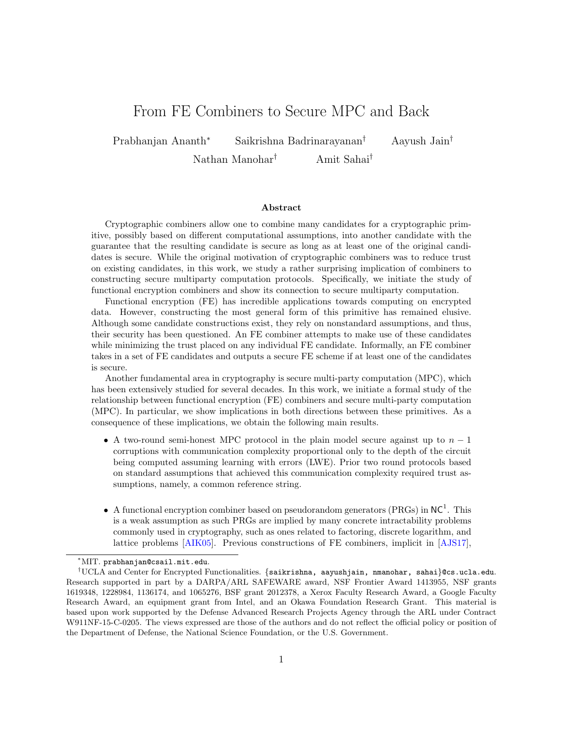# <span id="page-0-0"></span>From FE Combiners to Secure MPC and Back

Prabhanjan Ananth<sup>∗</sup> Saikrishna Badrinarayanan† Aayush Jain†

Nathan Manohar† Amit Sahai†

### Abstract

Cryptographic combiners allow one to combine many candidates for a cryptographic primitive, possibly based on different computational assumptions, into another candidate with the guarantee that the resulting candidate is secure as long as at least one of the original candidates is secure. While the original motivation of cryptographic combiners was to reduce trust on existing candidates, in this work, we study a rather surprising implication of combiners to constructing secure multiparty computation protocols. Specifically, we initiate the study of functional encryption combiners and show its connection to secure multiparty computation.

Functional encryption (FE) has incredible applications towards computing on encrypted data. However, constructing the most general form of this primitive has remained elusive. Although some candidate constructions exist, they rely on nonstandard assumptions, and thus, their security has been questioned. An FE combiner attempts to make use of these candidates while minimizing the trust placed on any individual FE candidate. Informally, an FE combiner takes in a set of FE candidates and outputs a secure FE scheme if at least one of the candidates is secure.

Another fundamental area in cryptography is secure multi-party computation (MPC), which has been extensively studied for several decades. In this work, we initiate a formal study of the relationship between functional encryption (FE) combiners and secure multi-party computation (MPC). In particular, we show implications in both directions between these primitives. As a consequence of these implications, we obtain the following main results.

- A two-round semi-honest MPC protocol in the plain model secure against up to  $n-1$ corruptions with communication complexity proportional only to the depth of the circuit being computed assuming learning with errors (LWE). Prior two round protocols based on standard assumptions that achieved this communication complexity required trust assumptions, namely, a common reference string.
- A functional encryption combiner based on pseudorandom generators (PRGs) in  $NC<sup>1</sup>$ . This is a weak assumption as such PRGs are implied by many concrete intractability problems commonly used in cryptography, such as ones related to factoring, discrete logarithm, and lattice problems [\[AIK05\]](#page-43-0). Previous constructions of FE combiners, implicit in [\[AJS17\]](#page-43-1),

<sup>∗</sup>MIT. prabhanjan@csail.mit.edu.

<sup>†</sup>UCLA and Center for Encrypted Functionalities. {saikrishna, aayushjain, nmanohar, sahai}@cs.ucla.edu. Research supported in part by a DARPA/ARL SAFEWARE award, NSF Frontier Award 1413955, NSF grants 1619348, 1228984, 1136174, and 1065276, BSF grant 2012378, a Xerox Faculty Research Award, a Google Faculty Research Award, an equipment grant from Intel, and an Okawa Foundation Research Grant. This material is based upon work supported by the Defense Advanced Research Projects Agency through the ARL under Contract W911NF-15-C-0205. The views expressed are those of the authors and do not reflect the official policy or position of the Department of Defense, the National Science Foundation, or the U.S. Government.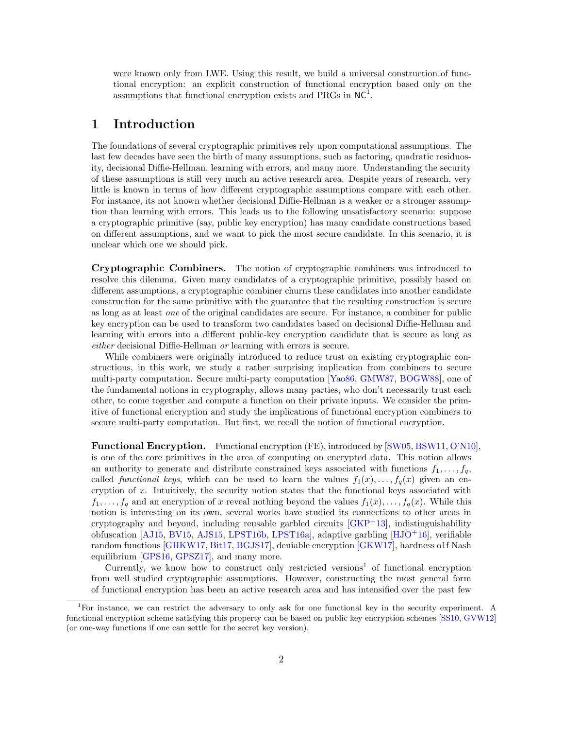were known only from LWE. Using this result, we build a universal construction of functional encryption: an explicit construction of functional encryption based only on the assumptions that functional encryption exists and PRGs in  $NC<sup>1</sup>$ .

# 1 Introduction

The foundations of several cryptographic primitives rely upon computational assumptions. The last few decades have seen the birth of many assumptions, such as factoring, quadratic residuosity, decisional Diffie-Hellman, learning with errors, and many more. Understanding the security of these assumptions is still very much an active research area. Despite years of research, very little is known in terms of how different cryptographic assumptions compare with each other. For instance, its not known whether decisional Diffie-Hellman is a weaker or a stronger assumption than learning with errors. This leads us to the following unsatisfactory scenario: suppose a cryptographic primitive (say, public key encryption) has many candidate constructions based on different assumptions, and we want to pick the most secure candidate. In this scenario, it is unclear which one we should pick.

Cryptographic Combiners. The notion of cryptographic combiners was introduced to resolve this dilemma. Given many candidates of a cryptographic primitive, possibly based on different assumptions, a cryptographic combiner churns these candidates into another candidate construction for the same primitive with the guarantee that the resulting construction is secure as long as at least one of the original candidates are secure. For instance, a combiner for public key encryption can be used to transform two candidates based on decisional Diffie-Hellman and learning with errors into a different public-key encryption candidate that is secure as long as either decisional Diffie-Hellman or learning with errors is secure.

While combiners were originally introduced to reduce trust on existing cryptographic constructions, in this work, we study a rather surprising implication from combiners to secure multi-party computation. Secure multi-party computation [\[Yao86,](#page-46-0) [GMW87,](#page-45-0) [BOGW88\]](#page-44-0), one of the fundamental notions in cryptography, allows many parties, who don't necessarily trust each other, to come together and compute a function on their private inputs. We consider the primitive of functional encryption and study the implications of functional encryption combiners to secure multi-party computation. But first, we recall the notion of functional encryption.

Functional Encryption. Functional encryption (FE), introduced by [\[SW05,](#page-46-1) [BSW11,](#page-44-1) [O'N10\]](#page-46-2), is one of the core primitives in the area of computing on encrypted data. This notion allows an authority to generate and distribute constrained keys associated with functions  $f_1, \ldots, f_q$ , called *functional keys*, which can be used to learn the values  $f_1(x), \ldots, f_q(x)$  given an encryption of  $x$ . Intuitively, the security notion states that the functional keys associated with  $f_1, \ldots, f_q$  and an encryption of x reveal nothing beyond the values  $f_1(x), \ldots, f_q(x)$ . While this notion is interesting on its own, several works have studied its connections to other areas in cryptography and beyond, including reusable garbled circuits  $[GKP<sup>+</sup>13]$  $[GKP<sup>+</sup>13]$ , indistinguishability obfuscation [\[AJ15,](#page-43-2) [BV15,](#page-44-2) [AJS15,](#page-43-3) [LPST16b,](#page-46-3) [LPST16a\]](#page-46-4), adaptive garbling [\[HJO](#page-45-2)<sup>+</sup>16], verifiable random functions [\[GHKW17,](#page-45-3) [Bit17,](#page-44-3) [BGJS17\]](#page-43-4), deniable encryption [\[GKW17\]](#page-45-4), hardness o1f Nash equilibrium [\[GPS16,](#page-45-5) [GPSZ17\]](#page-45-6), and many more.

Currently, we know how to construct only restricted versions<sup>[1](#page-0-0)</sup> of functional encryption from well studied cryptographic assumptions. However, constructing the most general form of functional encryption has been an active research area and has intensified over the past few

<sup>1</sup>For instance, we can restrict the adversary to only ask for one functional key in the security experiment. A functional encryption scheme satisfying this property can be based on public key encryption schemes [\[SS10,](#page-46-5) [GVW12\]](#page-45-7) (or one-way functions if one can settle for the secret key version).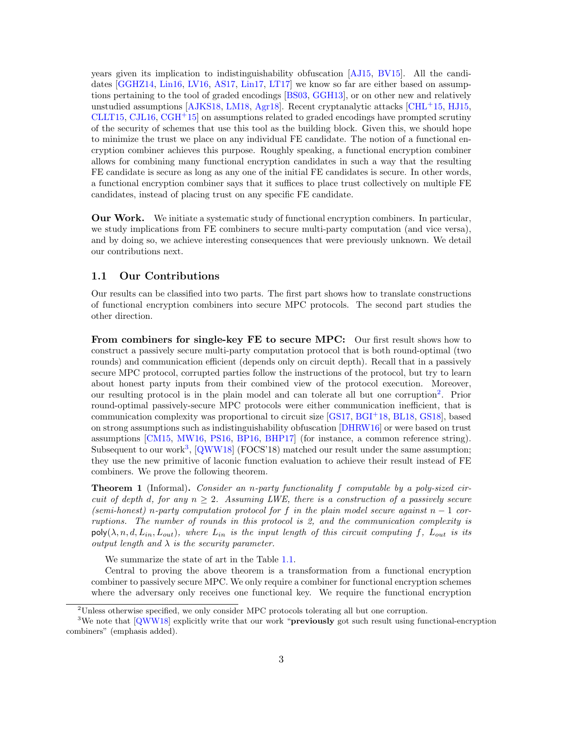years given its implication to indistinguishability obfuscation [\[AJ15,](#page-43-2) [BV15\]](#page-44-2). All the candidates [\[GGHZ14,](#page-45-8) [Lin16,](#page-46-6) [LV16,](#page-46-7) [AS17,](#page-43-5) [Lin17,](#page-46-8) [LT17\]](#page-46-9) we know so far are either based on assumptions pertaining to the tool of graded encodings [\[BS03,](#page-44-4) [GGH13\]](#page-45-9), or on other new and relatively unstudied assumptions [\[AJKS18,](#page-43-6) [LM18,](#page-46-10) [Agr18\]](#page-42-0). Recent cryptanalytic attacks [\[CHL](#page-44-5)+15, [HJ15,](#page-45-10)  $CLLT15, CJL16, CGH<sup>+</sup>15$  $CLLT15, CJL16, CGH<sup>+</sup>15$  $CLLT15, CJL16, CGH<sup>+</sup>15$  $CLLT15, CJL16, CGH<sup>+</sup>15$  $CLLT15, CJL16, CGH<sup>+</sup>15$  $CLLT15, CJL16, CGH<sup>+</sup>15$ ] on assumptions related to graded encodings have prompted scrutiny of the security of schemes that use this tool as the building block. Given this, we should hope to minimize the trust we place on any individual FE candidate. The notion of a functional encryption combiner achieves this purpose. Roughly speaking, a functional encryption combiner allows for combining many functional encryption candidates in such a way that the resulting FE candidate is secure as long as any one of the initial FE candidates is secure. In other words, a functional encryption combiner says that it suffices to place trust collectively on multiple FE candidates, instead of placing trust on any specific FE candidate.

Our Work. We initiate a systematic study of functional encryption combiners. In particular, we study implications from FE combiners to secure multi-party computation (and vice versa), and by doing so, we achieve interesting consequences that were previously unknown. We detail our contributions next.

# 1.1 Our Contributions

Our results can be classified into two parts. The first part shows how to translate constructions of functional encryption combiners into secure MPC protocols. The second part studies the other direction.

From combiners for single-key FE to secure MPC: Our first result shows how to construct a passively secure multi-party computation protocol that is both round-optimal (two rounds) and communication efficient (depends only on circuit depth). Recall that in a passively secure MPC protocol, corrupted parties follow the instructions of the protocol, but try to learn about honest party inputs from their combined view of the protocol execution. Moreover, our resulting protocol is in the plain model and can tolerate all but one corruption<sup>[2](#page-0-0)</sup>. Prior round-optimal passively-secure MPC protocols were either communication inefficient, that is communication complexity was proportional to circuit size [\[GS17,](#page-45-11) [BGI](#page-43-7)+18, [BL18,](#page-44-9) [GS18\]](#page-45-12), based on strong assumptions such as indistinguishability obfuscation [\[DHRW16\]](#page-44-10) or were based on trust assumptions [\[CM15,](#page-44-11) [MW16,](#page-46-11) [PS16,](#page-46-12) [BP16,](#page-44-12) [BHP17\]](#page-43-8) (for instance, a common reference string). Subsequent to our work<sup>[3](#page-0-0)</sup>,  $[QWW18]$  (FOCS'18) matched our result under the same assumption; they use the new primitive of laconic function evaluation to achieve their result instead of FE combiners. We prove the following theorem.

<span id="page-2-0"></span>**Theorem 1** (Informal). Consider an n-party functionality f computable by a poly-sized circuit of depth d, for any  $n \geq 2$ . Assuming LWE, there is a construction of a passively secure (semi-honest) n-party computation protocol for f in the plain model secure against  $n-1$  corruptions. The number of rounds in this protocol is 2, and the communication complexity is  $poly(\lambda, n, d, L_{in}, L_{out}),$  where  $L_{in}$  is the input length of this circuit computing f,  $L_{out}$  is its output length and  $\lambda$  is the security parameter.

We summarize the state of art in the Table [1.1.](#page-2-0)

Central to proving the above theorem is a transformation from a functional encryption combiner to passively secure MPC. We only require a combiner for functional encryption schemes where the adversary only receives one functional key. We require the functional encryption

<sup>2</sup>Unless otherwise specified, we only consider MPC protocols tolerating all but one corruption.

<sup>&</sup>lt;sup>3</sup>We note that [\[QWW18\]](#page-46-13) explicitly write that our work "**previously** got such result using functional-encryption combiners" (emphasis added).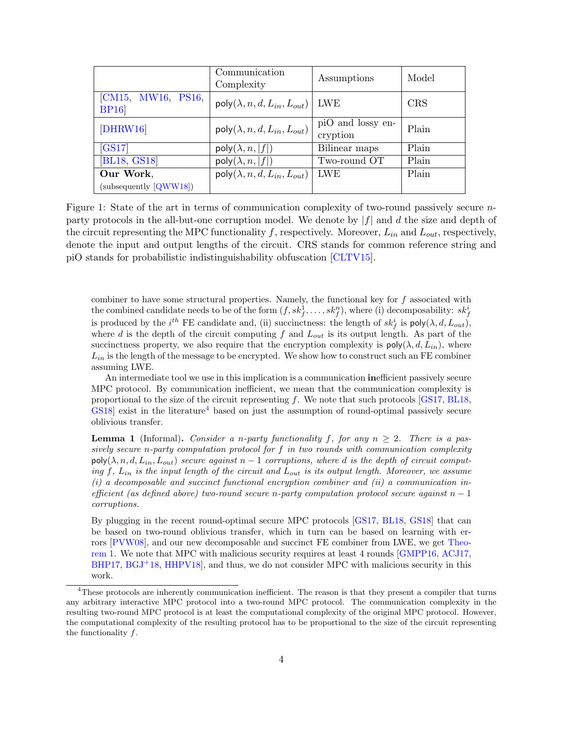|                                   | Communication<br>Complexity            | Assumptions                   | Model      |
|-----------------------------------|----------------------------------------|-------------------------------|------------|
| [CM15, MW16, PS16,<br><b>BP16</b> | $poly(\lambda, n, d, L_{in}, L_{out})$ | LWE                           | <b>CRS</b> |
| [DHRW16]                          | $poly(\lambda, n, d, L_{in}, L_{out})$ | piO and lossy en-<br>cryption | Plain      |
| [GS17]                            | $poly(\lambda, n,  f )$                | Bilinear maps                 | Plain      |
| [BL18, GS18]                      | $poly(\lambda, n,  f )$                | Two-round OT                  | Plain      |
| Our Work,                         | $poly(\lambda, n, d, L_{in}, L_{out})$ | <b>LWE</b>                    | Plain      |
| (subsequently [QWW18])            |                                        |                               |            |

Figure 1: State of the art in terms of communication complexity of two-round passively secure nparty protocols in the all-but-one corruption model. We denote by  $|f|$  and d the size and depth of the circuit representing the MPC functionality f, respectively. Moreover,  $L_{in}$  and  $L_{out}$ , respectively, denote the input and output lengths of the circuit. CRS stands for common reference string and piO stands for probabilistic indistinguishability obfuscation [\[CLTV15\]](#page-44-13).

combiner to have some structural properties. Namely, the functional key for  $f$  associated with the combined candidate needs to be of the form  $(f, sk_f^1, \ldots, sk_f^n)$ , where (i) decomposability:  $sk_f^k$ is produced by the  $i^{th}$  FE candidate and, (ii) succinctness: the length of  $sk_f^i$  is  $\mathsf{poly}(\lambda, d, L_{out}),$ where d is the depth of the circuit computing f and  $L_{out}$  is its output length. As part of the succinctness property, we also require that the encryption complexity is  $\text{poly}(\lambda, d, L_{in})$ , where  $L_{in}$  is the length of the message to be encrypted. We show how to construct such an FE combiner assuming LWE.

An intermediate tool we use in this implication is a communication inefficient passively secure MPC protocol. By communication inefficient, we mean that the communication complexity is proportional to the size of the circuit representing  $f$ . We note that such protocols [\[GS17,](#page-45-11) [BL18,](#page-44-9)  $GST8$ ] exist in the literature<sup>[4](#page-0-0)</sup> based on just the assumption of round-optimal passively secure oblivious transfer.

**Lemma 1** (Informal). Consider a n-party functionality f, for any  $n \geq 2$ . There is a passively secure n-party computation protocol for  $f$  in two rounds with communication complexity  $poly(\lambda, n, d, L_{in}, L_{out})$  secure against n – 1 corruptions, where d is the depth of circuit computing f,  $L_{in}$  is the input length of the circuit and  $L_{out}$  is its output length. Moreover, we assume  $(i)$  a decomposable and succinct functional encryption combiner and  $(ii)$  a communication inefficient (as defined above) two-round secure n-party computation protocol secure against  $n-1$ corruptions.

By plugging in the recent round-optimal secure MPC protocols [\[GS17,](#page-45-11) [BL18,](#page-44-9) [GS18\]](#page-45-12) that can be based on two-round oblivious transfer, which in turn can be based on learning with er-rors [\[PVW08\]](#page-46-14), and our new decomposable and succinct FE combiner from LWE, we get [Theo](#page-2-0)[rem 1.](#page-2-0) We note that MPC with malicious security requires at least 4 rounds [\[GMPP16,](#page-45-13) [ACJ17,](#page-42-1) [BHP17,](#page-43-8) [BGJ](#page-43-9)<sup>+</sup>18, HHPV18, and thus, we do not consider MPC with malicious security in this work.

<sup>&</sup>lt;sup>4</sup>These protocols are inherently communication inefficient. The reason is that they present a compiler that turns any arbitrary interactive MPC protocol into a two-round MPC protocol. The communication complexity in the resulting two-round MPC protocol is at least the computational complexity of the original MPC protocol. However, the computational complexity of the resulting protocol has to be proportional to the size of the circuit representing the functionality  $f$ .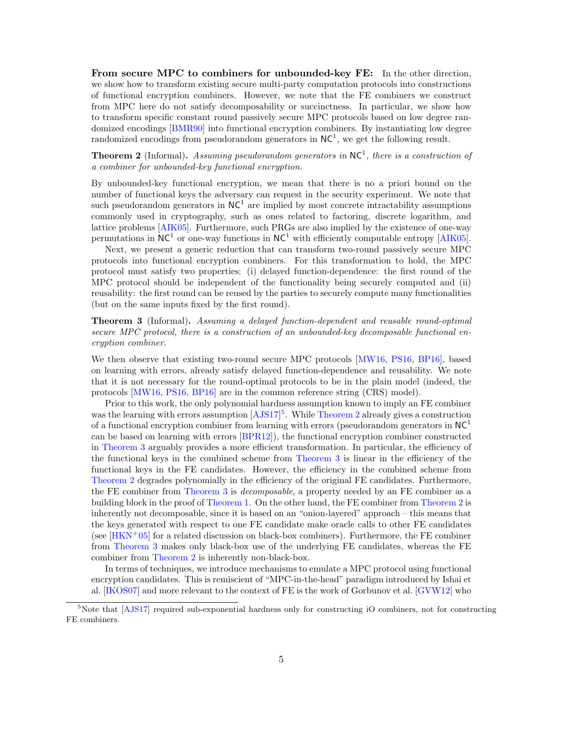From secure MPC to combiners for unbounded-key FE: In the other direction, we show how to transform existing secure multi-party computation protocols into constructions of functional encryption combiners. However, we note that the FE combiners we construct from MPC here do not satisfy decomposability or succinctness. In particular, we show how to transform specific constant round passively secure MPC protocols based on low degree randomized encodings [\[BMR90\]](#page-44-14) into functional encryption combiners. By instantiating low degree randomized encodings from pseudorandom generators in  $NC<sup>1</sup>$ , we get the following result.

<span id="page-4-0"></span>**Theorem 2** (Informal). Assuming pseudorandom generators in  $NC<sup>1</sup>$ , there is a construction of a combiner for unbounded-key functional encryption.

By unbounded-key functional encryption, we mean that there is no a priori bound on the number of functional keys the adversary can request in the security experiment. We note that such pseudorandom generators in  $NC^1$  are implied by most concrete intractability assumptions commonly used in cryptography, such as ones related to factoring, discrete logarithm, and lattice problems [\[AIK05\]](#page-43-0). Furthermore, such PRGs are also implied by the existence of one-way permutations in  $NC^1$  or one-way functions in  $NC^1$  with efficiently computable entropy [\[AIK05\]](#page-43-0).

Next, we present a generic reduction that can transform two-round passively secure MPC protocols into functional encryption combiners. For this transformation to hold, the MPC protocol must satisfy two properties: (i) delayed function-dependence: the first round of the MPC protocol should be independent of the functionality being securely computed and (ii) reusability: the first round can be reused by the parties to securely compute many functionalities (but on the same inputs fixed by the first round).

<span id="page-4-1"></span>Theorem 3 (Informal). Assuming a delayed function-dependent and reusable round-optimal secure MPC protocol, there is a construction of an unbounded-key decomposable functional encryption combiner.

We then observe that existing two-round secure MPC protocols [\[MW16,](#page-46-11) [PS16,](#page-46-12) [BP16\]](#page-44-12), based on learning with errors, already satisfy delayed function-dependence and reusability. We note that it is not necessary for the round-optimal protocols to be in the plain model (indeed, the protocols [\[MW16,](#page-46-11) [PS16,](#page-46-12) [BP16\]](#page-44-12) are in the common reference string (CRS) model).

Prior to this work, the only polynomial hardness assumption known to imply an FE combiner was the learning with errors assumption  $[AJS17]$ <sup>[5](#page-0-0)</sup>. While [Theorem 2](#page-4-0) already gives a construction of a functional encryption combiner from learning with errors (pseudorandom generators in  $NC<sup>1</sup>$ can be based on learning with errors [\[BPR12\]](#page-44-15)), the functional encryption combiner constructed in [Theorem 3](#page-4-1) arguably provides a more efficient transformation. In particular, the efficiency of the functional keys in the combined scheme from [Theorem 3](#page-4-1) is linear in the efficiency of the functional keys in the FE candidates. However, the efficiency in the combined scheme from [Theorem 2](#page-4-0) degrades polynomially in the efficiency of the original FE candidates. Furthermore, the FE combiner from [Theorem 3](#page-4-1) is *decomposable*, a property needed by an FE combiner as a building block in the proof of [Theorem 1.](#page-2-0) On the other hand, the FE combiner from [Theorem 2](#page-4-0) is inherently not decomposable, since it is based on an "onion-layered" approach – this means that the keys generated with respect to one FE candidate make oracle calls to other FE candidates (see  $[HKN+05]$  $[HKN+05]$  for a related discussion on black-box combiners). Furthermore, the FE combiner from [Theorem 3](#page-4-1) makes only black-box use of the underlying FE candidates, whereas the FE combiner from [Theorem 2](#page-4-0) is inherently non-black-box.

In terms of techniques, we introduce mechanisms to emulate a MPC protocol using functional encryption candidates. This is remiscient of "MPC-in-the-head" paradigm introduced by Ishai et al. [\[IKOS07\]](#page-46-16) and more relevant to the context of FE is the work of Gorbunov et al. [\[GVW12\]](#page-45-7) who

 ${}^{5}$ Note that [\[AJS17\]](#page-43-1) required sub-exponential hardness only for constructing iO combiners, not for constructing FE combiners.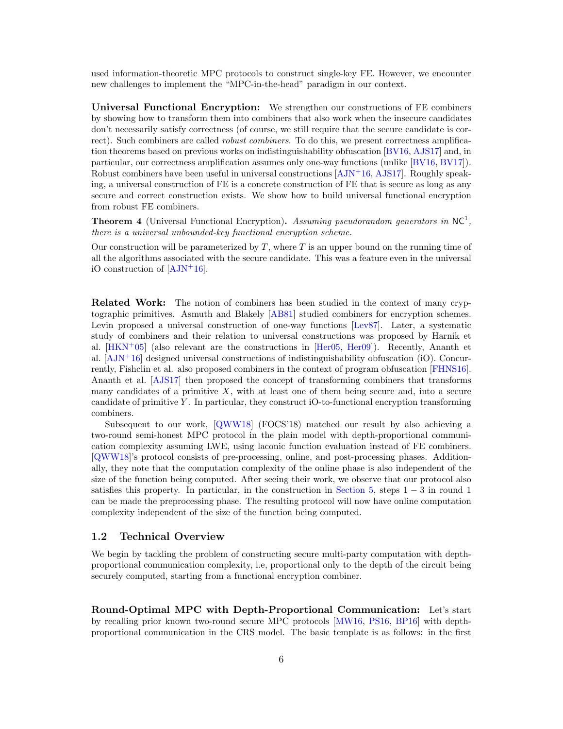used information-theoretic MPC protocols to construct single-key FE. However, we encounter new challenges to implement the "MPC-in-the-head" paradigm in our context.

Universal Functional Encryption: We strengthen our constructions of FE combiners by showing how to transform them into combiners that also work when the insecure candidates don't necessarily satisfy correctness (of course, we still require that the secure candidate is correct). Such combiners are called *robust combiners*. To do this, we present correctness amplification theorems based on previous works on indistinguishability obfuscation [\[BV16,](#page-44-16) [AJS17\]](#page-43-1) and, in particular, our correctness amplification assumes only one-way functions (unlike [\[BV16,](#page-44-16) [BV17\]](#page-44-17)). Robust combiners have been useful in universal constructions [\[AJN](#page-43-10)+16, [AJS17\]](#page-43-1). Roughly speaking, a universal construction of FE is a concrete construction of FE that is secure as long as any secure and correct construction exists. We show how to build universal functional encryption from robust FE combiners.

**Theorem 4** (Universal Functional Encryption). Assuming pseudorandom generators in  $NC<sup>1</sup>$ , there is a universal unbounded-key functional encryption scheme.

Our construction will be parameterized by  $T$ , where  $T$  is an upper bound on the running time of all the algorithms associated with the secure candidate. This was a feature even in the universal iO construction of  $[AJN+16]$  $[AJN+16]$ .

Related Work: The notion of combiners has been studied in the context of many cryptographic primitives. Asmuth and Blakely [\[AB81\]](#page-42-2) studied combiners for encryption schemes. Levin proposed a universal construction of one-way functions [\[Lev87\]](#page-46-17). Later, a systematic study of combiners and their relation to universal constructions was proposed by Harnik et al.  $[HKN^+05]$  $[HKN^+05]$  (also relevant are the constructions in  $[Her05, Her09]$  $[Her05, Her09]$  $[Her05, Her09]$ ). Recently, Ananth et al.  $[AJN+16]$  $[AJN+16]$  designed universal constructions of indistinguishability obfuscation (iO). Concurrently, Fishclin et al. also proposed combiners in the context of program obfuscation [\[FHNS16\]](#page-44-18). Ananth et al. [\[AJS17\]](#page-43-1) then proposed the concept of transforming combiners that transforms many candidates of a primitive  $X$ , with at least one of them being secure and, into a secure candidate of primitive Y . In particular, they construct iO-to-functional encryption transforming combiners.

Subsequent to our work, [\[QWW18\]](#page-46-13) (FOCS'18) matched our result by also achieving a two-round semi-honest MPC protocol in the plain model with depth-proportional communication complexity assuming LWE, using laconic function evaluation instead of FE combiners. [\[QWW18\]](#page-46-13)'s protocol consists of pre-processing, online, and post-processing phases. Additionally, they note that the computation complexity of the online phase is also independent of the size of the function being computed. After seeing their work, we observe that our protocol also satisfies this property. In particular, in the construction in [Section 5,](#page-21-0) steps  $1 - 3$  in round 1 can be made the preprocessing phase. The resulting protocol will now have online computation complexity independent of the size of the function being computed.

# 1.2 Technical Overview

We begin by tackling the problem of constructing secure multi-party computation with depthproportional communication complexity, i.e, proportional only to the depth of the circuit being securely computed, starting from a functional encryption combiner.

<span id="page-5-0"></span>Round-Optimal MPC with Depth-Proportional Communication: Let's start by recalling prior known two-round secure MPC protocols [\[MW16,](#page-46-11) [PS16,](#page-46-12) [BP16\]](#page-44-12) with depthproportional communication in the CRS model. The basic template is as follows: in the first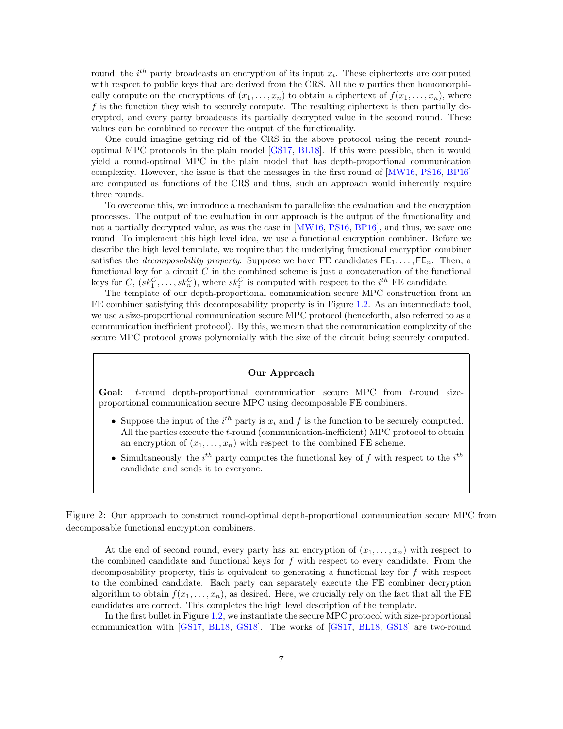round, the  $i^{th}$  party broadcasts an encryption of its input  $x_i$ . These ciphertexts are computed with respect to public keys that are derived from the CRS. All the  $n$  parties then homomorphically compute on the encryptions of  $(x_1, \ldots, x_n)$  to obtain a ciphertext of  $f(x_1, \ldots, x_n)$ , where f is the function they wish to securely compute. The resulting ciphertext is then partially decrypted, and every party broadcasts its partially decrypted value in the second round. These values can be combined to recover the output of the functionality.

One could imagine getting rid of the CRS in the above protocol using the recent roundoptimal MPC protocols in the plain model [\[GS17,](#page-45-11) [BL18\]](#page-44-9). If this were possible, then it would yield a round-optimal MPC in the plain model that has depth-proportional communication complexity. However, the issue is that the messages in the first round of [\[MW16,](#page-46-11) [PS16,](#page-46-12) [BP16\]](#page-44-12) are computed as functions of the CRS and thus, such an approach would inherently require three rounds.

To overcome this, we introduce a mechanism to parallelize the evaluation and the encryption processes. The output of the evaluation in our approach is the output of the functionality and not a partially decrypted value, as was the case in [\[MW16,](#page-46-11) [PS16,](#page-46-12) [BP16\]](#page-44-12), and thus, we save one round. To implement this high level idea, we use a functional encryption combiner. Before we describe the high level template, we require that the underlying functional encryption combiner satisfies the *decomposability property*: Suppose we have FE candidates  $FE_1, \ldots, FE_n$ . Then, a functional key for a circuit  $C$  in the combined scheme is just a concatenation of the functional keys for C,  $(s k_1^C, \ldots, s k_n^C)$ , where  $s k_i^C$  is computed with respect to the  $i^{th}$  FE candidate.

The template of our depth-proportional communication secure MPC construction from an FE combiner satisfying this decomposability property is in Figure [1.2.](#page-5-0) As an intermediate tool, we use a size-proportional communication secure MPC protocol (henceforth, also referred to as a communication inefficient protocol). By this, we mean that the communication complexity of the secure MPC protocol grows polynomially with the size of the circuit being securely computed.

### Our Approach

Goal: t-round depth-proportional communication secure MPC from t-round sizeproportional communication secure MPC using decomposable FE combiners.

- Suppose the input of the  $i^{th}$  party is  $x_i$  and  $f$  is the function to be securely computed. All the parties execute the t-round (communication-inefficient) MPC protocol to obtain an encryption of  $(x_1, \ldots, x_n)$  with respect to the combined FE scheme.
- Simultaneously, the  $i^{th}$  party computes the functional key of f with respect to the  $i^{th}$ candidate and sends it to everyone.

Figure 2: Our approach to construct round-optimal depth-proportional communication secure MPC from decomposable functional encryption combiners.

At the end of second round, every party has an encryption of  $(x_1, \ldots, x_n)$  with respect to the combined candidate and functional keys for  $f$  with respect to every candidate. From the decomposability property, this is equivalent to generating a functional key for  $f$  with respect to the combined candidate. Each party can separately execute the FE combiner decryption algorithm to obtain  $f(x_1, \ldots, x_n)$ , as desired. Here, we crucially rely on the fact that all the FE candidates are correct. This completes the high level description of the template.

In the first bullet in Figure [1.2,](#page-5-0) we instantiate the secure MPC protocol with size-proportional communication with [\[GS17,](#page-45-11) [BL18,](#page-44-9) [GS18\]](#page-45-12). The works of [\[GS17,](#page-45-11) [BL18,](#page-44-9) [GS18\]](#page-45-12) are two-round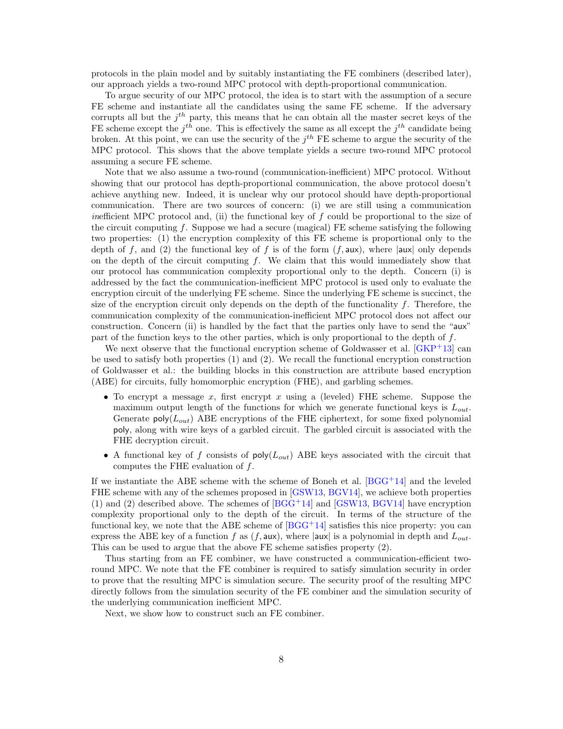protocols in the plain model and by suitably instantiating the FE combiners (described later), our approach yields a two-round MPC protocol with depth-proportional communication.

To argue security of our MPC protocol, the idea is to start with the assumption of a secure FE scheme and instantiate all the candidates using the same FE scheme. If the adversary corrupts all but the  $j<sup>th</sup>$  party, this means that he can obtain all the master secret keys of the FE scheme except the  $j^{th}$  one. This is effectively the same as all except the  $j^{th}$  candidate being broken. At this point, we can use the security of the  $j<sup>th</sup> FE$  scheme to argue the security of the MPC protocol. This shows that the above template yields a secure two-round MPC protocol assuming a secure FE scheme.

Note that we also assume a two-round (communication-inefficient) MPC protocol. Without showing that our protocol has depth-proportional communication, the above protocol doesn't achieve anything new. Indeed, it is unclear why our protocol should have depth-proportional communication. There are two sources of concern: (i) we are still using a communication inefficient MPC protocol and, (ii) the functional key of  $f$  could be proportional to the size of the circuit computing  $f$ . Suppose we had a secure (magical) FE scheme satisfying the following two properties: (1) the encryption complexity of this FE scheme is proportional only to the depth of f, and (2) the functional key of f is of the form  $(f, \text{aux})$ , where  $|\text{aux}|$  only depends on the depth of the circuit computing  $f$ . We claim that this would immediately show that our protocol has communication complexity proportional only to the depth. Concern (i) is addressed by the fact the communication-inefficient MPC protocol is used only to evaluate the encryption circuit of the underlying FE scheme. Since the underlying FE scheme is succinct, the size of the encryption circuit only depends on the depth of the functionality  $f$ . Therefore, the communication complexity of the communication-inefficient MPC protocol does not affect our construction. Concern (ii) is handled by the fact that the parties only have to send the "aux" part of the function keys to the other parties, which is only proportional to the depth of  $f$ .

We next observe that the functional encryption scheme of Goldwasser et al. [\[GKP](#page-45-1)+13] can be used to satisfy both properties (1) and (2). We recall the functional encryption construction of Goldwasser et al.: the building blocks in this construction are attribute based encryption (ABE) for circuits, fully homomorphic encryption (FHE), and garbling schemes.

- To encrypt a message  $x$ , first encrypt  $x$  using a (leveled) FHE scheme. Suppose the maximum output length of the functions for which we generate functional keys is  $L_{out}$ . Generate  $\text{poly}(L_{out})$  ABE encryptions of the FHE ciphertext, for some fixed polynomial poly, along with wire keys of a garbled circuit. The garbled circuit is associated with the FHE decryption circuit.
- A functional key of f consists of  $poly(L_{out})$  ABE keys associated with the circuit that computes the FHE evaluation of  $f$ .

If we instantiate the ABE scheme with the scheme of Boneh et al. [\[BGG](#page-43-11)+14] and the leveled FHE scheme with any of the schemes proposed in [\[GSW13,](#page-45-17) [BGV14\]](#page-43-12), we achieve both properties  $(1)$  and  $(2)$  described above. The schemes of [\[BGG](#page-43-11)+14] and [\[GSW13,](#page-45-17) [BGV14\]](#page-43-12) have encryption complexity proportional only to the depth of the circuit. In terms of the structure of the functional key, we note that the ABE scheme of  $[BGG<sup>+14</sup>]$  $[BGG<sup>+14</sup>]$  satisfies this nice property: you can express the ABE key of a function f as  $(f, \text{aux})$ , where  $|\text{aux}|$  is a polynomial in depth and  $L_{out}$ . This can be used to argue that the above FE scheme satisfies property (2).

Thus starting from an FE combiner, we have constructed a communication-efficient tworound MPC. We note that the FE combiner is required to satisfy simulation security in order to prove that the resulting MPC is simulation secure. The security proof of the resulting MPC directly follows from the simulation security of the FE combiner and the simulation security of the underlying communication inefficient MPC.

Next, we show how to construct such an FE combiner.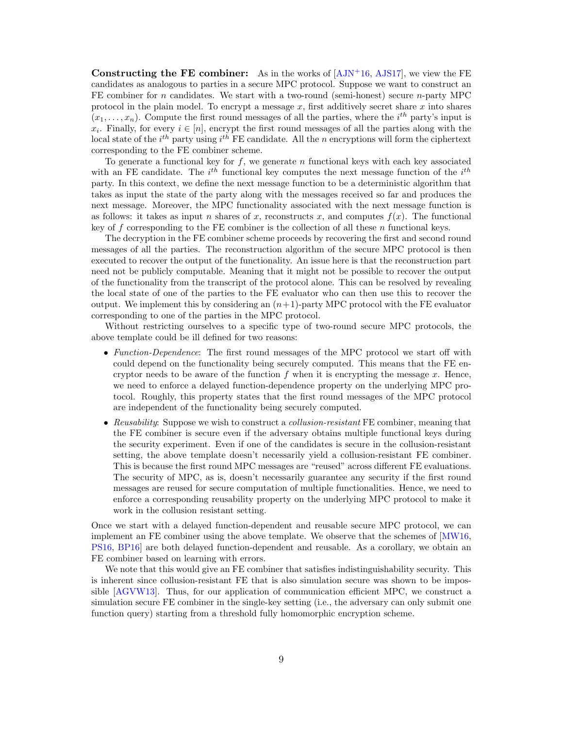**Constructing the FE combiner:** As in the works of  $[AJN+16, AJS17]$  $[AJN+16, AJS17]$  $[AJN+16, AJS17]$ , we view the FE candidates as analogous to parties in a secure MPC protocol. Suppose we want to construct an FE combiner for n candidates. We start with a two-round (semi-honest) secure n-party MPC protocol in the plain model. To encrypt a message  $x$ , first additively secret share  $x$  into shares  $(x_1, \ldots, x_n)$ . Compute the first round messages of all the parties, where the i<sup>th</sup> party's input is  $x_i$ . Finally, for every  $i \in [n]$ , encrypt the first round messages of all the parties along with the local state of the  $i^{th}$  party using  $i^{th}$  FE candidate. All the n encryptions will form the ciphertext corresponding to the FE combiner scheme.

To generate a functional key for  $f$ , we generate  $n$  functional keys with each key associated with an FE candidate. The  $i^{th}$  functional key computes the next message function of the  $i^{th}$ party. In this context, we define the next message function to be a deterministic algorithm that takes as input the state of the party along with the messages received so far and produces the next message. Moreover, the MPC functionality associated with the next message function is as follows: it takes as input n shares of x, reconstructs x, and computes  $f(x)$ . The functional key of  $f$  corresponding to the FE combiner is the collection of all these  $n$  functional keys.

The decryption in the FE combiner scheme proceeds by recovering the first and second round messages of all the parties. The reconstruction algorithm of the secure MPC protocol is then executed to recover the output of the functionality. An issue here is that the reconstruction part need not be publicly computable. Meaning that it might not be possible to recover the output of the functionality from the transcript of the protocol alone. This can be resolved by revealing the local state of one of the parties to the FE evaluator who can then use this to recover the output. We implement this by considering an  $(n+1)$ -party MPC protocol with the FE evaluator corresponding to one of the parties in the MPC protocol.

Without restricting ourselves to a specific type of two-round secure MPC protocols, the above template could be ill defined for two reasons:

- Function-Dependence: The first round messages of the MPC protocol we start off with could depend on the functionality being securely computed. This means that the FE encryptor needs to be aware of the function  $f$  when it is encrypting the message  $x$ . Hence, we need to enforce a delayed function-dependence property on the underlying MPC protocol. Roughly, this property states that the first round messages of the MPC protocol are independent of the functionality being securely computed.
- Reusability: Suppose we wish to construct a *collusion-resistant*  $FE$  combiner, meaning that the FE combiner is secure even if the adversary obtains multiple functional keys during the security experiment. Even if one of the candidates is secure in the collusion-resistant setting, the above template doesn't necessarily yield a collusion-resistant FE combiner. This is because the first round MPC messages are "reused" across different FE evaluations. The security of MPC, as is, doesn't necessarily guarantee any security if the first round messages are reused for secure computation of multiple functionalities. Hence, we need to enforce a corresponding reusability property on the underlying MPC protocol to make it work in the collusion resistant setting.

Once we start with a delayed function-dependent and reusable secure MPC protocol, we can implement an FE combiner using the above template. We observe that the schemes of [\[MW16,](#page-46-11) [PS16,](#page-46-12) [BP16\]](#page-44-12) are both delayed function-dependent and reusable. As a corollary, we obtain an FE combiner based on learning with errors.

We note that this would give an FE combiner that satisfies indistinguishability security. This is inherent since collusion-resistant FE that is also simulation secure was shown to be impossible [\[AGVW13\]](#page-42-3). Thus, for our application of communication efficient MPC, we construct a simulation secure FE combiner in the single-key setting (i.e., the adversary can only submit one function query) starting from a threshold fully homomorphic encryption scheme.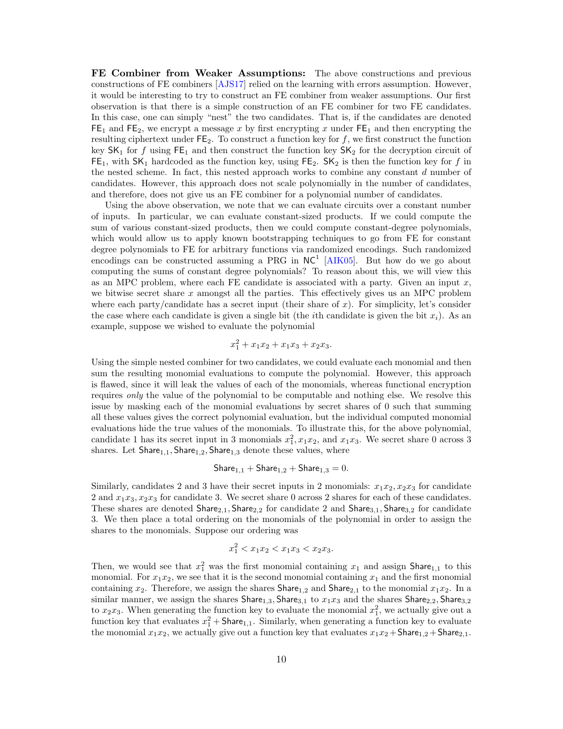FE Combiner from Weaker Assumptions: The above constructions and previous constructions of FE combiners [\[AJS17\]](#page-43-1) relied on the learning with errors assumption. However, it would be interesting to try to construct an FE combiner from weaker assumptions. Our first observation is that there is a simple construction of an FE combiner for two FE candidates. In this case, one can simply "nest" the two candidates. That is, if the candidates are denoted  $FE<sub>1</sub>$  and  $FE<sub>2</sub>$ , we encrypt a message x by first encrypting x under  $FE<sub>1</sub>$  and then encrypting the resulting ciphertext under  $FE_2$ . To construct a function key for f, we first construct the function key  $SK_1$  for f using  $FE_1$  and then construct the function key  $SK_2$  for the decryption circuit of  $FE_1$ , with  $SK_1$  hardcoded as the function key, using  $FE_2$ .  $SK_2$  is then the function key for f in the nested scheme. In fact, this nested approach works to combine any constant d number of candidates. However, this approach does not scale polynomially in the number of candidates, and therefore, does not give us an FE combiner for a polynomial number of candidates.

Using the above observation, we note that we can evaluate circuits over a constant number of inputs. In particular, we can evaluate constant-sized products. If we could compute the sum of various constant-sized products, then we could compute constant-degree polynomials, which would allow us to apply known bootstrapping techniques to go from FE for constant degree polynomials to FE for arbitrary functions via randomized encodings. Such randomized encodings can be constructed assuming a PRG in  $NC<sup>1</sup>$  [\[AIK05\]](#page-43-0). But how do we go about computing the sums of constant degree polynomials? To reason about this, we will view this as an MPC problem, where each FE candidate is associated with a party. Given an input  $x$ , we bitwise secret share  $x$  amongst all the parties. This effectively gives us an MPC problem where each party/candidate has a secret input (their share of  $x$ ). For simplicity, let's consider the case where each candidate is given a single bit (the *i*th candidate is given the bit  $x_i$ ). As an example, suppose we wished to evaluate the polynomial

$$
x_1^2 + x_1x_2 + x_1x_3 + x_2x_3.
$$

Using the simple nested combiner for two candidates, we could evaluate each monomial and then sum the resulting monomial evaluations to compute the polynomial. However, this approach is flawed, since it will leak the values of each of the monomials, whereas functional encryption requires only the value of the polynomial to be computable and nothing else. We resolve this issue by masking each of the monomial evaluations by secret shares of 0 such that summing all these values gives the correct polynomial evaluation, but the individual computed monomial evaluations hide the true values of the monomials. To illustrate this, for the above polynomial, candidate 1 has its secret input in 3 monomials  $x_1^2, x_1x_2$ , and  $x_1x_3$ . We secret share 0 across 3 shares. Let  $Share_{1,1}$ ,  $Share_{1,2}$ ,  $Share_{1,3}$  denote these values, where

$$
Share_{1,1} + share_{1,2} + share_{1,3} = 0.
$$

Similarly, candidates 2 and 3 have their secret inputs in 2 monomials:  $x_1x_2, x_2x_3$  for candidate 2 and  $x_1x_3, x_2x_3$  for candidate 3. We secret share 0 across 2 shares for each of these candidates. These shares are denoted  $\textsf{Share}_{2,1}$ ,  $\textsf{Share}_{2,2}$  for candidate 2 and  $\textsf{Share}_{3,1}$ ,  $\textsf{Share}_{3,2}$  for candidate 3. We then place a total ordering on the monomials of the polynomial in order to assign the shares to the monomials. Suppose our ordering was

$$
x_1^2 < x_1 x_2 < x_1 x_3 < x_2 x_3.
$$

Then, we would see that  $x_1^2$  was the first monomial containing  $x_1$  and assign Share<sub>1,1</sub> to this monomial. For  $x_1x_2$ , we see that it is the second monomial containing  $x_1$  and the first monomial containing  $x_2$ . Therefore, we assign the shares Share<sub>1,2</sub> and Share<sub>2,1</sub> to the monomial  $x_1x_2$ . In a similar manner, we assign the shares  $\text{Share}_{1,3}$ ,  $\text{Share}_{3,1}$  to  $x_1x_3$  and the shares  $\text{Share}_{2,2}$ ,  $\text{Share}_{3,2}$ to  $x_2x_3$ . When generating the function key to evaluate the monomial  $x_1^2$ , we actually give out a function key that evaluates  $x_1^2 +$ Share<sub>1,1</sub>. Similarly, when generating a function key to evaluate the monomial  $x_1x_2$ , we actually give out a function key that evaluates  $x_1x_2+\text{Share}_{1,2}+\text{Share}_{2,1}$ .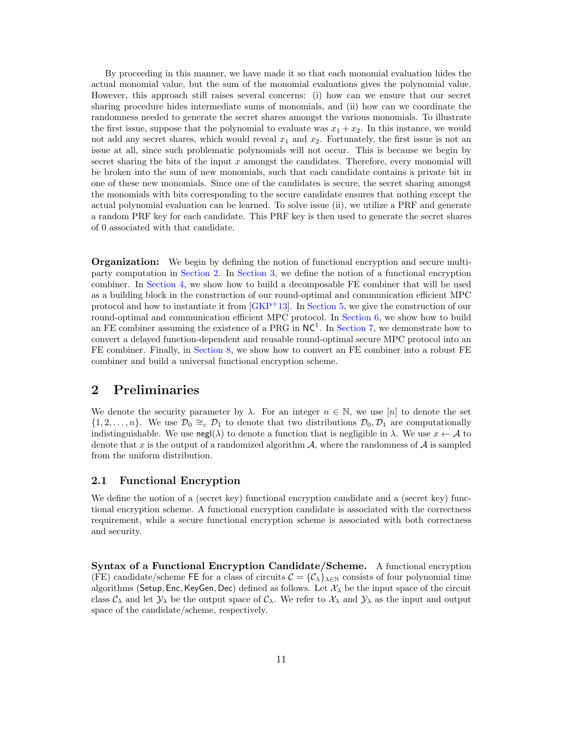By proceeding in this manner, we have made it so that each monomial evaluation hides the actual monomial value, but the sum of the monomial evaluations gives the polynomial value. However, this approach still raises several concerns: (i) how can we ensure that our secret sharing procedure hides intermediate sums of monomials, and (ii) how can we coordinate the randomness needed to generate the secret shares amongst the various monomials. To illustrate the first issue, suppose that the polynomial to evaluate was  $x_1 + x_2$ . In this instance, we would not add any secret shares, which would reveal  $x_1$  and  $x_2$ . Fortunately, the first issue is not an issue at all, since such problematic polynomials will not occur. This is because we begin by secret sharing the bits of the input  $x$  amongst the candidates. Therefore, every monomial will be broken into the sum of new monomials, such that each candidate contains a private bit in one of these new monomials. Since one of the candidates is secure, the secret sharing amongst the monomials with bits corresponding to the secure candidate ensures that nothing except the actual polynomial evaluation can be learned. To solve issue (ii), we utilize a PRF and generate a random PRF key for each candidate. This PRF key is then used to generate the secret shares of 0 associated with that candidate.

**Organization:** We begin by defining the notion of functional encryption and secure multiparty computation in [Section 2.](#page-10-0) In [Section 3,](#page-12-0) we define the notion of a functional encryption combiner. In [Section 4,](#page-14-0) we show how to build a decomposable FE combiner that will be used as a building block in the construction of our round-optimal and communication efficient MPC protocol and how to instantiate it from  $\lfloor$ GKP<sup>+</sup>13 $\rfloor$ . In [Section 5,](#page-21-0) we give the construction of our round-optimal and communication efficient MPC protocol. In [Section 6,](#page-25-0) we show how to build an FE combiner assuming the existence of a PRG in  $NC<sup>1</sup>$ . In [Section 7,](#page-33-0) we demonstrate how to convert a delayed function-dependent and reusable round-optimal secure MPC protocol into an FE combiner. Finally, in [Section 8,](#page-38-0) we show how to convert an FE combiner into a robust FE combiner and build a universal functional encryption scheme.

# <span id="page-10-0"></span>2 Preliminaries

We denote the security parameter by  $\lambda$ . For an integer  $n \in \mathbb{N}$ , we use [n] to denote the set  $\{1, 2, \ldots, n\}$ . We use  $\mathcal{D}_0 \cong_c \mathcal{D}_1$  to denote that two distributions  $\mathcal{D}_0, \mathcal{D}_1$  are computationally indistinguishable. We use  $\operatorname{negl}(\lambda)$  to denote a function that is negligible in  $\lambda$ . We use  $x \leftarrow A$  to denote that x is the output of a randomized algorithm  $A$ , where the randomness of  $A$  is sampled from the uniform distribution.

# 2.1 Functional Encryption

We define the notion of a (secret key) functional encryption candidate and a (secret key) functional encryption scheme. A functional encryption candidate is associated with the correctness requirement, while a secure functional encryption scheme is associated with both correctness and security.

Syntax of a Functional Encryption Candidate/Scheme. A functional encryption (FE) candidate/scheme FE for a class of circuits  $\mathcal{C} = {\mathcal{C}_{\lambda}}_{\lambda \in \mathbb{N}}$  consists of four polynomial time algorithms (Setup, Enc, KeyGen, Dec) defined as follows. Let  $\mathcal{X}_{\lambda}$  be the input space of the circuit class  $\mathcal{C}_{\lambda}$  and let  $\mathcal{Y}_{\lambda}$  be the output space of  $\mathcal{C}_{\lambda}$ . We refer to  $\mathcal{X}_{\lambda}$  and  $\mathcal{Y}_{\lambda}$  as the input and output space of the candidate/scheme, respectively.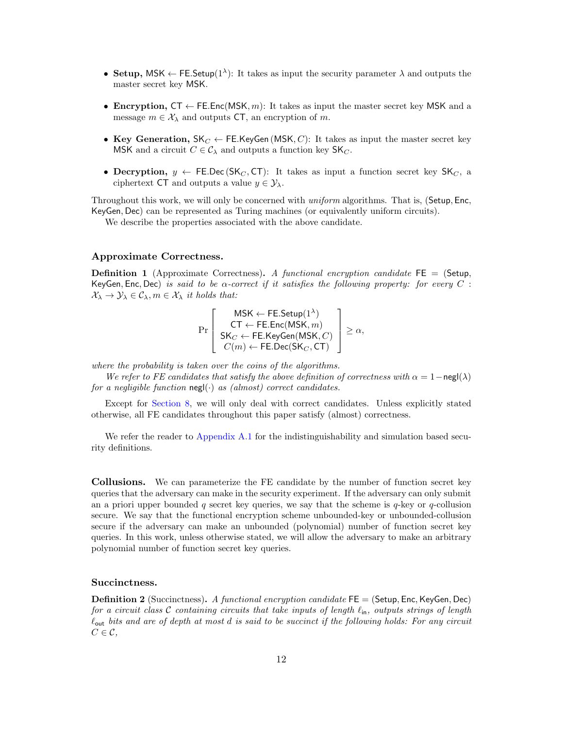- Setup, MSK  $\leftarrow$  FE. Setup $(1^{\lambda})$ : It takes as input the security parameter  $\lambda$  and outputs the master secret key MSK.
- Encryption,  $CT \leftarrow FE.Enc(MSK, m)$ : It takes as input the master secret key MSK and a message  $m \in \mathcal{X}_{\lambda}$  and outputs CT, an encryption of m.
- Key Generation,  $SK_C \leftarrow$  FE. Key Gen (MSK, C): It takes as input the master secret key MSK and a circuit  $C \in \mathcal{C}_{\lambda}$  and outputs a function key SK<sub>C</sub>.
- Decryption,  $y \leftarrow$  FE.Dec (SK<sub>C</sub>, CT): It takes as input a function secret key SK<sub>C</sub>, a ciphertext CT and outputs a value  $y \in \mathcal{Y}_\lambda$ .

Throughout this work, we will only be concerned with uniform algorithms. That is, (Setup, Enc, KeyGen, Dec) can be represented as Turing machines (or equivalently uniform circuits).

We describe the properties associated with the above candidate.

#### Approximate Correctness.

**Definition 1** (Approximate Correctness). A functional encryption candidate  $FE = (Setup,$ KeyGen, Enc, Dec) is said to be  $\alpha$ -correct if it satisfies the following property: for every C :  $\mathcal{X}_{\lambda} \to \mathcal{Y}_{\lambda} \in \mathcal{C}_{\lambda}, m \in \mathcal{X}_{\lambda}$  it holds that:

$$
\Pr\left[\begin{array}{c}\mathsf{MSK} \leftarrow \mathsf{FE}.\mathsf{Setup}(1^\lambda)\\ \mathsf{CT} \leftarrow \mathsf{FE}.\mathsf{Enc}(\mathsf{MSK},m)\\ \mathsf{SK}_C \leftarrow \mathsf{FE}.\mathsf{KeyGen}(\mathsf{MSK},C)\\ C(m) \leftarrow \mathsf{FE}.\mathsf{Dec}(\mathsf{SK}_C,\mathsf{CT})\end{array}\right]\geq \alpha,
$$

where the probability is taken over the coins of the algorithms.

We refer to FE candidates that satisfy the above definition of correctness with  $\alpha = 1 - \text{negl}(\lambda)$ for a negligible function  $\text{negl}(\cdot)$  as (almost) correct candidates.

Except for [Section 8,](#page-38-0) we will only deal with correct candidates. Unless explicitly stated otherwise, all FE candidates throughout this paper satisfy (almost) correctness.

We refer the reader to [Appendix A.1](#page-46-18) for the indistinguishability and simulation based security definitions.

Collusions. We can parameterize the FE candidate by the number of function secret key queries that the adversary can make in the security experiment. If the adversary can only submit an a priori upper bounded q secret key queries, we say that the scheme is  $q$ -key or  $q$ -collusion secure. We say that the functional encryption scheme unbounded-key or unbounded-collusion secure if the adversary can make an unbounded (polynomial) number of function secret key queries. In this work, unless otherwise stated, we will allow the adversary to make an arbitrary polynomial number of function secret key queries.

#### Succinctness.

<span id="page-11-0"></span>**Definition 2** (Succinctness). A functional encryption candidate  $FE = (Setup, Enc, KeyGen, Dec)$ for a circuit class  $C$  containing circuits that take inputs of length  $\ell_{\text{in}}$ , outputs strings of length  $\ell_{\text{out}}$  bits and are of depth at most d is said to be succinct if the following holds: For any circuit  $C \in \mathcal{C}$ ,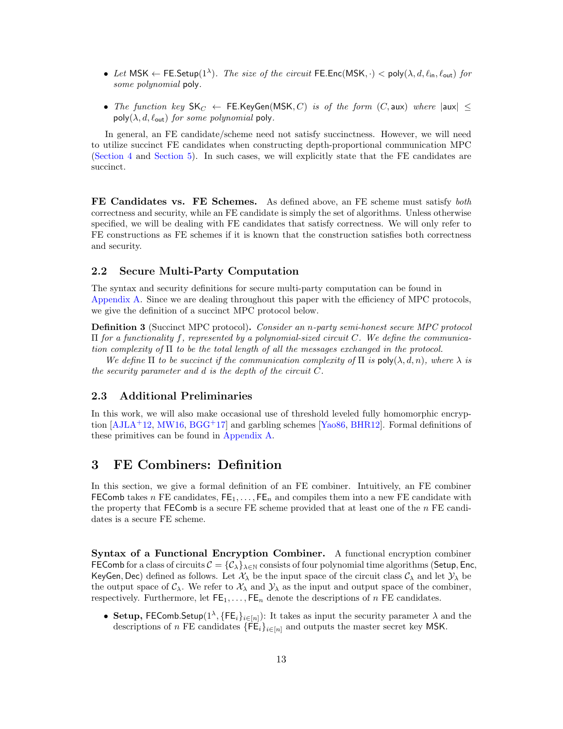- Let MSK  $\leftarrow$  FE. Setup(1<sup> $\lambda$ </sup>). The size of the circuit FE. Enc(MSK,  $\cdot$ )  $<$  poly( $\lambda$ ,  $d$ ,  $\ell_{\sf in}$ ,  $\ell_{\sf out}$ ) for some polynomial poly.
- The function key  $SK_C \leftarrow$  FE.KeyGen(MSK, C) is of the form (C, aux) where  $|aux| \le$ poly( $\lambda$ ,  $d$ ,  $\ell_{\text{out}}$ ) for some polynomial poly.

In general, an FE candidate/scheme need not satisfy succinctness. However, we will need to utilize succinct FE candidates when constructing depth-proportional communication MPC [\(Section 4](#page-14-0) and [Section 5\)](#page-21-0). In such cases, we will explicitly state that the FE candidates are succinct.

FE Candidates vs. FE Schemes. As defined above, an FE scheme must satisfy both correctness and security, while an FE candidate is simply the set of algorithms. Unless otherwise specified, we will be dealing with FE candidates that satisfy correctness. We will only refer to FE constructions as FE schemes if it is known that the construction satisfies both correctness and security.

# 2.2 Secure Multi-Party Computation

The syntax and security definitions for secure multi-party computation can be found in [Appendix A.](#page-46-19) Since we are dealing throughout this paper with the efficiency of MPC protocols, we give the definition of a succinct MPC protocol below.

Definition 3 (Succinct MPC protocol). Consider an n-party semi-honest secure MPC protocol Π for a functionality f, represented by a polynomial-sized circuit C. We define the communication complexity of  $\Pi$  to be the total length of all the messages exchanged in the protocol.

We define  $\Pi$  to be succinct if the communication complexity of  $\Pi$  is poly $(\lambda, d, n)$ , where  $\lambda$  is the security parameter and  $d$  is the depth of the circuit  $C$ .

## 2.3 Additional Preliminaries

In this work, we will also make occasional use of threshold leveled fully homomorphic encryption  $[AJLA<sup>+</sup>12, MW16, BGG<sup>+</sup>17]$  $[AJLA<sup>+</sup>12, MW16, BGG<sup>+</sup>17]$  $[AJLA<sup>+</sup>12, MW16, BGG<sup>+</sup>17]$  $[AJLA<sup>+</sup>12, MW16, BGG<sup>+</sup>17]$  $[AJLA<sup>+</sup>12, MW16, BGG<sup>+</sup>17]$  $[AJLA<sup>+</sup>12, MW16, BGG<sup>+</sup>17]$  and garbling schemes [\[Yao86,](#page-46-0) [BHR12\]](#page-43-15). Formal definitions of these primitives can be found in [Appendix A.](#page-46-19)

# <span id="page-12-0"></span>3 FE Combiners: Definition

In this section, we give a formal definition of an FE combiner. Intuitively, an FE combiner FEComb takes n FE candidates,  $FE_1, \ldots, FE_n$  and compiles them into a new FE candidate with the property that FEComb is a secure FE scheme provided that at least one of the  $n$  FE candidates is a secure FE scheme.

Syntax of a Functional Encryption Combiner. A functional encryption combiner FEComb for a class of circuits  $C = \{C_{\lambda}\}_{\lambda \in \mathbb{N}}$  consists of four polynomial time algorithms (Setup, Enc, KeyGen, Dec) defined as follows. Let  $\mathcal{X}_{\lambda}$  be the input space of the circuit class  $\mathcal{C}_{\lambda}$  and let  $\mathcal{Y}_{\lambda}$  be the output space of  $\mathcal{C}_{\lambda}$ . We refer to  $\mathcal{X}_{\lambda}$  and  $\mathcal{Y}_{\lambda}$  as the input and output space of the combiner, respectively. Furthermore, let  $FE_1, \ldots, FE_n$  denote the descriptions of n FE candidates.

• Setup, FEComb.Setup( $1^{\lambda}$ , {FE<sub>i</sub>}<sub>i∈[n]</sub>): It takes as input the security parameter  $\lambda$  and the descriptions of n FE candidates  $\{\overrightarrow{FE}_i\}_{i\in[n]}$  and outputs the master secret key MSK.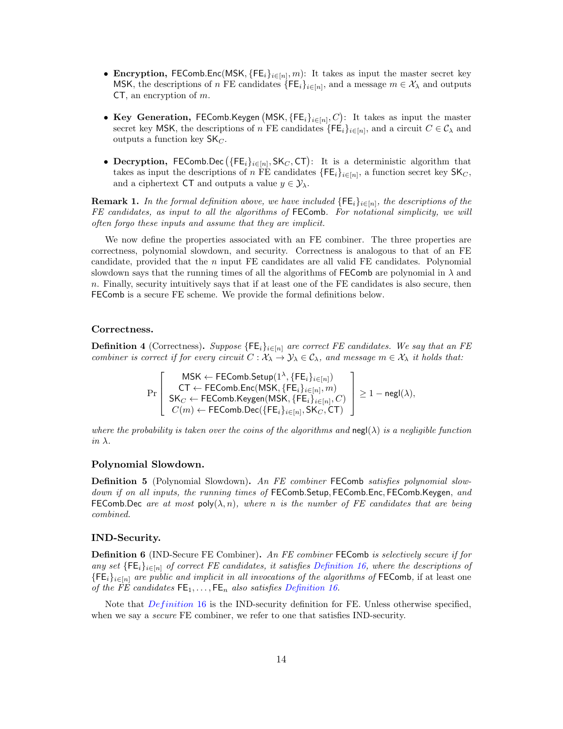- Encryption, FEComb.Enc(MSK,  ${FE_i}_{i\in[n]}$ , m): It takes as input the master secret key MSK, the descriptions of n FE candidates  $\{\mathsf{FE}_i\}_{i\in[n]}$ , and a message  $m\in\mathcal{X}_\lambda$  and outputs CT, an encryption of m.
- Key Generation, FEComb.Keygen (MSK,  $\{FE_i\}_{i\in[n]}, C$ ): It takes as input the master secret key MSK, the descriptions of n FE candidates  $\{\mathsf{FE}_i\}_{i\in[n]}$ , and a circuit  $C\in\mathcal{C}_\lambda$  and outputs a function key  $SK_C$ .
- Decryption, FEComb.Dec ( ${F}E_i\}_{i\in[n]}$ , SK<sub>C</sub>, CT): It is a deterministic algorithm that takes as input the descriptions of n FE candidates  $\{\mathsf{FE}_i\}_{i\in[n]}\$ , a function secret key  $\mathsf{SK}_C$ , and a ciphertext CT and outputs a value  $y \in \mathcal{Y}_\lambda$ .

**Remark 1.** In the formal definition above, we have included  $\{FE_i\}_{i\in[n]}$ , the descriptions of the FE candidates, as input to all the algorithms of FEComb. For notational simplicity, we will often forgo these inputs and assume that they are implicit.

We now define the properties associated with an FE combiner. The three properties are correctness, polynomial slowdown, and security. Correctness is analogous to that of an FE candidate, provided that the  $n$  input FE candidates are all valid FE candidates. Polynomial slowdown says that the running times of all the algorithms of FEComb are polynomial in  $\lambda$  and n. Finally, security intuitively says that if at least one of the FE candidates is also secure, then FEComb is a secure FE scheme. We provide the formal definitions below.

#### Correctness.

**Definition 4** (Correctness). Suppose  ${FE_i}_{i \in [n]}$  are correct FE candidates. We say that an FE combiner is correct if for every circuit  $C : \mathcal{X}_{\lambda} \to \mathcal{Y}_{\lambda} \in \mathcal{C}_{\lambda}$ , and message  $m \in \mathcal{X}_{\lambda}$  it holds that:

$$
\Pr\left[\begin{array}{c}\mathsf{MSK} \leftarrow \mathsf{FEComb}.\mathsf{Setup}(1^\lambda,\{\mathsf{FE}_i\}_{i\in[n]})\\\mathsf{CT} \leftarrow \mathsf{FEComb}.\mathsf{Enc}(\mathsf{MSK},\{\mathsf{FE}_i\}_{i\in[n]},m)\\\mathsf{SK}_C \leftarrow \mathsf{FEComb}.\mathsf{Keygen}(\mathsf{MSK},\{\mathsf{FE}_i\}_{i\in[n]},C)\\C(m) \leftarrow \mathsf{FEComb}.\mathsf{Dec}(\{\mathsf{FE}_i\}_{i\in[n]},\mathsf{SK}_C,\mathsf{CT})\end{array}\right]\geq 1-\mathsf{negl}(\lambda),
$$

where the probability is taken over the coins of the algorithms and negl( $\lambda$ ) is a negligible function in  $\lambda$ .

# Polynomial Slowdown.

Definition 5 (Polynomial Slowdown). An FE combiner FEComb satisfies polynomial slowdown if on all inputs, the running times of FEComb.Setup, FEComb.Enc, FEComb.Keygen, and **FEComb.** Dec are at most  $poly(\lambda, n)$ , where n is the number of FE candidates that are being combined.

#### IND-Security.

**Definition 6** (IND-Secure FE Combiner). An FE combiner FEComb is selectively secure if for any set  ${F \in \mathbb{R}}_{i\in[n]}$  of correct FE candidates, it satisfies [Definition 16,](#page-47-0) where the descriptions of  ${F_{\text{E}}}_{i\in[n]}$  are public and implicit in all invocations of the algorithms of FEComb, if at least one of the FE candidates  $FE_1, \ldots, FE_n$  also satisfies [Definition 16.](#page-47-0)

Note that  $Definition\ 16$  is the IND-security definition for FE. Unless otherwise specified, when we say a *secure* FE combiner, we refer to one that satisfies IND-security.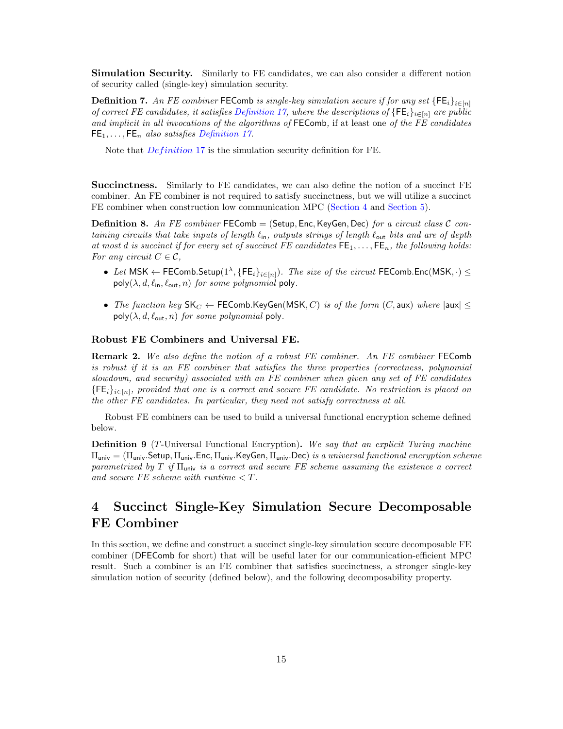Simulation Security. Similarly to FE candidates, we can also consider a different notion of security called (single-key) simulation security.

<span id="page-14-1"></span>**Definition 7.** An FE combiner FEComb is single-key simulation secure if for any set  ${F \in \{F_i\}_{i \in [n]} }$ of correct FE candidates, it satisfies [Definition 17,](#page-47-1) where the descriptions of  ${F \mathsf{E}_i}_{i \in [n]}$  are public and implicit in all invocations of the algorithms of  $FEComb$ , if at least one of the  $FE$  candidates  $FE_1, \ldots, FE_n$  also satisfies [Definition 17.](#page-47-1)

Note that  $Definition 17$  is the simulation security definition for FE.

**Succinctness.** Similarly to FE candidates, we can also define the notion of a succinct FE combiner. An FE combiner is not required to satisfy succinctness, but we will utilize a succinct FE combiner when construction low communication MPC [\(Section 4](#page-14-0) and [Section 5\)](#page-21-0).

**Definition 8.** An FE combiner FEComb = (Setup, Enc, KeyGen, Dec) for a circuit class C containing circuits that take inputs of length  $\ell_{\rm in}$ , outputs strings of length  $\ell_{\rm out}$  bits and are of depth at most d is succinct if for every set of succinct FE candidates  $FE_1, \ldots, FE_n$ , the following holds: For any circuit  $C \in \mathcal{C}$ ,

- Let MSK  $\leftarrow$  FEComb.Setup $(1^{\lambda}, \{ \mathsf{FE}_i \}_{i \in [n]})$ . The size of the circuit FEComb.Enc(MSK, $\cdot$ )  $\leq$ poly( $\lambda$ ,  $d$ ,  $\ell_{\text{in}}$ ,  $\ell_{\text{out}}$ ,  $n$ ) for some polynomial poly.
- The function key  $SK_C \leftarrow$  FEComb.KeyGen(MSK, C) is of the form  $(C, aux)$  where  $|aux| \leq$  $\mathsf{poly}(\lambda, d, \ell_{\mathsf{out}}, n)$  for some polynomial poly.

#### Robust FE Combiners and Universal FE.

Remark 2. We also define the notion of a robust FE combiner. An FE combiner FEComb is robust if it is an FE combiner that satisfies the three properties (correctness, polynomial slowdown, and security) associated with an FE combiner when given any set of FE candidates  ${E_i}_{i\in[n]}$ , provided that one is a correct and secure FE candidate. No restriction is placed on the other FE candidates. In particular, they need not satisfy correctness at all.

Robust FE combiners can be used to build a universal functional encryption scheme defined below.

**Definition 9** (T-Universal Functional Encryption). We say that an explicit Turing machine  $\Pi_{\text{univ}} = (\Pi_{\text{univ}}.\text{Setup},\Pi_{\text{univ}}.\text{Enc},\Pi_{\text{univ}}.\text{KeyGen},\Pi_{\text{univ}}.\text{Dec})$  is a universal functional encryption scheme parametrized by T if  $\Pi_{\text{univ}}$  is a correct and secure FE scheme assuming the existence a correct and secure FE scheme with runtime  $\langle T \rangle$ .

# <span id="page-14-0"></span>4 Succinct Single-Key Simulation Secure Decomposable FE Combiner

In this section, we define and construct a succinct single-key simulation secure decomposable FE combiner (DFEComb for short) that will be useful later for our communication-efficient MPC result. Such a combiner is an FE combiner that satisfies succinctness, a stronger single-key simulation notion of security (defined below), and the following decomposability property.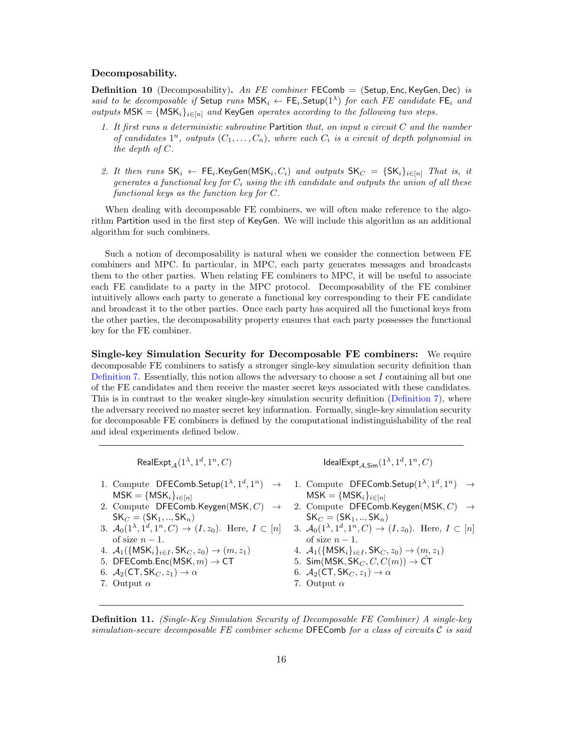#### Decomposability.

**Definition 10** (Decomposability). An FE combiner FEComb = (Setup, Enc, KeyGen, Dec) is said to be decomposable if Setup runs  $MSK_i \leftarrow FE_i$ . Setup $(1^{\lambda})$  for each FE candidate FE<sub>i</sub> and outputs  $MSK = \{MSK_i\}_{i \in [n]}$  and KeyGen operates according to the following two steps.

- 1. It first runs a deterministic subroutine Partition that, on input a circuit  $C$  and the number of candidates  $1^n$ , outputs  $(C_1, \ldots, C_n)$ , where each  $C_i$  is a circuit of depth polynomial in the depth of C.
- 2. It then runs  $SK_i \leftarrow FE_i.KeyGen(MSK_i, C_i)$  and outputs  $SK_C = \{SK_i\}_{i \in [n]}$  That is, it generates a functional key for  $C_i$  using the ith candidate and outputs the union of all these functional keys as the function key for C.

When dealing with decomposable FE combiners, we will often make reference to the algorithm Partition used in the first step of KeyGen. We will include this algorithm as an additional algorithm for such combiners.

Such a notion of decomposability is natural when we consider the connection between FE combiners and MPC. In particular, in MPC, each party generates messages and broadcasts them to the other parties. When relating FE combiners to MPC, it will be useful to associate each FE candidate to a party in the MPC protocol. Decomposability of the FE combiner intuitively allows each party to generate a functional key corresponding to their FE candidate and broadcast it to the other parties. Once each party has acquired all the functional keys from the other parties, the decomposability property ensures that each party possesses the functional key for the FE combiner.

Single-key Simulation Security for Decomposable FE combiners: We require decomposable FE combiners to satisfy a stronger single-key simulation security definition than [Definition 7.](#page-14-1) Essentially, this notion allows the adversary to choose a set I containing all but one of the FE candidates and then receive the master secret keys associated with these candidates. This is in contrast to the weaker single-key simulation security definition [\(Definition 7\)](#page-14-1), where the adversary received no master secret key information. Formally, single-key simulation security for decomposable FE combiners is defined by the computational indistinguishability of the real and ideal experiments defined below.

 $\mathsf{RealExpt}_{\mathcal{A}}(1^\lambda,1^d,1^n,C)$ 

- 1. Compute DFEComb.Setup $(1^{\lambda}, 1^d, 1^n) \rightarrow$  $MSK = \{MSK_i\}_{i \in [n]}$
- 2. Compute DFEComb.Keygen(MSK,  $C$ )  $\rightarrow$  $SK_C = (SK_1, ..., SK_n)$
- 3.  $A_0(1^{\lambda}, 1^d, 1^n, C) \to (I, z_0)$ . Here,  $I \subset [n]$ of size  $n-1$ .
- 4.  $A_1({MSK}_i)_{i\in I}, SK_C, z_0) \rightarrow (m, z_1)$
- 5. DFEComb.Enc(MSK,  $m$ )  $\rightarrow$  CT
- 6.  $A_2$ (CT, SK<sub>C</sub>,  $z_1$ )  $\rightarrow \alpha$
- 7. Output  $\alpha$

 $\mathsf{IdealExpt}_{\mathcal{A},\mathsf{Sim}}(1^\lambda,1^d,1^n,C)$ 

- 1. Compute DFEComb.Setup $(1^{\lambda}, 1^d, 1^n) \rightarrow$  $MSK = \{MSK_i\}_{i \in [n]}$
- 2. Compute DFEComb.Keygen(MSK,  $C$ )  $\rightarrow$  $SK_C = (SK_1, ..., SK_n)$
- 3.  $A_0(1^{\lambda}, 1^d, 1^n, C) \to (I, z_0)$ . Here,  $I \subset [n]$ of size  $n-1$ .
- 4.  $A_1({MSK}_i)_{i\in I}, SK_C, z_0) \rightarrow (m, z_1)$
- 5. Sim(MSK, SK $_C$ ,  $C$ ,  $C(m)$ )  $\rightarrow$  CT
- 6.  $A_2$ (CT, SK<sub>C</sub>,  $z_1$ )  $\rightarrow \alpha$
- 7. Output  $\alpha$

<span id="page-15-0"></span>Definition 11. (Single-Key Simulation Security of Decomposable FE Combiner) A single-key simulation-secure decomposable FE combiner scheme DFEComb for a class of circuits  $\mathcal C$  is said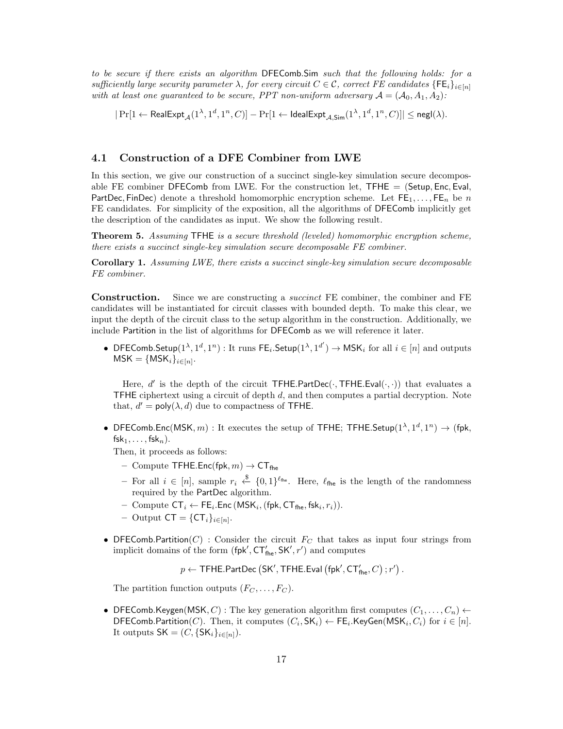to be secure if there exists an algorithm DFEComb.Sim such that the following holds: for a sufficiently large security parameter  $\lambda$ , for every circuit  $C \in \mathcal{C}$ , correct FE candidates  $\{FE_i\}_{i\in[n]}$ with at least one guaranteed to be secure, PPT non-uniform adversary  $A = (A_0, A_1, A_2)$ :

 $|\Pr[1 \leftarrow \mathsf{RealExpt}_{\mathcal{A}}(1^\lambda, 1^d, 1^n, C)] - \Pr[1 \leftarrow \mathsf{IdealExpt}_{\mathcal{A}, \mathsf{Sim}}(1^\lambda, 1^d, 1^n, C)]| \leq \mathsf{negl}(\lambda).$ 

### 4.1 Construction of a DFE Combiner from LWE

In this section, we give our construction of a succinct single-key simulation secure decomposable FE combiner DFEComb from LWE. For the construction let,  $TFHE = (Setup, Enc, Eva, I)$ PartDec, FinDec) denote a threshold homomorphic encryption scheme. Let  $FE_1, \ldots, FE_n$  be n FE candidates. For simplicity of the exposition, all the algorithms of DFEComb implicitly get the description of the candidates as input. We show the following result.

<span id="page-16-0"></span>Theorem 5. Assuming TFHE is a secure threshold (leveled) homomorphic encryption scheme, there exists a succinct single-key simulation secure decomposable FE combiner.

Corollary 1. Assuming LWE, there exists a succinct single-key simulation secure decomposable FE combiner.

Construction. Since we are constructing a *succinct* FE combiner, the combiner and FE candidates will be instantiated for circuit classes with bounded depth. To make this clear, we input the depth of the circuit class to the setup algorithm in the construction. Additionally, we include Partition in the list of algorithms for DFEComb as we will reference it later.

• DFEComb.Setup $(1^{\lambda}, 1^d, 1^n)$ : It runs  $\mathsf{FE}_i$ .Setup $(1^{\lambda}, 1^{d'}) \to \mathsf{MSK}_i$  for all  $i \in [n]$  and outputs  $\mathsf{MSK} = \{\mathsf{MSK}_i\}_{i \in [n]}.$ 

Here, d' is the depth of the circuit TFHE.PartDec( $\cdot$ , TFHE.Eval( $\cdot$ , $\cdot$ )) that evaluates a TFHE ciphertext using a circuit of depth  $d$ , and then computes a partial decryption. Note that,  $d' = \text{poly}(\lambda, d)$  due to compactness of TFHE.

• DFEComb. Enc(MSK, m) : It executes the setup of TFHE; TFHE. Setup( $1^{\lambda}, 1^d, 1^n$ )  $\rightarrow$  (fpk,  $f$ sk $_1, \ldots, f$ sk $_n$ ).

Then, it proceeds as follows:

- Compute TFHE.Enc(fpk,  $m$ )  $\rightarrow$  CT<sub>fhe</sub>
- $-$  For all  $i \in [n]$ , sample  $r_i \stackrel{\$}{\leftarrow} \{0,1\}^{\ell_{\text{fhe}}}$ . Here,  $\ell_{\text{fhe}}$  is the length of the randomness required by the PartDec algorithm.
- $-$  Compute  $\mathsf{CT}_i \leftarrow \mathsf{FE}_i.\mathsf{Enc}\left(\mathsf{MSK}_i, (\mathsf{fpk}, \mathsf{CT}_{\mathsf{fhe}}, \mathsf{fsk}_i, r_i)\right).$
- $-$  Output  $CT = \{CT_i\}_{i \in [n]}.$
- DFEComb.Partition(C) : Consider the circuit  $F_C$  that takes as input four strings from implicit domains of the form  $(\textsf{fpk}', \textsf{CT}'_{\textsf{fhe}}, \textsf{SK}', r')$  and computes

 $p \leftarrow \mathsf{TFHE}.\mathsf{PartDec}\left(\mathsf{SK}^{\prime},\mathsf{TFHE}.\mathsf{Eval}\left(\mathsf{fpk}^{\prime},\mathsf{CT}_{\mathsf{fhe}}^{\prime},C\right);r^{\prime}\right).$ 

The partition function outputs  $(F_C, \ldots, F_C)$ .

• DFEComb.Keygen(MSK, C) : The key generation algorithm first computes  $(C_1, \ldots, C_n)$   $\leftarrow$ DFEComb.Partition(C). Then, it computes  $(C_i, \mathsf{SK}_i) \leftarrow \mathsf{FE}_i.\mathsf{KeyGen}(\mathsf{MSK}_i, C_i)$  for  $i \in [n].$ It outputs  $SK = (C, \{SK_i\}_{i \in [n]})$ .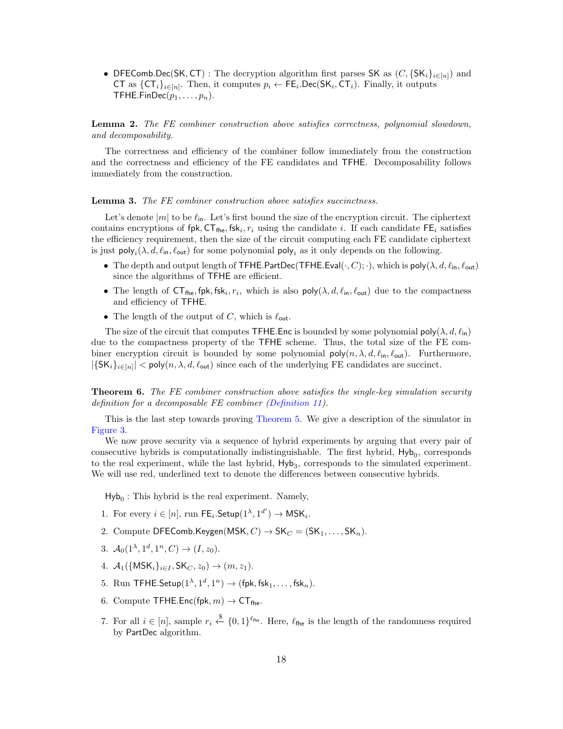• DFEComb.Dec(SK, CT) : The decryption algorithm first parses SK as  $(C, \{SK_i\}_{i\in[n]})$  and CT as  $\{CT_i\}_{i\in[n]}$ . Then, it computes  $p_i \leftarrow \mathsf{FE}_i\textsf{Dec}(\mathsf{SK}_i, \mathsf{CT}_i)$ . Finally, it outputs TFHE.FinDec $(p_1, \ldots, p_n)$ .

Lemma 2. The FE combiner construction above satisfies correctness, polynomial slowdown, and decomposability.

The correctness and efficiency of the combiner follow immediately from the construction and the correctness and efficiency of the FE candidates and TFHE. Decomposability follows immediately from the construction.

**Lemma 3.** The FE combiner construction above satisfies succinctness.

Let's denote  $|m|$  to be  $\ell_{in}$ . Let's first bound the size of the encryption circuit. The ciphertext contains encryptions of  $f_p k$ ,  $CT_{fhe}$ ,  $fsk_i$ ,  $r_i$  using the candidate *i*. If each candidate  $FE_i$  satisfies the efficiency requirement, then the size of the circuit computing each FE candidate ciphertext is just  $\text{poly}_i(\lambda, d, \ell_{\text{in}}, \ell_{\text{out}})$  for some polynomial  $\text{poly}_i$  as it only depends on the following.

- The depth and output length of TFHE.PartDec(TFHE.Eval( $\cdot$ , C);  $\cdot$ ), which is poly( $\lambda$ ,  $d$ ,  $\ell_{\rm in}$ ,  $\ell_{\rm out}$ ) since the algorithms of TFHE are efficient.
- The length of  $CT_{\text{fhe}},$  fpk, fsk<sub>i</sub>,  $r_i$ , which is also poly $(\lambda, d, \ell_{\text{in}}, \ell_{\text{out}})$  due to the compactness and efficiency of TFHE.
- The length of the output of C, which is  $\ell_{\text{out}}$ .

The size of the circuit that computes TFHE. Enc is bounded by some polynomial  $poly(\lambda, d, \ell_{\text{in}})$ due to the compactness property of the TFHE scheme. Thus, the total size of the FE combiner encryption circuit is bounded by some polynomial  $\text{poly}(n, \lambda, d, \ell_{\text{in}}, \ell_{\text{out}})$ . Furthermore,  $|\{\mathsf{SK}_i\}_{i\in[n]}| < \mathsf{poly}(n, \lambda, d, \ell_{\mathsf{out}})$  since each of the underlying FE candidates are succinct.

Theorem 6. The FE combiner construction above satisfies the single-key simulation security definition for a decomposable FE combiner [\(Definition 11\)](#page-15-0).

This is the last step towards proving [Theorem 5.](#page-16-0) We give a description of the simulator in [Figure 3.](#page-18-0)

We now prove security via a sequence of hybrid experiments by arguing that every pair of consecutive hybrids is computationally indistinguishable. The first hybrid,  $Hyb<sub>0</sub>$ , corresponds to the real experiment, while the last hybrid,  $Hyb<sub>3</sub>$ , corresponds to the simulated experiment. We will use red, underlined text to denote the differences between consecutive hybrids.

 $Hyb<sub>0</sub>$ : This hybrid is the real experiment. Namely,

- 1. For every  $i \in [n]$ , run  $\mathsf{FE}_i$ . Setup $(1^{\lambda}, 1^{d'}) \to \mathsf{MSK}_i$ .
- 2. Compute DFEComb.Keygen(MSK,  $C$ )  $\rightarrow$  SK $_C =$  (SK<sub>1</sub>, ..., SK<sub>n</sub>).
- 3.  $A_0(1^{\lambda}, 1^d, 1^n, C) \to (I, z_0)$ .
- 4.  $A_1({MSK_i}_{i \in I}, SK_C, z_0) \rightarrow (m, z_1)$ .
- 5. Run TFHE.Setup $(1^{\lambda}, 1^d, 1^n) \rightarrow (\textsf{fpk}, \textsf{fsk}_1, \ldots, \textsf{fsk}_n).$
- 6. Compute TFHE.Enc(fpk,  $m$ )  $\rightarrow$  CT<sub>fhe</sub>.
- 7. For all  $i \in [n]$ , sample  $r_i \stackrel{\$}{\leftarrow} \{0,1\}^{\ell_{\text{fhe}}}$ . Here,  $\ell_{\text{fhe}}$  is the length of the randomness required by PartDec algorithm.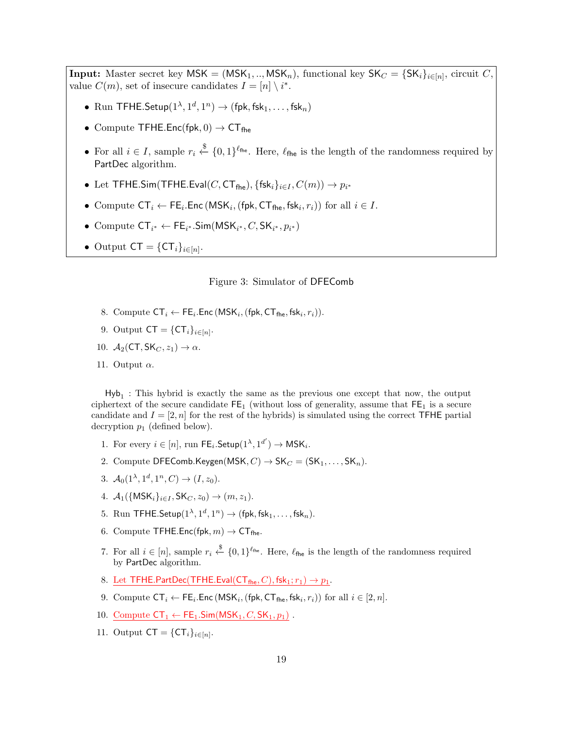**Input:** Master secret key  $\mathsf{MSK} = (\mathsf{MSK}_1, ..., \mathsf{MSK}_n)$ , functional key  $\mathsf{SK}_C = \{\mathsf{SK}_i\}_{i \in [n]},$  circuit C, value  $C(m)$ , set of insecure candidates  $I = [n] \setminus i^*$ .

- Run TFHE.Setup $(1^{\lambda}, 1^d, 1^n) \rightarrow (\textsf{fpk}, \textsf{fsk}_1, \ldots, \textsf{fsk}_n)$
- Compute TFHE.Enc(fpk,  $0 \rightarrow CT_{\text{fhe}}$
- For all  $i \in I$ , sample  $r_i \stackrel{\$}{\leftarrow} \{0,1\}^{\ell_{\text{fhe}}}$ . Here,  $\ell_{\text{fhe}}$  is the length of the randomness required by PartDec algorithm.
- Let TFHE.Sim(TFHE.Eval( $C,$  CT $_{\text{fhe}}$ ),  $\{\textsf{fsk}_i\}_{i\in I},$   $C(m))\rightarrow p_{i^*}$
- Compute  $\mathsf{CT}_i \leftarrow \mathsf{FE}_i.\mathsf{Enc}\left(\mathsf{MSK}_i, (\mathsf{fpk}, \mathsf{CT}_{\mathsf{fhe}}, \mathsf{fsk}_i, r_i)\right)$  for all  $i \in I$ .
- Compute  $CT_{i^*} \leftarrow \mathsf{FE}_{i^*}$ . Sim(MSK $_{i^*}, C, SK_{i^*}, p_{i^*})$
- <span id="page-18-0"></span>• Output  $CT = \{CT_i\}_{i \in [n]}.$

#### Figure 3: Simulator of DFEComb

- 8. Compute  $\mathsf{CT}_i \leftarrow \mathsf{FE}_i.\mathsf{Enc}\left(\mathsf{MSK}_i, (\mathsf{fpk}, \mathsf{CT}_{\mathsf{fhe}}, \mathsf{fsk}_i, r_i)\right).$
- 9. Output  $CT = \{CT_i\}_{i \in [n]}.$
- 10.  $A_2$ (CT, SK<sub>C</sub>,  $z_1$ )  $\rightarrow \alpha$ .
- 11. Output  $\alpha$ .

 $Hyb_1$ : This hybrid is exactly the same as the previous one except that now, the output ciphertext of the secure candidate  $FE_1$  (without loss of generality, assume that  $FE_1$  is a secure candidate and  $I = [2, n]$  for the rest of the hybrids) is simulated using the correct TFHE partial decryption  $p_1$  (defined below).

- 1. For every  $i \in [n]$ , run  $\mathsf{FE}_i$ . Setup $(1^{\lambda}, 1^{d'}) \to \mathsf{MSK}_i$ .
- 2. Compute DFEComb.Keygen(MSK,  $C$ )  $\rightarrow$  SK $_C =$  (SK<sub>1</sub>, ..., SK<sub>n</sub>).
- 3.  $A_0(1^{\lambda}, 1^d, 1^n, C) \to (I, z_0)$ .
- 4.  $A_1({\{MSK_i\}}_{i\in I}, SK_C, z_0) \rightarrow (m, z_1)$ .
- 5. Run TFHE.Setup $(1^{\lambda}, 1^d, 1^n) \rightarrow (\textsf{fpk}, \textsf{fsk}_1, \ldots, \textsf{fsk}_n).$
- 6. Compute TFHE.Enc(fpk,  $m$ )  $\rightarrow$  CT<sub>fhe</sub>.
- 7. For all  $i \in [n]$ , sample  $r_i \stackrel{\$}{\leftarrow} \{0,1\}^{\ell_{\text{fhe}}}$ . Here,  $\ell_{\text{fhe}}$  is the length of the randomness required by PartDec algorithm.
- 8. Let TFHE.PartDec(TFHE.Eval( $CT_{\text{fhe}}, C$ ), fsk<sub>1</sub>;  $r_1$ )  $\rightarrow$   $p_1$ .
- 9. Compute  $\mathsf{CT}_i \leftarrow \mathsf{FE}_i.\mathsf{Enc}(\mathsf{MSK}_i, (\mathsf{fpk},\mathsf{CT}_{\mathsf{fhe}},\mathsf{fsk}_i,r_i))$  for all  $i \in [2,n].$
- 10. Compute  $\mathsf{CT}_1 \leftarrow \mathsf{FE}_1.\mathsf{Sim}(\mathsf{MSK}_1, C, \mathsf{SK}_1, p_1)$ .
- 11. Output  $CT = \{CT_i\}_{i \in [n]}.$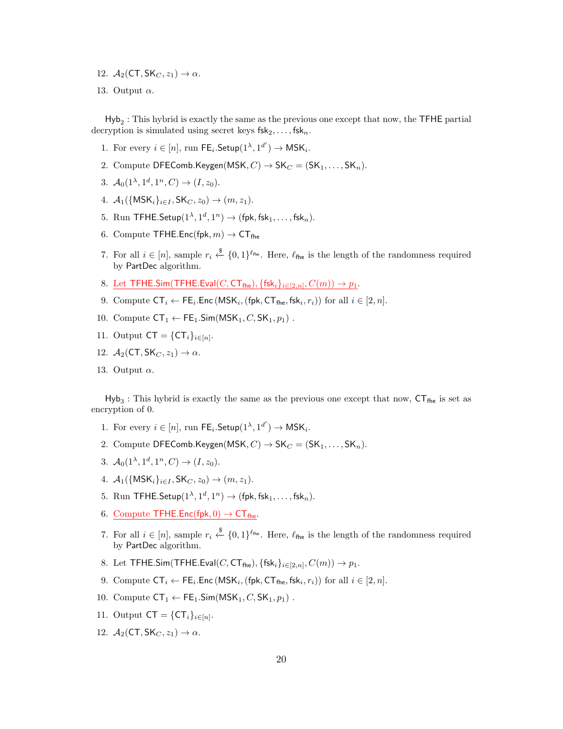12.  $A_2$ (CT, SK<sub>C</sub>,  $z_1$ )  $\rightarrow \alpha$ .

13. Output  $\alpha$ .

 $Hyb<sub>2</sub>$ : This hybrid is exactly the same as the previous one except that now, the TFHE partial decryption is simulated using secret keys  $fsk_2, \ldots, fsk_n$ .

- 1. For every  $i \in [n]$ , run  $\mathsf{FE}_i$ . Setup $(1^{\lambda}, 1^{d'}) \to \mathsf{MSK}_i$ .
- 2. Compute DFEComb.Keygen(MSK,  $C$ )  $\rightarrow$  SK $_C =$  (SK<sub>1</sub>, ..., SK<sub>n</sub>).
- 3.  $A_0(1^{\lambda}, 1^d, 1^n, C) \rightarrow (I, z_0)$ .
- 4.  $A_1({MSK}_i)_{i\in I}, SK_C, z_0) \rightarrow (m, z_1)$ .
- 5. Run TFHE.Setup $(1^{\lambda}, 1^d, 1^n) \rightarrow (\textsf{fpk}, \textsf{fsk}_1, \ldots, \textsf{fsk}_n).$
- 6. Compute TFHE.Enc(fpk,  $m$ )  $\rightarrow$  CT<sub>fhe</sub>
- 7. For all  $i \in [n]$ , sample  $r_i \stackrel{\$}{\leftarrow} \{0,1\}^{\ell_{\text{fhe}}}$ . Here,  $\ell_{\text{fhe}}$  is the length of the randomness required by PartDec algorithm.
- 8. Let TFHE.Sim(TFHE.Eval(C,  $CT_{\text{fhe}}$ ),  $\{\text{fsk}_i\}_{i\in[2,n]}, C(m)) \rightarrow p_1$ .
- 9. Compute  $\mathsf{CT}_i \leftarrow \mathsf{FE}_i.\mathsf{Enc}(\mathsf{MSK}_i, (\mathsf{fpk},\mathsf{CT}_{\mathsf{fhe}},\mathsf{fsk}_i,r_i))$  for all  $i \in [2,n].$
- 10. Compute  $\mathsf{CT}_1 \leftarrow \mathsf{FE}_1.\mathsf{Sim}(\mathsf{MSK}_1, C, \mathsf{SK}_1, p_1)$ .
- 11. Output  $CT = \{CT_i\}_{i \in [n]}.$
- 12.  $A_2(\text{CT}, \text{SK}_C, z_1) \rightarrow \alpha$ .
- 13. Output  $\alpha$ .

 $Hyb<sub>3</sub>$ : This hybrid is exactly the same as the previous one except that now,  $CT<sub>fhe</sub>$  is set as encryption of 0.

- 1. For every  $i \in [n]$ , run  $\mathsf{FE}_i$ . Setup $(1^{\lambda}, 1^{d'}) \to \mathsf{MSK}_i$ .
- 2. Compute DFEComb.Keygen(MSK,  $C$ )  $\rightarrow$  SK $_C =$  (SK<sub>1</sub>, ..., SK<sub>n</sub>).
- 3.  $A_0(1^{\lambda}, 1^d, 1^n, C) \rightarrow (I, z_0)$ .
- 4.  $A_1({MSK}_i)_{i\in I}, SK_C, z_0) \rightarrow (m, z_1)$ .
- 5. Run TFHE.Setup $(1^{\lambda}, 1^d, 1^n) \rightarrow (\textsf{fpk}, \textsf{fsk}_1, \ldots, \textsf{fsk}_n).$
- 6. Compute TFHE.Enc(fpk, 0)  $\rightarrow$  CT<sub>fhe</sub>.
- 7. For all  $i \in [n]$ , sample  $r_i \stackrel{\$}{\leftarrow} \{0,1\}^{\ell_{\text{fhe}}}$ . Here,  $\ell_{\text{fhe}}$  is the length of the randomness required by PartDec algorithm.
- 8. Let TFHE.Sim(TFHE.Eval( $C,$  CT<sub>fhe</sub>), {fsk<sub>i</sub>}<sub>i∈[2,n]</sub>,  $C(m)) \rightarrow p_1$ .
- 9. Compute  $\mathsf{CT}_i \leftarrow \mathsf{FE}_i.\mathsf{Enc}(\mathsf{MSK}_i, (\mathsf{fpk},\mathsf{CT}_{\mathsf{fhe}},\mathsf{fsk}_i,r_i))$  for all  $i \in [2,n].$
- 10. Compute  $\mathsf{CT}_1 \leftarrow \mathsf{FE}_1.\mathsf{Sim}(\mathsf{MSK}_1, C, \mathsf{SK}_1, p_1)$ .
- 11. Output  $CT = \{CT_i\}_{i \in [n]}.$
- 12.  $A_2$ (CT, SK<sub>C</sub>,  $z_1$ )  $\rightarrow \alpha$ .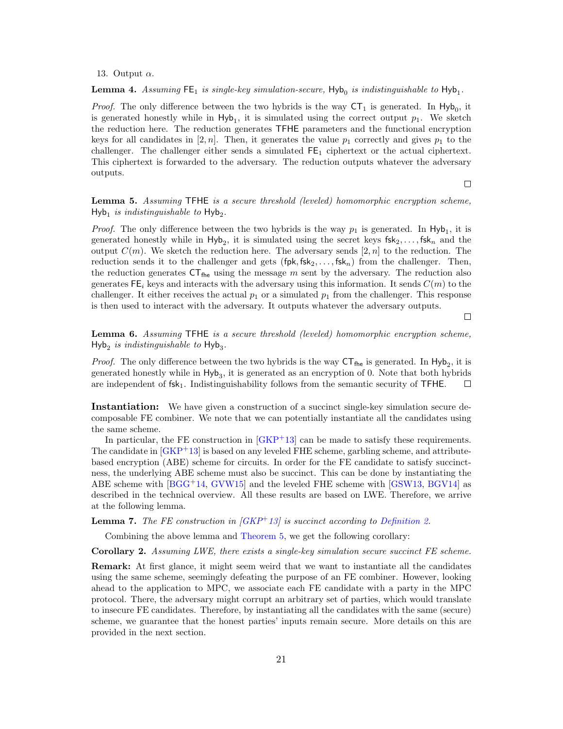13. Output  $\alpha$ .

**Lemma 4.** Assuming  $FE_1$  is single-key simulation-secure,  $Hyb_0$  is indistinguishable to  $Hyb_1$ .

*Proof.* The only difference between the two hybrids is the way  $CT_1$  is generated. In  $Hyb_0$ , it is generated honestly while in  $Hyb_1$ , it is simulated using the correct output  $p_1$ . We sketch the reduction here. The reduction generates TFHE parameters and the functional encryption keys for all candidates in [2, n]. Then, it generates the value  $p_1$  correctly and gives  $p_1$  to the challenger. The challenger either sends a simulated  $FE<sub>1</sub>$  ciphertext or the actual ciphertext. This ciphertext is forwarded to the adversary. The reduction outputs whatever the adversary outputs.

Lemma 5. Assuming TFHE is a secure threshold (leveled) homomorphic encryption scheme,  $Hyb<sub>1</sub>$  is indistinguishable to  $Hyb<sub>2</sub>$ .

*Proof.* The only difference between the two hybrids is the way  $p_1$  is generated. In  $Hyb_1$ , it is generated honestly while in  $Hyb_2$ , it is simulated using the secret keys  $fsk_2, \ldots, fsk_n$  and the output  $C(m)$ . We sketch the reduction here. The adversary sends [2, n] to the reduction. The reduction sends it to the challenger and gets  $(\text{fpk}, \text{fsk}_2, \ldots, \text{fsk}_n)$  from the challenger. Then, the reduction generates  $CT_{\text{fhe}}$  using the message m sent by the adversary. The reduction also generates  $FE_i$  keys and interacts with the adversary using this information. It sends  $C(m)$  to the challenger. It either receives the actual  $p_1$  or a simulated  $p_1$  from the challenger. This response is then used to interact with the adversary. It outputs whatever the adversary outputs.

 $\Box$ 

 $\Box$ 

Lemma 6. Assuming TFHE is a secure threshold (leveled) homomorphic encryption scheme,  $Hyb<sub>2</sub>$  is indistinguishable to  $Hyb<sub>3</sub>$ .

*Proof.* The only difference between the two hybrids is the way  $CT_{\text{fhe}}$  is generated. In  $Hyb_2$ , it is generated honestly while in  $\mathsf{Hyb}_3$ , it is generated as an encryption of 0. Note that both hybrids are independent of  $fsk_1$ . Indistinguishability follows from the semantic security of TFHE.  $\Box$ 

Instantiation: We have given a construction of a succinct single-key simulation secure decomposable FE combiner. We note that we can potentially instantiate all the candidates using the same scheme.

In particular, the FE construction in  $\lfloor GKP^+13 \rfloor$  can be made to satisfy these requirements. The candidate in  $[\rm GKP^+13]$  is based on any leveled FHE scheme, garbling scheme, and attributebased encryption (ABE) scheme for circuits. In order for the FE candidate to satisfy succinctness, the underlying ABE scheme must also be succinct. This can be done by instantiating the ABE scheme with [\[BGG](#page-43-11)+14, [GVW15\]](#page-45-18) and the leveled FHE scheme with [\[GSW13,](#page-45-17) [BGV14\]](#page-43-12) as described in the technical overview. All these results are based on LWE. Therefore, we arrive at the following lemma.

<span id="page-20-0"></span>**Lemma 7.** The FE construction in  $|GKP^+13|$  is succinct according to [Definition 2.](#page-11-0)

Combining the above lemma and [Theorem 5,](#page-16-0) we get the following corollary:

Corollary 2. Assuming LWE, there exists a single-key simulation secure succinct FE scheme.

Remark: At first glance, it might seem weird that we want to instantiate all the candidates using the same scheme, seemingly defeating the purpose of an FE combiner. However, looking ahead to the application to MPC, we associate each FE candidate with a party in the MPC protocol. There, the adversary might corrupt an arbitrary set of parties, which would translate to insecure FE candidates. Therefore, by instantiating all the candidates with the same (secure) scheme, we guarantee that the honest parties' inputs remain secure. More details on this are provided in the next section.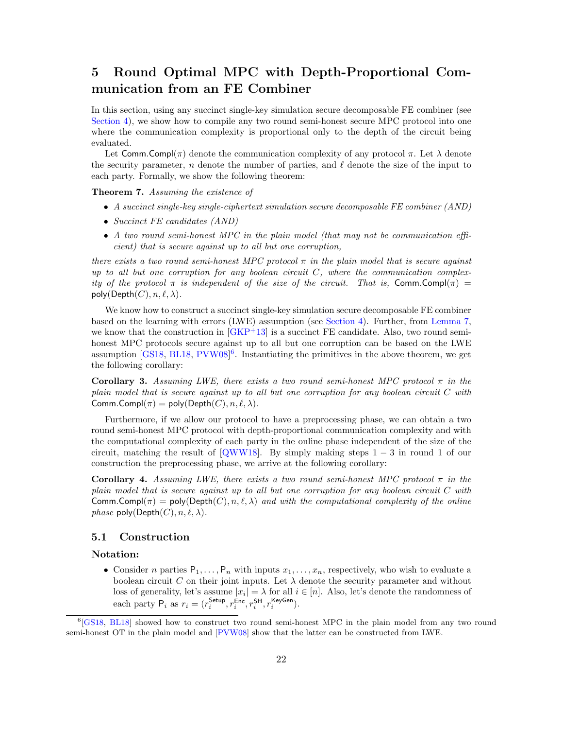# <span id="page-21-0"></span>5 Round Optimal MPC with Depth-Proportional Communication from an FE Combiner

In this section, using any succinct single-key simulation secure decomposable FE combiner (see [Section 4\)](#page-14-0), we show how to compile any two round semi-honest secure MPC protocol into one where the communication complexity is proportional only to the depth of the circuit being evaluated.

Let Comm.Compl(π) denote the communication complexity of any protocol  $\pi$ . Let  $\lambda$  denote the security parameter, n denote the number of parties, and  $\ell$  denote the size of the input to each party. Formally, we show the following theorem:

<span id="page-21-1"></span>Theorem 7. Assuming the existence of

- A succinct single-key single-ciphertext simulation secure decomposable FE combiner (AND)
- Succinct FE candidates (AND)
- A two round semi-honest MPC in the plain model (that may not be communication efficient) that is secure against up to all but one corruption,

there exists a two round semi-honest MPC protocol  $\pi$  in the plain model that is secure against up to all but one corruption for any boolean circuit  $C$ , where the communication complexity of the protocol  $\pi$  is independent of the size of the circuit. That is, Comm.Compl( $\pi$ ) = poly( $Depth(C), n, \ell, \lambda$ ).

We know how to construct a succinct single-key simulation secure decomposable FE combiner based on the learning with errors (LWE) assumption (see [Section 4\)](#page-14-0). Further, from [Lemma 7,](#page-20-0) we know that the construction in  $[GKP^+13]$  $[GKP^+13]$  is a succinct FE candidate. Also, two round semihonest MPC protocols secure against up to all but one corruption can be based on the LWE assumption [\[GS18,](#page-45-12) [BL18,](#page-44-9) [PVW08\]](#page-46-14)<sup>[6](#page-0-0)</sup>. Instantiating the primitives in the above theorem, we get the following corollary:

**Corollary 3.** Assuming LWE, there exists a two round semi-honest MPC protocol  $\pi$  in the plain model that is secure against up to all but one corruption for any boolean circuit C with Comm.Compl $(\pi)$  = poly(Depth $(C), n, \ell, \lambda$ ).

Furthermore, if we allow our protocol to have a preprocessing phase, we can obtain a two round semi-honest MPC protocol with depth-proportional communication complexity and with the computational complexity of each party in the online phase independent of the size of the circuit, matching the result of  $\text{[QWW18]}$  $\text{[QWW18]}$  $\text{[QWW18]}$ . By simply making steps  $1-3$  in round 1 of our construction the preprocessing phase, we arrive at the following corollary:

Corollary 4. Assuming LWE, there exists a two round semi-honest MPC protocol  $\pi$  in the plain model that is secure against up to all but one corruption for any boolean circuit C with Comm.Compl( $\pi$ ) = poly(Depth(C),  $n, \ell, \lambda$ ) and with the computational complexity of the online *phase*  $poly(Depth(C), n, \ell, \lambda)$ .

## 5.1 Construction

#### Notation:

• Consider n parties  $P_1, \ldots, P_n$  with inputs  $x_1, \ldots, x_n$ , respectively, who wish to evaluate a boolean circuit C on their joint inputs. Let  $\lambda$  denote the security parameter and without loss of generality, let's assume  $|x_i| = \lambda$  for all  $i \in [n]$ . Also, let's denote the randomness of each party  $P_i$  as  $r_i = (r_i^{\text{Setup}}, r_i^{\text{Enc}}, r_i^{\text{SH}}, r_i^{\text{KeyGen}})$ .

<sup>&</sup>lt;sup>6</sup>[\[GS18,](#page-45-12) [BL18\]](#page-44-9) showed how to construct two round semi-honest MPC in the plain model from any two round semi-honest OT in the plain model and [\[PVW08\]](#page-46-14) show that the latter can be constructed from LWE.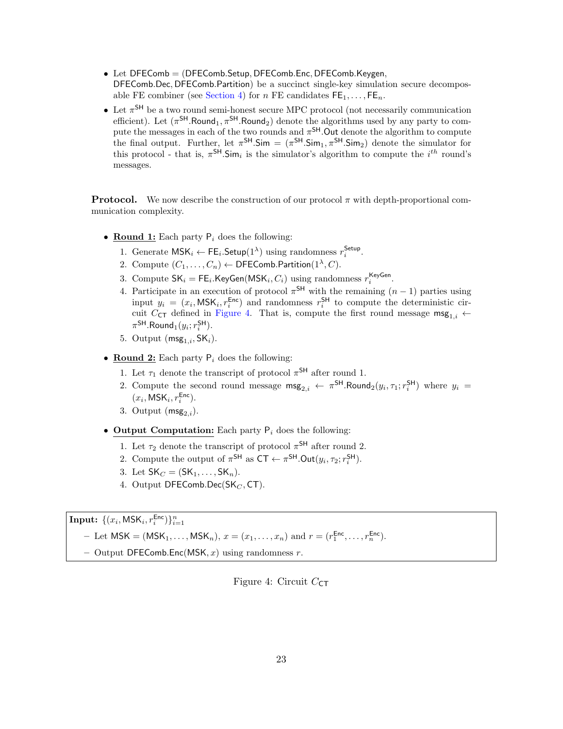- Let DFEComb = (DFEComb.Setup, DFEComb.Enc, DFEComb.Keygen, DFEComb.Dec, DFEComb.Partition) be a succinct single-key simulation secure decompos-able FE combiner (see [Section 4\)](#page-14-0) for n FE candidates  $FE_1, \ldots, FE_n$ .
- Let  $\pi^{\mathsf{SH}}$  be a two round semi-honest secure MPC protocol (not necessarily communication efficient). Let  $(\pi^{\text{SH}}.\text{Round}_1, \pi^{\text{SH}}.\text{Round}_2)$  denote the algorithms used by any party to compute the messages in each of the two rounds and  $\pi^{\mathsf{SH}}$ . Out denote the algorithm to compute the final output. Further, let  $\pi^{SH} \cdot Sim = (\pi^{SH} \cdot Sim_1, \pi^{SH} \cdot Sim_2)$  denote the simulator for this protocol - that is,  $\pi^{\mathsf{SH}}$ . Sim<sub>i</sub> is the simulator's algorithm to compute the  $i^{th}$  round's messages.

**Protocol.** We now describe the construction of our protocol  $\pi$  with depth-proportional communication complexity.

- Round 1: Each party  $P_i$  does the following:
	- 1. Generate  $\mathsf{MSK}_i \leftarrow \mathsf{FE}_i.\mathsf{Setup}(1^{\lambda})$  using randomness  $r_i^{\mathsf{Setup}}$ .
	- 2. Compute  $(C_1, \ldots, C_n) \leftarrow \mathsf{DFEComb}$ . Partition $(1^{\lambda}, C)$ .
	- 3. Compute  $SK_i = FE_i.KeyGen(MSK_i, C_i)$  using randomness  $r_i^{KeyGen}$ .
	- 4. Participate in an execution of protocol  $\pi^{\mathsf{SH}}$  with the remaining  $(n-1)$  parties using input  $y_i = (x_i, \text{MSK}_i, r_i^{\text{Enc}})$  and randomness  $r_i^{\text{SH}}$  to compute the deterministic cir-cuit C<sub>CT</sub> defined in [Figure 4.](#page-22-0) That is, compute the first round message  $\mathsf{msg}_{1,i} \leftarrow$  $\pi^{\mathsf{SH}}$ .Round $_1(y_i; r_i^{\mathsf{SH}})$ .
	- 5. Output ( $\text{msg}_{1,i}$ , SK<sub>i</sub>).
- Round 2: Each party  $P_i$  does the following:
	- 1. Let  $\tau_1$  denote the transcript of protocol  $\pi^{\mathsf{SH}}$  after round 1.
	- 2. Compute the second round message  $\mathsf{msg}_{2,i} \leftarrow \pi^{\mathsf{SH}}$ .Round $_2(y_i, \tau_1; r_i^{\mathsf{SH}})$  where  $y_i =$  $(x_i, \text{MSK}_i, r_i^{\text{Enc}}).$
	- 3. Output  $(msg<sub>2,i</sub>)$ .
- Output Computation: Each party  $P_i$  does the following:
	- 1. Let  $\tau_2$  denote the transcript of protocol  $\pi^{\mathsf{SH}}$  after round 2.
	- 2. Compute the output of  $\pi^{\mathsf{SH}}$  as  $\mathsf{CT} \leftarrow \pi^{\mathsf{SH}}.\mathsf{Out}(y_i, \tau_2; r_i^{\mathsf{SH}}).$
	- 3. Let  $SK_C = (SK_1, \ldots, SK_n)$ .
	- 4. Output DFEComb.Dec(SK $_C$ , CT).

 $\mathbf{Input:} \; \{(x_i, \mathsf{MSK}_i, r^{\mathsf{Enc}}_i)\}_{i=1}^n$ 

- Let  $MSK = (MSK_1, ..., MSK_n), x = (x_1, ..., x_n)$  and  $r = (r_1^{Enc}, ..., r_n^{Enc})$ .
- <span id="page-22-0"></span>– Output DFEComb.Enc(MSK, x) using randomness r.

Figure 4: Circuit  $C_{CT}$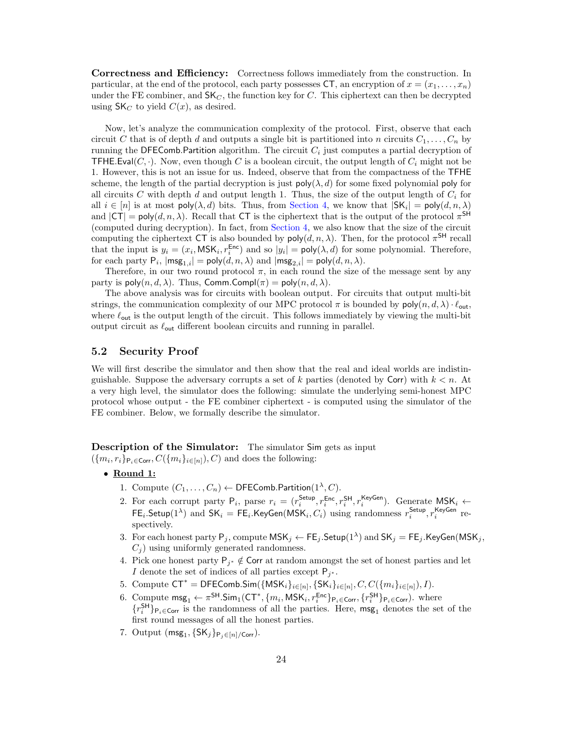Correctness and Efficiency: Correctness follows immediately from the construction. In particular, at the end of the protocol, each party possesses  $CT$ , an encryption of  $x = (x_1, \ldots, x_n)$ under the FE combiner, and  $SK_C$ , the function key for C. This ciphertext can then be decrypted using  $\mathsf{SK}_C$  to yield  $C(x)$ , as desired.

Now, let's analyze the communication complexity of the protocol. First, observe that each circuit C that is of depth d and outputs a single bit is partitioned into n circuits  $C_1, \ldots, C_n$  by running the DFEComb.Partition algorithm. The circuit  $C_i$  just computes a partial decryption of **TFHE.**Eval( $C$ ,  $\cdot$ ). Now, even though C is a boolean circuit, the output length of  $C_i$  might not be 1. However, this is not an issue for us. Indeed, observe that from the compactness of the TFHE scheme, the length of the partial decryption is just  $\text{poly}(\lambda, d)$  for some fixed polynomial poly for all circuits C with depth d and output length 1. Thus, the size of the output length of  $C_i$  for all  $i \in [n]$  is at most  $\mathsf{poly}(\lambda, d)$  bits. Thus, from [Section 4,](#page-14-0) we know that  $|\mathsf{SK}_i| = \mathsf{poly}(d, n, \lambda)$ and  $|CT| = \text{poly}(d, n, \lambda)$ . Recall that CT is the ciphertext that is the output of the protocol  $\pi^{SH}$ (computed during decryption). In fact, from [Section 4,](#page-14-0) we also know that the size of the circuit computing the ciphertext CT is also bounded by  $poly(d, n, \lambda)$ . Then, for the protocol  $\pi^{\mathsf{SH}}$  recall that the input is  $y_i = (x_i, \text{MSK}_i, r_i^{\text{Enc}})$  and so  $|y_i| = \text{poly}(\lambda, d)$  for some polynomial. Therefore, for each party  $P_i$ ,  $|\mathsf{msg}_{1,i}| = \mathsf{poly}(d,n,\lambda)$  and  $|\mathsf{msg}_{2,i}| = \mathsf{poly}(d,n,\lambda)$ .

Therefore, in our two round protocol  $\pi$ , in each round the size of the message sent by any party is  $poly(n, d, \lambda)$ . Thus, Comm.Compl $(\pi) = poly(n, d, \lambda)$ .

The above analysis was for circuits with boolean output. For circuits that output multi-bit strings, the communication complexity of our MPC protocol  $\pi$  is bounded by  $poly(n, d, \lambda) \cdot \ell_{\text{out}}$ , where  $\ell_{\text{out}}$  is the output length of the circuit. This follows immediately by viewing the multi-bit output circuit as  $\ell_{\text{out}}$  different boolean circuits and running in parallel.

# 5.2 Security Proof

We will first describe the simulator and then show that the real and ideal worlds are indistinguishable. Suppose the adversary corrupts a set of k parties (denoted by Corr) with  $k < n$ . At a very high level, the simulator does the following: simulate the underlying semi-honest MPC protocol whose output - the FE combiner ciphertext - is computed using the simulator of the FE combiner. Below, we formally describe the simulator.

Description of the Simulator: The simulator Sim gets as input  $({m_i,r_i}_{\mathsf{P}_i \in \mathsf{Corr}}, C({m_i}_{i \in [n]}), C)$  and does the following:

- Round 1:
	- 1. Compute  $(C_1, \ldots, C_n) \leftarrow$  DFEComb. Partition $(1^{\lambda}, C)$ .
	- 2. For each corrupt party  $P_i$ , parse  $r_i = (r_i^{\text{Setup}}, r_i^{\text{Enc}}, r_i^{\text{SH}}, r_i^{\text{KeyGen}})$ . Generate  $\text{MSK}_i \leftarrow$  $\mathsf{FE}_i.\mathsf{Setup}(1^{\lambda})$  and  $\mathsf{SK}_i = \mathsf{FE}_i.\mathsf{KeyGen}(\mathsf{MSK}_i, C_i)$  using randomness  $r_i^{\mathsf{Setup}}, r_i^{\mathsf{KeyGen}}$  respectively.
	- 3. For each honest party  $P_j$ , compute  $\mathsf{MSK}_j \leftarrow \mathsf{FE}_j$ . Setup $(1^{\lambda})$  and  $\mathsf{SK}_j = \mathsf{FE}_j$ . KeyGen $(\mathsf{MSK}_j,$  $C_i$  using uniformly generated randomness.
	- 4. Pick one honest party  $P_{j^*} \notin \mathsf{Corr}$  at random amongst the set of honest parties and let I denote the set of indices of all parties except  $P_{j^*}$ .
	- 5. Compute  $CT^* = DFEComb.Sim(\{MSK_i\}_{i \in [n]}, \{SK_i\}_{i \in [n]}, C, C(\{m_i\}_{i \in [n]}), I).$
	- 6. Compute  $\mathsf{msg}_1 \leftarrow \pi^{\mathsf{SH}}.\mathsf{Sim}_1(\mathsf{CT}^*, \{m_i, \mathsf{MSK}_i, r_i^{\mathsf{Enc}}\}_{\mathsf{P}_i \in \mathsf{Corr}}, \{r_i^{\mathsf{SH}}\}_{\mathsf{P}_i \in \mathsf{Corr}})$ . where  ${r_i^{\text{SH}}}_{\text{P}_i \in \text{Corr}}$  is the randomness of all the parties. Here,  $\text{msg}_1$  denotes the set of the first round messages of all the honest parties.
	- 7. Output  $(msg_1, {SK_j}_{P_j \in [n]/\mathsf{Corr}})$ .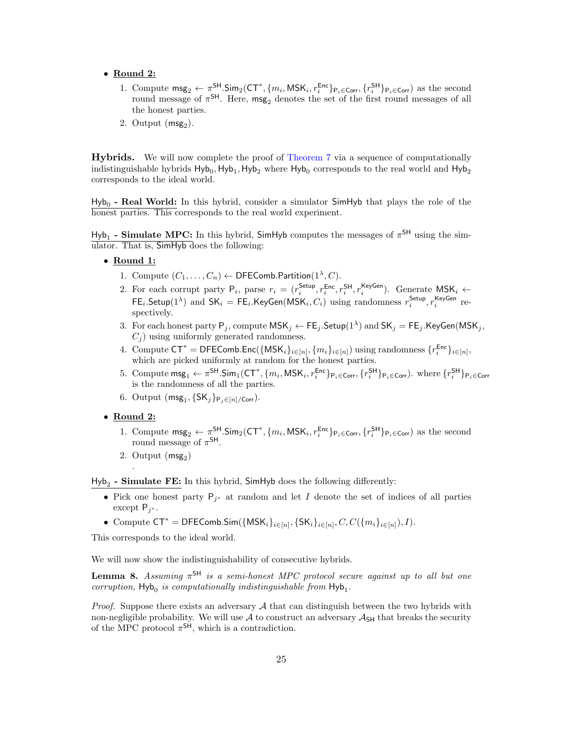- Round 2:
	- 1. Compute  $\mathsf{msg}_2 \leftarrow \pi^{\mathsf{SH}}.\mathsf{Sim}_2(\mathsf{CT}^*, \{m_i, \mathsf{MSK}_i, r_i^{\mathsf{Enc}}\}_{\mathsf{P}_i \in \mathsf{Corr}}, \{r_i^{\mathsf{SH}}\}_{\mathsf{P}_i \in \mathsf{Corr}})$  as the second round message of  $\pi^{\mathsf{SH}}$ . Here,  $\mathsf{msg}_2$  denotes the set of the first round messages of all the honest parties.
	- 2. Output  $(msg<sub>2</sub>)$ .

Hybrids. We will now complete the proof of [Theorem 7](#page-21-1) via a sequence of computationally indistinguishable hybrids  $Hyb<sub>0</sub>$ , Hyb<sub>1</sub>, Hyb<sub>2</sub> where Hyb<sub>0</sub> corresponds to the real world and Hyb<sub>2</sub> corresponds to the ideal world.

 $Hyb<sub>0</sub>$  - Real World: In this hybrid, consider a simulator SimHyb that plays the role of the honest parties. This corresponds to the real world experiment.

Hyb<sub>1</sub> - Simulate MPC: In this hybrid, SimHyb computes the messages of  $\pi^{\text{SH}}$  using the simulator. That is, SimHyb does the following:

- Round 1:
	- 1. Compute  $(C_1, \ldots, C_n) \leftarrow \mathsf{DFEComb}$ . Partition $(1^{\lambda}, C)$ .
	- 2. For each corrupt party  $P_i$ , parse  $r_i = (r_i^{\text{Setup}}, r_i^{\text{Enc}}, r_i^{\text{SH}}, r_i^{\text{KeyGen}})$ . Generate  $\text{MSK}_i \leftarrow$  $\mathsf{FE}_i.\mathsf{Setup}(1^{\lambda})$  and  $\mathsf{SK}_i = \mathsf{FE}_i.\mathsf{KeyGen}(\mathsf{MSK}_i, C_i)$  using randomness  $r_i^{\mathsf{Setup}}, r_i^{\mathsf{KeyGen}}$  respectively.
	- 3. For each honest party  $P_j$ , compute  $\mathsf{MSK}_j \leftarrow \mathsf{FE}_j$ . Setup $(1^{\lambda})$  and  $\mathsf{SK}_j = \mathsf{FE}_j$ . KeyGen $(\mathsf{MSK}_j,$  $C_i$  using uniformly generated randomness.
	- 4. Compute  $\mathsf{CT}^* = \mathsf{DFEComb}.\mathsf{Enc}(\{\mathsf{MSK}_i\}_{i \in [n]}, \{m_i\}_{i \in [n]})$  using randomness  $\{r_i^{\mathsf{Enc}}\}_{i \in [n]},$ which are picked uniformly at random for the honest parties.
	- 5. Compute  $\mathsf{msg}_1 \leftarrow \pi^{\mathsf{SH}}.\mathsf{Sim}_1(\mathsf{CT}^*, \{m_i, \mathsf{MSK}_i, r^{\mathsf{Enc}}_i\}_{\mathsf{P}_i \in \mathsf{Corr}}, \{r^{\mathsf{SH}}_i\}_{\mathsf{P}_i \in \mathsf{Corr}})$ . where  $\{r^{\mathsf{SH}}_i\}_{\mathsf{P}_i \in \mathsf{Corr}}$ is the randomness of all the parties.
	- 6. Output  $(msg_1, {SK_j}_{P_j \in [n]/\mathsf{Corr}})$ .
- Round 2:

.

- 1. Compute  $\mathsf{msg}_2 \leftarrow \pi^{\mathsf{SH}}.\mathsf{Sim}_2(\mathsf{CT}^*, \{m_i, \mathsf{MSK}_i, r_i^{\mathsf{Enc}}\}_{\mathsf{P}_i \in \mathsf{Corr}}, \{r_i^{\mathsf{SH}}\}_{\mathsf{P}_i \in \mathsf{Corr}})$  as the second round message of  $\pi^{\mathsf{SH}}$ .
- 2. Output  $(msg_2)$

 $Hyb<sub>2</sub>$  - Simulate FE: In this hybrid, SimHyb does the following differently:

- Pick one honest party  $P_{j^*}$  at random and let I denote the set of indices of all parties except  $P_{j^*}$ .
- Compute  $\mathsf{CT}^* = \mathsf{DFEComb}.\mathsf{Sim}(\{\mathsf{MSK}_i\}_{i \in [n]}, \{\mathsf{SK}_i\}_{i \in [n]}, C, C(\{m_i\}_{i \in [n]}), I).$

This corresponds to the ideal world.

We will now show the indistinguishability of consecutive hybrids.

**Lemma 8.** Assuming  $\pi$ <sup>SH</sup> is a semi-honest MPC protocol secure against up to all but one corruption,  $\mathsf{Hyb}_0$  is computationally indistinguishable from  $\mathsf{Hyb}_1$ .

*Proof.* Suppose there exists an adversary  $A$  that can distinguish between the two hybrids with non-negligible probability. We will use  $\mathcal A$  to construct an adversary  $\mathcal A_{\rm SH}$  that breaks the security of the MPC protocol  $\pi^{\text{SH}}$ , which is a contradiction.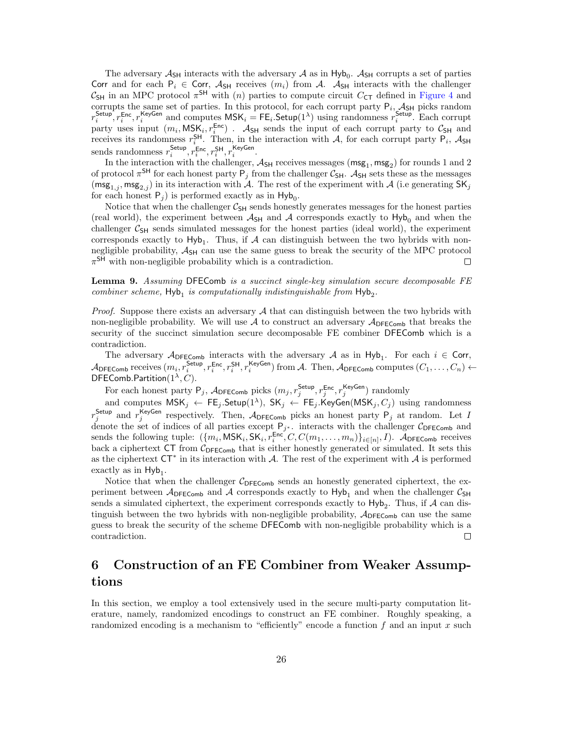The adversary  $A_{\text{SH}}$  interacts with the adversary  $A$  as in  $\text{Hyb}_0$ .  $A_{\text{SH}}$  corrupts a set of parties Corr and for each  $P_i \in \text{Corr}$ ,  $\mathcal{A}_{\text{SH}}$  receives  $(m_i)$  from  $\mathcal{A}$ .  $\mathcal{A}_{\text{SH}}$  interacts with the challenger  $C_{\text{SH}}$  in an MPC protocol  $\pi^{\text{SH}}$  with  $(n)$  parties to compute circuit  $C_{\text{CT}}$  defined in [Figure 4](#page-22-0) and corrupts the same set of parties. In this protocol, for each corrupt party  $P_i$ ,  $\mathcal{A}_{\mathsf{SH}}$  picks random  $r_i^{\text{Setup}}, r_i^{\text{Enc}}, r_i^{\text{KeyGen}}$  and computes  $\text{MSK}_i = \text{FE}_i.\text{Setup}(1^{\lambda})$  using randomness  $r_i^{\text{Setup}}$ . Each corrupt party uses input  $(m_i, MSK_i, r_i^{Enc})$ .  $\mathcal{A}_{SH}$  sends the input of each corrupt party to  $\mathcal{C}_{SH}$  and receives its randomness  $r_i^{\text{SH}}$ . Then, in the interaction with A, for each corrupt party  $P_i$ ,  $A_{\text{SH}}$ sends randomness  $r_i^{\text{Setup}}, r_i^{\text{Enc}}, r_i^{\text{SH}}, r_i^{\text{KeyGen}}$ .

In the interaction with the challenger,  $A_{SH}$  receives messages ( $\text{msg}_1, \text{msg}_2$ ) for rounds 1 and 2 of protocol  $\pi^{\text{SH}}$  for each honest party  $\mathsf{P}_j$  from the challenger  $\mathcal{C}_{\text{SH}}$ .  $\mathcal{A}_{\text{SH}}$  sets these as the messages  $(\text{msg}_{1,i}, \text{msg}_{2,i})$  in its interaction with A. The rest of the experiment with A (i.e generating  $SK_j$ for each honest  $P_j$ ) is performed exactly as in  $Hyb_0$ .

Notice that when the challenger  $C_{SH}$  sends honestly generates messages for the honest parties (real world), the experiment between  $A_{SH}$  and A corresponds exactly to  $Hy_{b_0}$  and when the challenger  $C_{SH}$  sends simulated messages for the honest parties (ideal world), the experiment corresponds exactly to  $Hyb_1$ . Thus, if A can distinguish between the two hybrids with nonnegligible probability,  $A_{SH}$  can use the same guess to break the security of the MPC protocol  $\pi^{\mathsf{SH}}$  with non-negligible probability which is a contradiction.  $\Box$ 

Lemma 9. Assuming DFEComb is a succinct single-key simulation secure decomposable FE combiner scheme,  $\text{Hyb}_1$  is computationally indistinguishable from  $\text{Hyb}_2$ .

*Proof.* Suppose there exists an adversary  $A$  that can distinguish between the two hybrids with non-negligible probability. We will use A to construct an adversary  $A_{\text{DFEComb}}$  that breaks the security of the succinct simulation secure decomposable FE combiner DFEComb which is a contradiction.

The adversary  $\mathcal{A}_{\mathsf{DFEComb}}$  interacts with the adversary  $\mathcal{A}$  as in Hyb<sub>1</sub>. For each  $i \in \mathsf{Corr}$ ,  $\mathcal{A}_{\mathsf{DFEComb}}$  receives  $(m_i, r_i^{\mathsf{Setup}}, r_i^{\mathsf{Enc}}, r_i^{\mathsf{SH}}, r_i^{\mathsf{KeyGen}})$  from  $\mathcal{A}$ . Then,  $\mathcal{A}_{\mathsf{DFEComb}}$  computes  $(C_1, \ldots, C_n) \leftarrow$ DFEComb. Partition  $(1^{\lambda}, C)$ .

For each honest party  $P_j$ ,  $\mathcal{A}_{\mathsf{DFEComb}}$  picks  $(m_j, r_j^{\mathsf{Setup}}, r_j^{\mathsf{Env}}, r_j^{\mathsf{KeyGen}})$  randomly

and computes  $\mathsf{MSK}_j \leftarrow \mathsf{FE}_j.\mathsf{Setup}(1^\lambda), \mathsf{SK}_j \leftarrow \mathsf{FE}_j.\mathsf{KeyGen}(\mathsf{MSK}_j, C_j)$  using randomness  $r_j^{\text{Setup}}$  and  $r_j^{\text{KeyGen}}$  respectively. Then,  $\mathcal{A}_{\text{DFEComb}}$  picks an honest party  $P_j$  at random. Let I denote the set of indices of all parties except  $P_{j^*}$ . interacts with the challenger  $C_{\text{DFEComb}}$  and sends the following tuple:  $(\{m_i, \text{MSK}_i, \text{SK}_i, r_i^{\text{Enc}}, C, C(m_1, \ldots, m_n)\}_{i \in [n]}, I)$ .  $\mathcal{A}_{\text{DFEComb}}$  receives back a ciphertext  $CT$  from  $C_{DEComb}$  that is either honestly generated or simulated. It sets this as the ciphertext  $CT^*$  in its interaction with A. The rest of the experiment with A is performed exactly as in  $Hyb_1$ .

Notice that when the challenger  $C_{\text{DFEComb}}$  sends an honestly generated ciphertext, the experiment between  $\mathcal{A}_{\text{DEEComb}}$  and  $\mathcal{A}$  corresponds exactly to Hyb<sub>1</sub> and when the challenger  $\mathcal{C}_{\text{SH}}$ sends a simulated ciphertext, the experiment corresponds exactly to  $Hyb_2$ . Thus, if  $\mathcal A$  can distinguish between the two hybrids with non-negligible probability,  $A_{\text{DFEComb}}$  can use the same guess to break the security of the scheme DFEComb with non-negligible probability which is a contradiction.  $\Box$ 

# <span id="page-25-0"></span>6 Construction of an FE Combiner from Weaker Assumptions

In this section, we employ a tool extensively used in the secure multi-party computation literature, namely, randomized encodings to construct an FE combiner. Roughly speaking, a randomized encoding is a mechanism to "efficiently" encode a function  $f$  and an input  $x$  such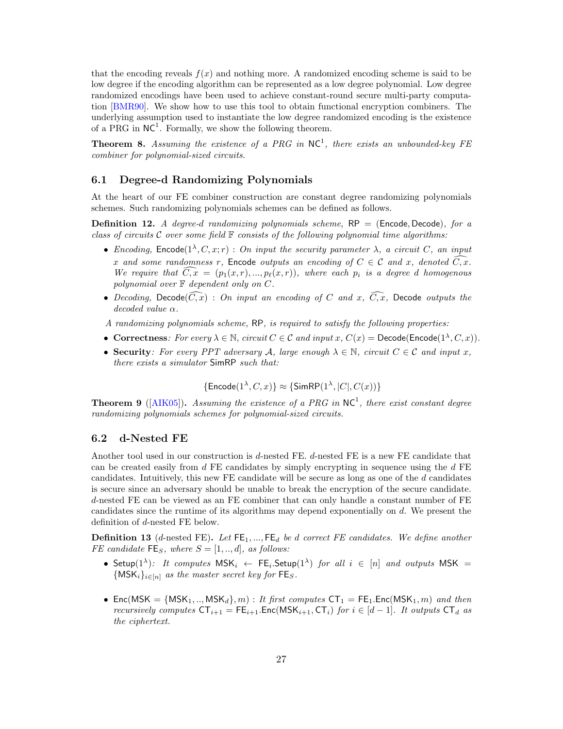that the encoding reveals  $f(x)$  and nothing more. A randomized encoding scheme is said to be low degree if the encoding algorithm can be represented as a low degree polynomial. Low degree randomized encodings have been used to achieve constant-round secure multi-party computation [\[BMR90\]](#page-44-14). We show how to use this tool to obtain functional encryption combiners. The underlying assumption used to instantiate the low degree randomized encoding is the existence of a PRG in  $NC^1$ . Formally, we show the following theorem.

<span id="page-26-1"></span>**Theorem 8.** Assuming the existence of a PRG in  $NC^1$ , there exists an unbounded-key FE combiner for polynomial-sized circuits.

## 6.1 Degree-d Randomizing Polynomials

At the heart of our FE combiner construction are constant degree randomizing polynomials schemes. Such randomizing polynomials schemes can be defined as follows.

**Definition 12.** A degree-d randomizing polynomials scheme,  $RP = (Encode, Decode)$ , for a class of circuits  $\mathcal C$  over some field  $\mathbb F$  consists of the following polynomial time algorithms:

- Encoding,  $\mathsf{Encode}(1^{\lambda}, C, x; r)$ : On input the security parameter  $\lambda$ , a circuit C, an input x and some randomness r, Encode outputs an encoding of  $C \in \mathcal{C}$  and x, denoted  $\widehat{C, x}$ . We require that  $\widehat{C, x} = (p_1(x, r), ..., p_\ell(x, r)),$  where each  $p_i$  is a degree d homogenous polynomial over  $F$  dependent only on  $C$ .
- Decoding, Decode $(\widehat{C, x})$  : On input an encoding of C and x,  $\widehat{C, x}$ , Decode outputs the decoded value α.

A randomizing polynomials scheme, RP, is required to satisfy the following properties:

- Correctness: For every  $\lambda \in \mathbb{N}$ , circuit  $C \in \mathcal{C}$  and input  $x, C(x) = \text{Decode}(\text{Encode}(1^{\lambda}, C, x))$ .
- Security: For every PPT adversary A, large enough  $\lambda \in \mathbb{N}$ , circuit  $C \in \mathcal{C}$  and input x, there exists a simulator SimRP such that:

 $\{Encode(1^{\lambda}, C, x)\} \approx \{SimpleRPI}(1^{\lambda}, |C|, C(x))\}$ 

**Theorem 9** ( $[AIK05]$ ). Assuming the existence of a PRG in  $NC<sup>1</sup>$ , there exist constant degree randomizing polynomials schemes for polynomial-sized circuits.

## 6.2 d-Nested FE

Another tool used in our construction is d-nested FE. d-nested FE is a new FE candidate that can be created easily from  $d$  FE candidates by simply encrypting in sequence using the  $d$  FE candidates. Intuitively, this new FE candidate will be secure as long as one of the d candidates is secure since an adversary should be unable to break the encryption of the secure candidate. d-nested FE can be viewed as an FE combiner that can only handle a constant number of FE candidates since the runtime of its algorithms may depend exponentially on d. We present the definition of d-nested FE below.

<span id="page-26-0"></span>**Definition 13** (d-nested FE). Let  $FE_1, ..., FE_d$  be d correct FE candidates. We define another FE candidate  $\mathsf{FE}_S$ , where  $S = [1, ..., d]$ , as follows:

- Setup(1<sup> $\lambda$ </sup>): It computes  $MSK_i$   $\leftarrow$  FE<sub>i</sub>.Setup(1<sup> $\lambda$ </sup>) for all  $i \in [n]$  and outputs MSK =  ${MSK<sub>i</sub>}<sub>i∈[n]</sub>$  as the master secret key for  $\mathsf{FE}_S$ .
- Enc(MSK =  $\{MSK_1, ..., MSK_d\}, m)$ : It first computes  $CT_1 = FE_1$ . Enc(MSK<sub>1</sub>, m) and then recursively computes  $CT_{i+1} = FE_{i+1}$ .Enc(MSK<sub>i+1</sub>, CT<sub>i</sub>) for  $i \in [d-1]$ . It outputs CT<sub>d</sub> as the ciphertext.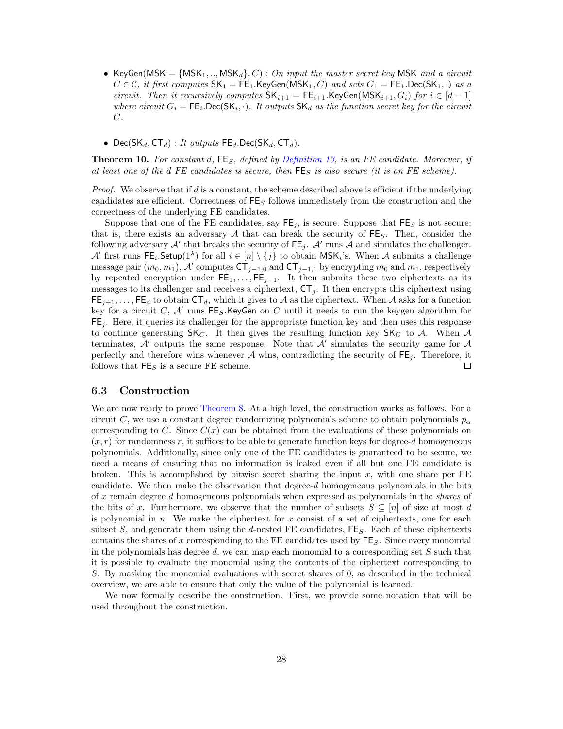- KeyGen(MSK =  $\{MSK_1, ..., MSK_d\}$ , C) : On input the master secret key MSK and a circuit  $C \in \mathcal{C}$ , it first computes  $SK_1 = FE_1.KeyGen(MSK_1, C)$  and sets  $G_1 = FE_1 Dec(SK_1, \cdot)$  as a circuit. Then it recursively computes  $SK_{i+1} = FE_{i+1}$ . KeyGen(MS $K_{i+1}, G_i$ ) for  $i \in [d-1]$ where circuit  $G_i = \mathsf{FE}_i \cdot \mathsf{Dec}(\mathsf{SK}_i, \cdot)$ . It outputs  $\mathsf{SK}_d$  as the function secret key for the circuit C.
- Dec(SK<sub>d</sub>, CT<sub>d</sub>) : It outputs  $FE_d$ .Dec(SK<sub>d</sub>, CT<sub>d</sub>).

**Theorem 10.** For constant d,  $FE_S$ , defined by [Definition 13,](#page-26-0) is an FE candidate. Moreover, if at least one of the d FE candidates is secure, then  $FE_S$  is also secure (it is an FE scheme).

*Proof.* We observe that if d is a constant, the scheme described above is efficient if the underlying candidates are efficient. Correctness of  $FE<sub>S</sub>$  follows immediately from the construction and the correctness of the underlying FE candidates.

Suppose that one of the FE candidates, say  $\mathsf{FE}_j$ , is secure. Suppose that  $\mathsf{FE}_S$  is not secure; that is, there exists an adversary  $A$  that can break the security of  $FE_S$ . Then, consider the following adversary  $A'$  that breaks the security of  $\mathsf{FE}_j$ .  $A'$  runs A and simulates the challenger. A' first runs  $\mathsf{FE}_i$ . Setup $(1^{\lambda})$  for all  $i \in [n] \setminus \{j\}$  to obtain  $\mathsf{MSK}_i$ 's. When A submits a challenge message pair  $(m_0, m_1)$ , A' computes  $CT_{j-1,0}$  and  $CT_{j-1,1}$  by encrypting  $m_0$  and  $m_1$ , respectively by repeated encryption under  $\mathsf{FE}_1, \ldots, \mathsf{FE}_{j-1}$ . It then submits these two ciphertexts as its messages to its challenger and receives a ciphertext,  $CT_j$ . It then encrypts this ciphertext using  $FE_{i+1}, \ldots, FE_d$  to obtain  $CT_d$ , which it gives to A as the ciphertext. When A asks for a function key for a circuit C,  $A'$  runs  $\mathsf{FE}_S$ .KeyGen on C until it needs to run the keygen algorithm for  $FE<sub>j</sub>$ . Here, it queries its challenger for the appropriate function key and then uses this response to continue generating  $SK_C$ . It then gives the resulting function key  $SK_C$  to A. When A terminates,  $A'$  outputs the same response. Note that  $A'$  simulates the security game for  $A$ perfectly and therefore wins whenever  $\mathcal A$  wins, contradicting the security of  $\mathsf{FE}_i$ . Therefore, it follows that  $FE<sub>S</sub>$  is a secure FE scheme.  $\Box$ 

#### 6.3 Construction

We are now ready to prove [Theorem 8.](#page-26-1) At a high level, the construction works as follows. For a circuit C, we use a constant degree randomizing polynomials scheme to obtain polynomials  $p_{\alpha}$ corresponding to C. Since  $C(x)$  can be obtained from the evaluations of these polynomials on  $(x, r)$  for randomness r, it suffices to be able to generate function keys for degree-d homogeneous polynomials. Additionally, since only one of the FE candidates is guaranteed to be secure, we need a means of ensuring that no information is leaked even if all but one FE candidate is broken. This is accomplished by bitwise secret sharing the input  $x$ , with one share per FE candidate. We then make the observation that degree- $d$  homogeneous polynomials in the bits of x remain degree d homogeneous polynomials when expressed as polynomials in the shares of the bits of x. Furthermore, we observe that the number of subsets  $S \subseteq [n]$  of size at most d is polynomial in  $n$ . We make the ciphertext for  $x$  consist of a set of ciphertexts, one for each subset S, and generate them using the d-nested FE candidates,  $FE_S$ . Each of these ciphertexts contains the shares of x corresponding to the FE candidates used by  $FE_S$ . Since every monomial in the polynomials has degree  $d$ , we can map each monomial to a corresponding set  $S$  such that it is possible to evaluate the monomial using the contents of the ciphertext corresponding to S. By masking the monomial evaluations with secret shares of 0, as described in the technical overview, we are able to ensure that only the value of the polynomial is learned.

We now formally describe the construction. First, we provide some notation that will be used throughout the construction.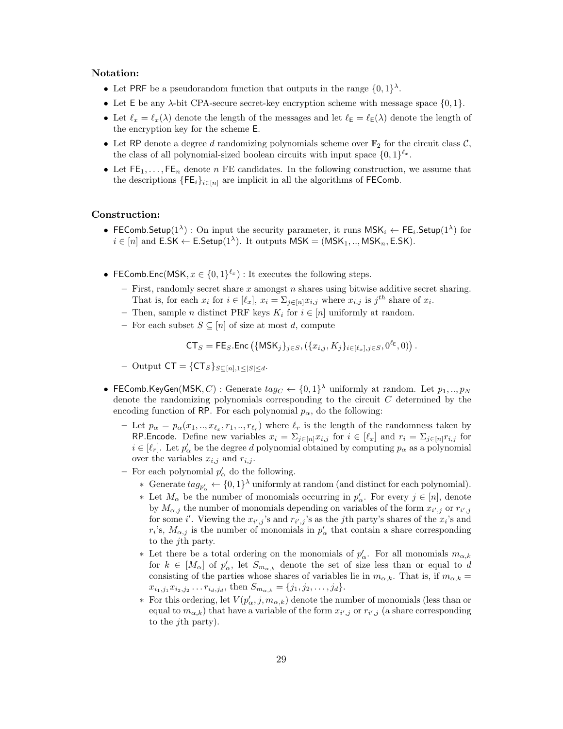#### Notation:

- Let PRF be a pseudorandom function that outputs in the range  $\{0,1\}^{\lambda}$ .
- Let E be any  $\lambda$ -bit CPA-secure secret-key encryption scheme with message space  $\{0, 1\}$ .
- Let  $\ell_x = \ell_x(\lambda)$  denote the length of the messages and let  $\ell_E = \ell_E(\lambda)$  denote the length of the encryption key for the scheme E.
- Let RP denote a degree d randomizing polynomials scheme over  $\mathbb{F}_2$  for the circuit class C, the class of all polynomial-sized boolean circuits with input space  $\{0,1\}^{\ell_x}$ .
- Let  $FE_1, \ldots, FE_n$  denote n FE candidates. In the following construction, we assume that the descriptions  $\{FE_i\}_{i\in[n]}$  are implicit in all the algorithms of FEComb.

#### Construction:

- FEComb. Setup( $1^{\lambda}$ ) : On input the security parameter, it runs  $MSK_i \leftarrow FE_i$ . Setup( $1^{\lambda}$ ) for  $i \in [n]$  and  $\mathsf{E.SK} \leftarrow \mathsf{E.Setup}(1^{\lambda})$ . It outputs  $\mathsf{MSK} = (\mathsf{MSK}_1, ..., \mathsf{MSK}_n, \mathsf{E.SK})$ .
- FEComb.Enc(MSK,  $x \in \{0,1\}^{\ell_x}$ ) : It executes the following steps.
	- $-$  First, randomly secret share x amongst n shares using bitwise additive secret sharing. That is, for each  $x_i$  for  $i \in [\ell_x]$ ,  $x_i = \sum_{j \in [n]} x_{i,j}$  where  $x_{i,j}$  is  $j^{th}$  share of  $x_i$ .
	- Then, sample *n* distinct PRF keys  $K_i$  for  $i \in [n]$  uniformly at random.
	- For each subset  $S \subseteq [n]$  of size at most d, compute

$$
\mathsf{CT}_S = \mathsf{FE}_S.\mathsf{Enc}\left(\{\mathsf{MSK}_j\}_{j\in S}, \left(\{x_{i,j}, K_j\}_{i\in [\ell_x], j\in S}, 0^{\ell_E}, 0\right)\right).
$$

- $-$  Output  $CT = \{CT_S\}_{S\subseteq [n], 1\leq |S|\leq d}$ .
- FEComb.KeyGen(MSK, C) : Generate  $tag_C \leftarrow \{0,1\}^{\lambda}$  uniformly at random. Let  $p_1,..,p_N$ denote the randomizing polynomials corresponding to the circuit  $C$  determined by the encoding function of RP. For each polynomial  $p_{\alpha}$ , do the following:
	- Let  $p_{\alpha} = p_{\alpha}(x_1, ..., x_{\ell_x}, r_1, ..., r_{\ell_r})$  where  $\ell_r$  is the length of the randomness taken by RP.Encode. Define new variables  $x_i = \sum_{j \in [n]} x_{i,j}$  for  $i \in [\ell_x]$  and  $r_i = \sum_{j \in [n]} r_{i,j}$  for  $i \in [\ell_r]$ . Let  $p'_\alpha$  be the degree d polynomial obtained by computing  $p_\alpha$  as a polynomial over the variables  $x_{i,j}$  and  $r_{i,j}$ .
	- For each polynomial  $p'_{\alpha}$  do the following.
		- ∗ Generate  $tag_{p'_\alpha}$  ←  $\{0,1\}^{\lambda}$  uniformly at random (and distinct for each polynomial).
		- ∗ Let  $M_α$  be the number of monomials occurring in  $p'_α$ . For every  $j ∈ [n]$ , denote by  $M_{\alpha,j}$  the number of monomials depending on variables of the form  $x_{i',j}$  or  $r_{i',j}$ for some i'. Viewing the  $x_{i',j}$ 's and  $r_{i',j}$ 's as the j<sup>th</sup> party's shares of the  $x_i$ 's and  $r_i$ 's,  $M_{\alpha,j}$  is the number of monomials in  $p'_\alpha$  that contain a share corresponding to the jth party.
		- ∗ Let there be a total ordering on the monomials of  $p'_{\alpha}$ . For all monomials  $m_{\alpha,k}$ for  $k \in [M_{\alpha}]$  of  $p'_{\alpha}$ , let  $S_{m_{\alpha,k}}$  denote the set of size less than or equal to d consisting of the parties whose shares of variables lie in  $m_{\alpha,k}$ . That is, if  $m_{\alpha,k} =$  $x_{i_1,j_1}x_{i_2,j_2}\ldots r_{i_d,j_d}$ , then  $S_{m_{\alpha,k}} = \{j_1,j_2,\ldots,j_d\}.$
		- ∗ For this ordering, let  $V(p'_\n{\alpha}, j, m_{\alpha,k})$  denote the number of monomials (less than or equal to  $m_{\alpha,k}$ ) that have a variable of the form  $x_{i',j}$  or  $r_{i',j}$  (a share corresponding to the jth party).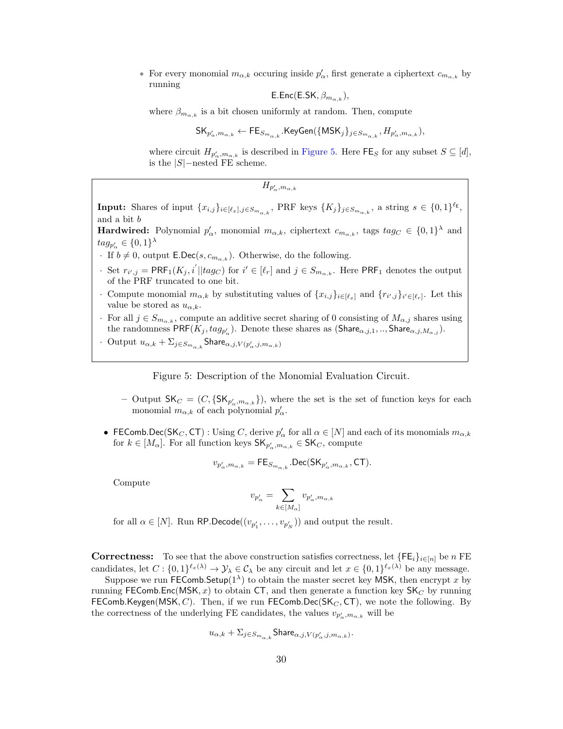∗ For every monomial  $m_{\alpha,k}$  occuring inside  $p'_{\alpha}$ , first generate a ciphertext  $c_{m_{\alpha,k}}$  by running

$$
\mathsf{E}.\mathsf{Enc}(\mathsf{E}.\mathsf{SK},\beta_{m_{\alpha,k}}),
$$

where  $\beta_{m_{\alpha,k}}$  is a bit chosen uniformly at random. Then, compute

 $\mathsf{SK}_{p'_\alpha,m_{\alpha,k}} \gets \mathsf{FE}_{S_{m_{\alpha,k}}}.\mathsf{KeyGen}(\{\mathsf{MSK}_j\}_{j \in S_{m_{\alpha,k}}}, H_{p'_\alpha,m_{\alpha,k}}),$ 

where circuit  $H_{p'_\alpha,m_{\alpha,k}}$  is described in [Figure 5.](#page-29-0) Here  $\mathsf{FE}_S$  for any subset  $S \subseteq [d]$ , is the |S|−nested FE scheme.

<span id="page-29-0"></span> $H_{p^\prime_{\alpha},m_{\alpha,k}}$ 

**Input:** Shares of input  $\{x_{i,j}\}_{i\in[\ell_x],j\in S_{m_{\alpha,k}}}$ , PRF keys  $\{K_j\}_{j\in S_{m_{\alpha,k}}}$ , a string  $s \in \{0,1\}^{\ell_{\text{E}}}$ , and a bit b

**Hardwired:** Polynomial  $p'_\n\alpha$ , monomial  $m_{\alpha,k}$ , ciphertext  $c_{m_{\alpha,k}}$ , tags  $tag_{C} \in \{0,1\}^{\lambda}$  and  $tag_{p'_\alpha} \in \{0,1\}^\lambda$ 

- · If  $b \neq 0$ , output **E.Dec**(s,  $c_{m_{\alpha,k}}$ ). Otherwise, do the following.
- · Set  $r_{i',j} = \text{PRF}_1(K_j, i' || tag_C)$  for  $i' \in [\ell_r]$  and  $j \in S_{m_{\alpha,k}}$ . Here  $\text{PRF}_1$  denotes the output of the PRF truncated to one bit.
- Compute monomial  $m_{\alpha,k}$  by substituting values of  $\{x_{i,j}\}_{i\in[\ell_x]}$  and  $\{r_{i',j}\}_{i'\in[\ell_r]}$ . Let this value be stored as  $u_{\alpha,k}$ .
- · For all  $j \in S_{m_{\alpha,k}}$ , compute an additive secret sharing of 0 consisting of  $M_{\alpha,j}$  shares using the randomness  $\mathsf{PRF}(K_j, tag_{p'_\alpha})$ . Denote these shares as  $(\mathsf{Share}_{\alpha,j,1},..,\mathsf{Share}_{\alpha,j,M_{\alpha,j}}).$
- Output  $u_{\alpha,k} + \Sigma_{j \in S_{m_{\alpha,k}}}$ Share $_{\alpha,j,V(p'_\alpha,j,m_{\alpha,k})}$

Figure 5: Description of the Monomial Evaluation Circuit.

- Output  $\mathsf{SK}_C = (C, \{\mathsf{SK}_{p'_\alpha,m_{\alpha,k}}\})$ , where the set is the set of function keys for each monomial  $m_{\alpha,k}$  of each polynomial  $p'_{\alpha}$ .
- FEComb.Dec(SK<sub>C</sub>, CT) : Using C, derive  $p'_\alpha$  for all  $\alpha \in [N]$  and each of its monomials  $m_{\alpha,k}$ for  $k \in [M_\alpha]$ . For all function keys  $\mathsf{SK}_{p'_\alpha,m_{\alpha,k}} \in \mathsf{SK}_C$ , compute

$$
v_{p'_{\alpha},m_{\alpha,k}}=\mathsf{FE}_{S_{m_{\alpha,k}}}.\mathsf{Dec}(\mathsf{SK}_{p'_{\alpha},m_{\alpha,k}},\mathsf{CT}).
$$

Compute

$$
v_{p'_{\alpha}}=\sum_{k\in[M_{\alpha}]}v_{p'_{\alpha},m_{\alpha,k}}
$$

for all  $\alpha \in [N]$ . Run RP.Decode $((v_{p'_1}, \ldots, v_{p'_N}))$  and output the result.

**Correctness:** To see that the above construction satisfies correctness, let  $\{FE_i\}_{i\in[n]}$  be n FE candidates, let  $C: \{0,1\}^{\ell_x(\lambda)} \to \mathcal{Y}_\lambda \in \mathcal{C}_\lambda$  be any circuit and let  $x \in \{0,1\}^{\ell_x(\lambda)}$  be any message.

Suppose we run FEComb.Setup( $1^{\lambda}$ ) to obtain the master secret key MSK, then encrypt x by running FEComb.Enc(MSK, x) to obtain CT, and then generate a function key  $SK_C$  by running FEComb.Keygen(MSK, C). Then, if we run FEComb.Dec( $SK_C$ , CT), we note the following. By the correctness of the underlying FE candidates, the values  $v_{p'_\n\alpha,m_{\alpha,k}}$  will be

$$
u_{\alpha,k} + \Sigma_{j \in S_{m_{\alpha,k}}} \text{Share}_{\alpha,j,V(p'_{\alpha},j,m_{\alpha,k})}.
$$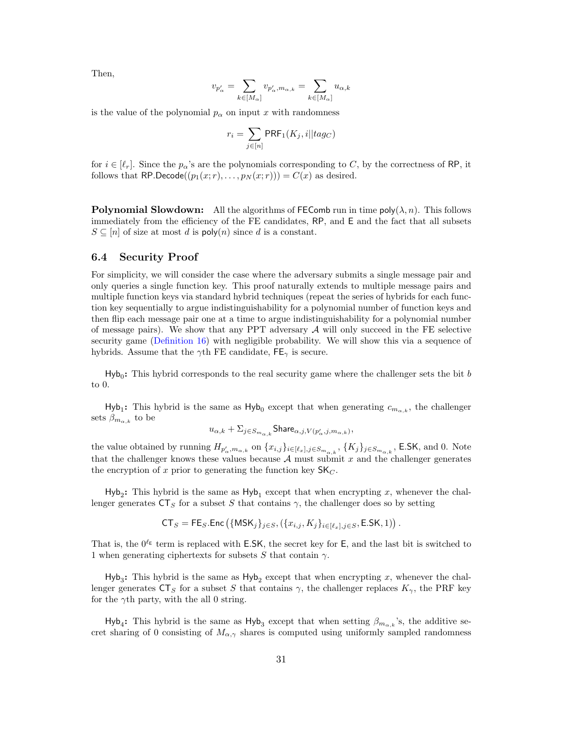Then,

$$
v_{p'_{\alpha}}=\sum_{k\in[M_{\alpha}]}v_{p'_{\alpha},m_{\alpha,k}}=\sum_{k\in[M_{\alpha}]}u_{\alpha,k}
$$

is the value of the polynomial  $p_{\alpha}$  on input x with randomness

$$
r_i = \sum_{j \in [n]} \mathsf{PRF}_1(K_j, i || tag_C)
$$

for  $i \in [\ell_r]$ . Since the  $p_\alpha$ 's are the polynomials corresponding to C, by the correctness of RP, it follows that RP.Decode $((p_1(x; r), \ldots, p_N(x; r))) = C(x)$  as desired.

**Polynomial Slowdown:** All the algorithms of FEComb run in time  $poly(\lambda, n)$ . This follows immediately from the efficiency of the FE candidates, RP, and E and the fact that all subsets  $S \subseteq [n]$  of size at most d is poly $(n)$  since d is a constant.

## 6.4 Security Proof

For simplicity, we will consider the case where the adversary submits a single message pair and only queries a single function key. This proof naturally extends to multiple message pairs and multiple function keys via standard hybrid techniques (repeat the series of hybrids for each function key sequentially to argue indistinguishability for a polynomial number of function keys and then flip each message pair one at a time to argue indistinguishability for a polynomial number of message pairs). We show that any PPT adversary  $A$  will only succeed in the FE selective security game [\(Definition 16\)](#page-47-0) with negligible probability. We will show this via a sequence of hybrids. Assume that the  $\gamma$ th FE candidate, FE<sub> $\gamma$ </sub> is secure.

 $Hyb<sub>0</sub>$ : This hybrid corresponds to the real security game where the challenger sets the bit b to 0.

Hyb<sub>1</sub>: This hybrid is the same as  $Hyb_0$  except that when generating  $c_{m_{\alpha,k}}$ , the challenger sets  $\beta_{m_{\alpha,k}}$  to be

$$
u_{\alpha,k} + \Sigma_{j \in S_{m_{\alpha,k}}} \mathsf{Share}_{\alpha,j,V(p'_{\alpha},j,m_{\alpha,k})},
$$

the value obtained by running  $H_{p'_\alpha,m_{\alpha,k}}$  on  $\{x_{i,j}\}_{i\in[\ell_x],j\in S_{m_{\alpha,k}}}, \{K_j\}_{j\in S_{m_{\alpha,k}}}$ , E.SK, and 0. Note that the challenger knows these values because  $A$  must submit  $x$  and the challenger generates the encryption of x prior to generating the function key  $SK_C$ .

 $Hyb<sub>2</sub>$ : This hybrid is the same as  $Hyb<sub>1</sub>$  except that when encrypting x, whenever the challenger generates  $CT_S$  for a subset S that contains  $\gamma$ , the challenger does so by setting

$$
\mathsf{CT}_S = \mathsf{FE}_S.\mathsf{Enc}\left(\{\mathsf{MSK}_j\}_{j \in S}, \left(\{x_{i,j}, K_j\}_{i \in [\ell_x], j \in S}, \mathsf{E}.\mathsf{SK}, 1\right)\right).
$$

That is, the  $0^{\ell_{\text{E}}}$  term is replaced with E.SK, the secret key for E, and the last bit is switched to 1 when generating ciphertexts for subsets S that contain  $\gamma$ .

 $Hyb<sub>3</sub>$ : This hybrid is the same as  $Hyb<sub>2</sub>$  except that when encrypting x, whenever the challenger generates  $CT_S$  for a subset S that contains  $\gamma$ , the challenger replaces  $K_{\gamma}$ , the PRF key for the  $\gamma$ th party, with the all 0 string.

Hyb<sub>4</sub>: This hybrid is the same as Hyb<sub>3</sub> except that when setting  $\beta_{m_{\alpha,k}}$ 's, the additive secret sharing of 0 consisting of  $M_{\alpha,\gamma}$  shares is computed using uniformly sampled randomness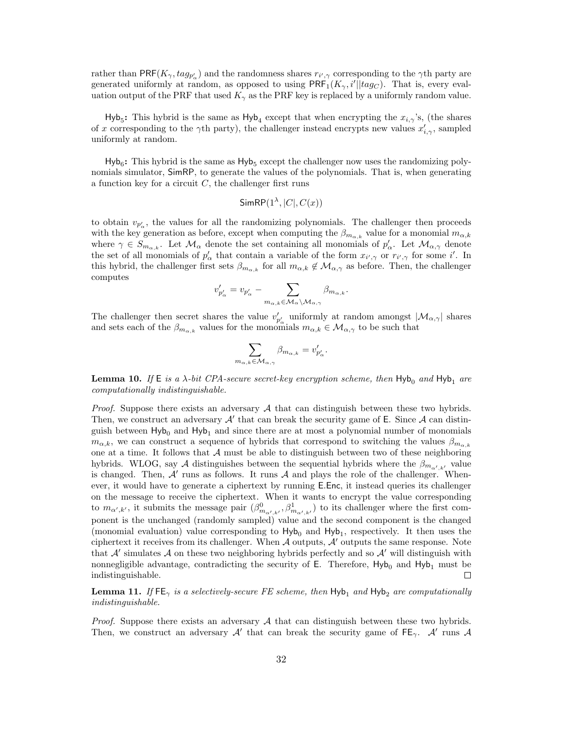rather than PRF( $K_{\gamma}$ ,  $tag_{p'_{\alpha}}$ ) and the randomness shares  $r_{i',\gamma}$  corresponding to the  $\gamma$ th party are generated uniformly at random, as opposed to using  $\mathsf{PRF}_1(K_\gamma, i' || tag_C)$ . That is, every evaluation output of the PRF that used  $K_{\gamma}$  as the PRF key is replaced by a uniformly random value.

Hyb<sub>5</sub>: This hybrid is the same as Hyb<sub>4</sub> except that when encrypting the  $x_{i, \gamma}$ 's, (the shares of x corresponding to the  $\gamma$ th party), the challenger instead encrypts new values  $x'_{i,\gamma}$ , sampled uniformly at random.

 $Hyb_6$ : This hybrid is the same as  $Hyb_5$  except the challenger now uses the randomizing polynomials simulator, SimRP, to generate the values of the polynomials. That is, when generating a function key for a circuit  $C$ , the challenger first runs

$$
SimRP(1^{\lambda}, |C|, C(x))
$$

to obtain  $v_{p'_\n\alpha}$ , the values for all the randomizing polynomials. The challenger then proceeds with the key generation as before, except when computing the  $\beta_{m_{\alpha,k}}$  value for a monomial  $m_{\alpha,k}$ where  $\gamma \in S_{m_{\alpha,k}}$ . Let  $\mathcal{M}_{\alpha}$  denote the set containing all monomials of  $p'_\alpha$ . Let  $\mathcal{M}_{\alpha,\gamma}$  denote the set of all monomials of  $p'_\n\alpha$  that contain a variable of the form  $x_{i',\gamma}$  or  $r_{i',\gamma}$  for some i'. In this hybrid, the challenger first sets  $\beta_{m_{\alpha,k}}$  for all  $m_{\alpha,k} \notin \mathcal{M}_{\alpha,\gamma}$  as before. Then, the challenger computes

$$
v'_{p'_{\alpha}} = v_{p'_{\alpha}} - \sum_{m_{\alpha,k} \in \mathcal{M}_{\alpha} \backslash \mathcal{M}_{\alpha,\gamma}} \beta_{m_{\alpha,k}}.
$$

The challenger then secret shares the value  $v'_{p'_\alpha}$  uniformly at random amongst  $|\mathcal{M}_{\alpha,\gamma}|$  shares and sets each of the  $\beta_{m_{\alpha,k}}$  values for the monomials  $m_{\alpha,k} \in \mathcal{M}_{\alpha,\gamma}$  to be such that

$$
\sum_{m_{\alpha,k}\in\mathcal{M}_{\alpha,\gamma}}\beta_{m_{\alpha,k}}=v'_{p'_{\alpha}}.
$$

**Lemma 10.** If E is a  $\lambda$ -bit CPA-secure secret-key encryption scheme, then  $Hyb_0$  and  $Hyb_1$  are computationally indistinguishable.

*Proof.* Suppose there exists an adversary  $A$  that can distinguish between these two hybrids. Then, we construct an adversary  $A'$  that can break the security game of E. Since  $A$  can distinguish between  $Hy_{0}$  and  $Hy_{1}$  and since there are at most a polynomial number of monomials  $m_{\alpha,k}$ , we can construct a sequence of hybrids that correspond to switching the values  $\beta_{m_{\alpha,k}}$ one at a time. It follows that  $A$  must be able to distinguish between two of these neighboring hybrids. WLOG, say A distinguishes between the sequential hybrids where the  $\beta_{m_{\alpha',k'}}$  value is changed. Then,  $A'$  runs as follows. It runs  $A$  and plays the role of the challenger. Whenever, it would have to generate a ciphertext by running E.Enc, it instead queries its challenger on the message to receive the ciphertext. When it wants to encrypt the value corresponding to  $m_{\alpha',k'}$ , it submits the message pair  $(\beta^0_{m_{\alpha',k'}}, \beta^1_{m_{\alpha',k'}})$  to its challenger where the first component is the unchanged (randomly sampled) value and the second component is the changed (monomial evaluation) value corresponding to  $Hyb_0$  and  $Hyb_1$ , respectively. It then uses the ciphertext it receives from its challenger. When  $A$  outputs,  $A'$  outputs the same response. Note that  $A'$  simulates  $A$  on these two neighboring hybrids perfectly and so  $A'$  will distinguish with nonnegligible advantage, contradicting the security of E. Therefore,  $Hyb_0$  and  $Hyb_1$  must be indistinguishable.  $\Box$ 

<span id="page-31-0"></span>**Lemma 11.** If FE<sub> $\gamma$ </sub> is a selectively-secure FE scheme, then Hyb<sub>1</sub> and Hyb<sub>2</sub> are computationally indistinguishable.

*Proof.* Suppose there exists an adversary  $A$  that can distinguish between these two hybrids. Then, we construct an adversary  $\mathcal{A}'$  that can break the security game of  $FE_{\gamma}$ .  $\mathcal{A}'$  runs  $\mathcal{A}$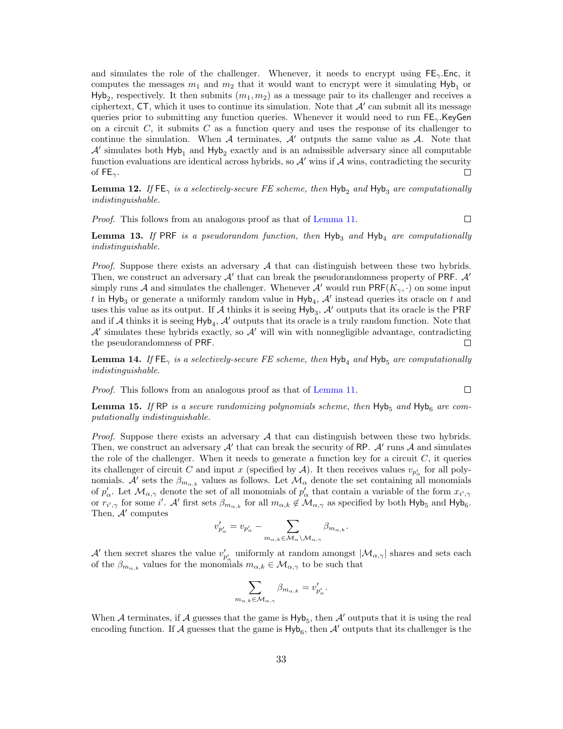and simulates the role of the challenger. Whenever, it needs to encrypt using  $FE_{\gamma}$ . Enc, it computes the messages  $m_1$  and  $m_2$  that it would want to encrypt were it simulating  $Hy_{b_1}$  or  $Hyb<sub>2</sub>$ , respectively. It then submits  $(m<sub>1</sub>, m<sub>2</sub>)$  as a message pair to its challenger and receives a ciphertext,  $CT$ , which it uses to continue its simulation. Note that  $A'$  can submit all its message queries prior to submitting any function queries. Whenever it would need to run  $FE_{\gamma}$ .KeyGen on a circuit C, it submits C as a function query and uses the response of its challenger to continue the simulation. When  $A$  terminates,  $A'$  outputs the same value as  $A$ . Note that  $\mathcal{A}'$  simulates both  $Hyb_1$  and  $Hyb_2$  exactly and is an admissible adversary since all computable function evaluations are identical across hybrids, so  $A'$  wins if A wins, contradicting the security of FE<sub>γ</sub>.  $\Box$ 

**Lemma 12.** If FE<sub> $\gamma$ </sub> is a selectively-secure FE scheme, then Hyb<sub>2</sub> and Hyb<sub>3</sub> are computationally indistinguishable.

 $\Box$ Proof. This follows from an analogous proof as that of [Lemma 11.](#page-31-0)

**Lemma 13.** If PRF is a pseudorandom function, then  $Hyb_3$  and  $Hyb_4$  are computationally indistinguishable.

*Proof.* Suppose there exists an adversary  $A$  that can distinguish between these two hybrids. Then, we construct an adversary  $A'$  that can break the pseudorandomness property of PRF.  $A'$ simply runs A and simulates the challenger. Whenever A' would run PRF( $K_{\gamma}$ , ·) on some input t in Hyb<sub>3</sub> or generate a uniformly random value in Hyb<sub>4</sub>,  $\mathcal{A}'$  instead queries its oracle on t and uses this value as its output. If  $A$  thinks it is seeing  $Hyb_3$ ,  $A'$  outputs that its oracle is the PRF and if A thinks it is seeing  $Hyb_4$ , A' outputs that its oracle is a truly random function. Note that  $A'$  simulates these hybrids exactly, so  $A'$  will win with nonnegligible advantage, contradicting the pseudorandomness of PRF.  $\Box$ 

**Lemma 14.** If FE<sub> $\gamma$ </sub> is a selectively-secure FE scheme, then Hyb<sub>4</sub> and Hyb<sub>5</sub> are computationally indistinguishable.

Proof. This follows from an analogous proof as that of [Lemma 11.](#page-31-0)

**Lemma 15.** If RP is a secure randomizing polynomials scheme, then Hyb<sub>5</sub> and Hyb<sub>6</sub> are computationally indistinguishable.

 $\Box$ 

*Proof.* Suppose there exists an adversary  $A$  that can distinguish between these two hybrids. Then, we construct an adversary  $A'$  that can break the security of RP.  $A'$  runs  $A$  and simulates the role of the challenger. When it needs to generate a function key for a circuit  $C$ , it queries its challenger of circuit C and input x (specified by A). It then receives values  $v_{p'_\alpha}$  for all polynomials. A' sets the  $\beta_{m_{\alpha,k}}$  values as follows. Let  $\mathcal{M}_{\alpha}$  denote the set containing all monomials of  $p'_\n\alpha$ . Let  $\mathcal{M}_{\alpha,\gamma}$  denote the set of all monomials of  $p'_\n\alpha$  that contain a variable of the form  $x_{i',\gamma}$ or  $r_{i',\gamma}$  for some i'. A' first sets  $\beta_{m_{\alpha,k}}$  for all  $m_{\alpha,k} \notin \mathcal{M}_{\alpha,\gamma}$  as specified by both  $Hyb_5$  and  $Hyb_6$ . Then,  $\mathcal{A}'$  computes

$$
v'_{p'_\alpha} = v_{p'_\alpha} - \sum_{m_{\alpha,k} \in \mathcal{M}_\alpha \backslash \mathcal{M}_{\alpha,\gamma}} \beta_{m_{\alpha,k}}.
$$

 $\mathcal{A}'$  then secret shares the value  $v'_{p'_\alpha}$  uniformly at random amongst  $|\mathcal{M}_{\alpha,\gamma}|$  shares and sets each of the  $\beta_{m_{\alpha,k}}$  values for the monomials  $m_{\alpha,k} \in \mathcal{M}_{\alpha,\gamma}$  to be such that

$$
\sum_{m_{\alpha,k}\in\mathcal{M}_{\alpha,\gamma}}\beta_{m_{\alpha,k}}=v'_{p'_{\alpha}}.
$$

When A terminates, if A guesses that the game is  $Hyb_5$ , then A' outputs that it is using the real encoding function. If  $A$  guesses that the game is  $Hyb_6$ , then  $A'$  outputs that its challenger is the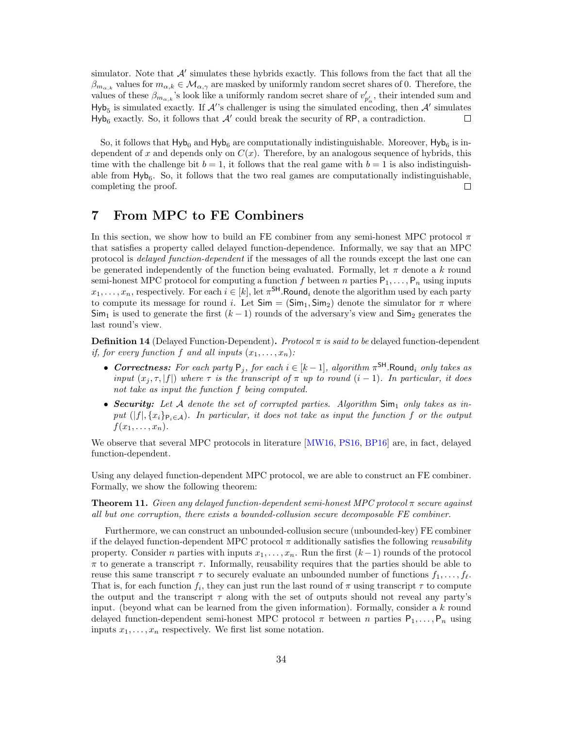simulator. Note that  $A'$  simulates these hybrids exactly. This follows from the fact that all the  $\beta_{m_{\alpha,k}}$  values for  $m_{\alpha,k} \in \mathcal{M}_{\alpha,\gamma}$  are masked by uniformly random secret shares of 0. Therefore, the values of these  $\beta_{m_{\alpha,k}}$ 's look like a uniformly random secret share of  $v'_{p'_{\alpha}}$ , their intended sum and Hyb<sub>5</sub> is simulated exactly. If  $\mathcal{A}$ 's challenger is using the simulated encoding, then  $\mathcal{A}'$  simulates Hyb<sub>6</sub> exactly. So, it follows that  $\mathcal{A}'$  could break the security of RP, a contradiction.  $\Box$ 

So, it follows that  $Hyb_0$  and  $Hyb_6$  are computationally indistinguishable. Moreover,  $Hyb_6$  is independent of x and depends only on  $C(x)$ . Therefore, by an analogous sequence of hybrids, this time with the challenge bit  $b = 1$ , it follows that the real game with  $b = 1$  is also indistinguishable from  $Hyb_6$ . So, it follows that the two real games are computationally indistinguishable, completing the proof.  $\Box$ 

# <span id="page-33-0"></span>7 From MPC to FE Combiners

In this section, we show how to build an FE combiner from any semi-honest MPC protocol  $\pi$ that satisfies a property called delayed function-dependence. Informally, we say that an MPC protocol is delayed function-dependent if the messages of all the rounds except the last one can be generated independently of the function being evaluated. Formally, let  $\pi$  denote a k round semi-honest MPC protocol for computing a function f between n parties  $P_1, \ldots, P_n$  using inputs  $x_1, \ldots, x_n$ , respectively. For each  $i \in [k]$ , let  $\pi^{\mathsf{SH}}$ . Round<sub>i</sub> denote the algorithm used by each party to compute its message for round i. Let  $Sim = (Sim_1, Sim_2)$  denote the simulator for  $\pi$  where  $\text{Sim}_1$  is used to generate the first  $(k-1)$  rounds of the adversary's view and  $\text{Sim}_2$  generates the last round's view.

**Definition 14** (Delayed Function-Dependent). Protocol  $\pi$  is said to be delayed function-dependent if, for every function f and all inputs  $(x_1, \ldots, x_n)$ :

- Correctness: For each party  $P_j$ , for each  $i \in [k-1]$ , algorithm  $\pi^{\mathsf{SH}}$ . Round<sub>i</sub> only takes as input  $(x_j, \tau, |f|)$  where  $\tau$  is the transcript of  $\pi$  up to round  $(i - 1)$ . In particular, it does not take as input the function f being computed.
- Security: Let  $A$  denote the set of corrupted parties. Algorithm  $Sim_1$  only takes as input  $(|f|, \{x_i\}_{P_i \in \mathcal{A}})$ . In particular, it does not take as input the function f or the output  $f(x_1,\ldots,x_n)$ .

We observe that several MPC protocols in literature [\[MW16,](#page-46-11) [PS16,](#page-46-12) [BP16\]](#page-44-12) are, in fact, delayed function-dependent.

Using any delayed function-dependent MPC protocol, we are able to construct an FE combiner. Formally, we show the following theorem:

<span id="page-33-1"></span>**Theorem 11.** Given any delayed function-dependent semi-honest MPC protocol  $\pi$  secure against all but one corruption, there exists a bounded-collusion secure decomposable FE combiner.

Furthermore, we can construct an unbounded-collusion secure (unbounded-key) FE combiner if the delayed function-dependent MPC protocol  $\pi$  additionally satisfies the following *reusability* property. Consider n parties with inputs  $x_1, \ldots, x_n$ . Run the first  $(k-1)$  rounds of the protocol  $\pi$  to generate a transcript  $\tau$ . Informally, reusability requires that the parties should be able to reuse this same transcript  $\tau$  to securely evaluate an unbounded number of functions  $f_1, \ldots, f_\ell$ . That is, for each function  $f_i$ , they can just run the last round of  $\pi$  using transcript  $\tau$  to compute the output and the transcript  $\tau$  along with the set of outputs should not reveal any party's input. (beyond what can be learned from the given information). Formally, consider a k round delayed function-dependent semi-honest MPC protocol  $\pi$  between n parties  $P_1, \ldots, P_n$  using inputs  $x_1, \ldots, x_n$  respectively. We first list some notation.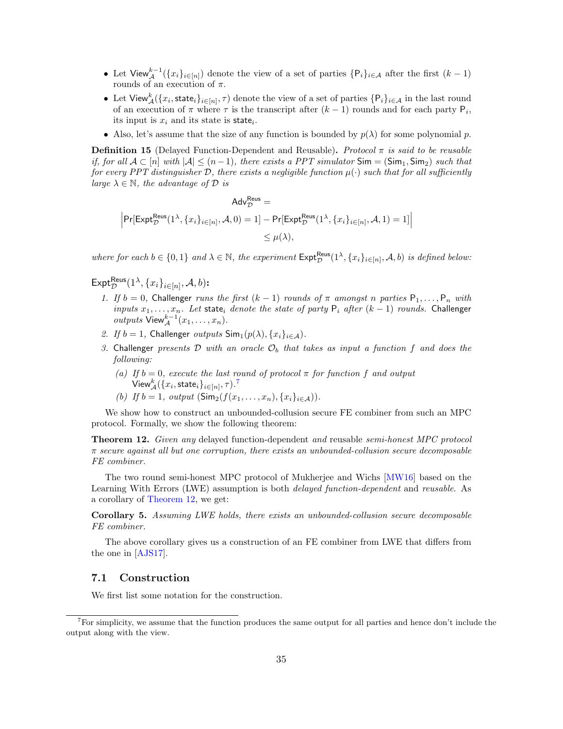- Let View $\mathcal{A}^{k-1}(\{x_i\}_{i\in[n]})$  denote the view of a set of parties  $\{\mathsf{P}_i\}_{i\in\mathcal{A}}$  after the first  $(k-1)$ rounds of an execution of  $\pi$ .
- Let View  $\mathcal{A}(\{x_i, \text{state}_i\}_{i \in [n]}, \tau)$  denote the view of a set of parties  $\{\mathsf{P}_i\}_{i \in \mathcal{A}}$  in the last round of an execution of  $\pi$  where  $\tau$  is the transcript after  $(k-1)$  rounds and for each party  $P_i$ , its input is  $x_i$  and its state is state<sub>i</sub>.
- Also, let's assume that the size of any function is bounded by  $p(\lambda)$  for some polynomial p.

**Definition 15** (Delayed Function-Dependent and Reusable). Protocol  $\pi$  is said to be reusable if, for all  $A \subset [n]$  with  $|A| \leq (n-1)$ , there exists a PPT simulator  $Sim = (Sim_1, Sim_2)$  such that for every PPT distinguisher D, there exists a negligible function  $\mu(\cdot)$  such that for all sufficiently large  $\lambda \in \mathbb{N}$ , the advantage of  $\mathcal D$  is

$$
\mathsf{Adv}^{\mathsf{Reus}}_{\mathcal{D}} = \\ \Big|\mathsf{Pr}[\mathsf{Expt}_{\mathcal{D}}^{\mathsf{Reus}}(1^\lambda,\{x_i\}_{i\in[n]},\mathcal{A},0)=1]-\mathsf{Pr}[\mathsf{Expt}_{\mathcal{D}}^{\mathsf{Reus}}(1^\lambda,\{x_i\}_{i\in[n]},\mathcal{A},1)=1]\Big|\\ \leq \mu(\lambda),
$$

where for each  $b \in \{0,1\}$  and  $\lambda \in \mathbb{N}$ , the experiment  $\mathsf{Expt}_{\mathcal{D}}^{\mathsf{Reus}}(1^{\lambda}, \{x_i\}_{i \in [n]}, \mathcal{A}, b)$  is defined below:

 $\mathsf{Expt}_{\mathcal{D}}^{\mathsf{Reus}}(1^{\lambda}, \{x_i\}_{i\in[n]}, \mathcal{A}, b)$ :

- 1. If  $b = 0$ , Challenger runs the first  $(k 1)$  rounds of  $\pi$  amongst n parties  $P_1, \ldots, P_n$  with inputs  $x_1, \ldots, x_n$ . Let state<sub>i</sub> denote the state of party  $P_i$  after  $(k-1)$  rounds. Challenger *outputs*  $View_{\mathcal{A}}^{k-1}(x_1, \ldots, x_n)$ .
- 2. If  $b = 1$ , Challenger outputs  $\text{Sim}_1(p(\lambda), \{x_i\}_{i \in \mathcal{A}})$ .
- 3. Challenger presents  $D$  with an oracle  $\mathcal{O}_b$  that takes as input a function f and does the following:
	- (a) If  $b = 0$ , execute the last round of protocol  $\pi$  for function f and output  $\mathsf{View}_{\mathcal{A}}^k(\{x_i, \mathsf{state}_i\}_{i \in [n]}, \tau).^{7}$  $\mathsf{View}_{\mathcal{A}}^k(\{x_i, \mathsf{state}_i\}_{i \in [n]}, \tau).^{7}$  $\mathsf{View}_{\mathcal{A}}^k(\{x_i, \mathsf{state}_i\}_{i \in [n]}, \tau).^{7}$
	- (b) If  $b = 1$ , output  $(\text{Sim}_2(f(x_1, ..., x_n), \{x_i\}_{i \in \mathcal{A}})).$

We show how to construct an unbounded-collusion secure FE combiner from such an MPC protocol. Formally, we show the following theorem:

<span id="page-34-0"></span>Theorem 12. Given any delayed function-dependent and reusable semi-honest MPC protocol  $\pi$  secure against all but one corruption, there exists an unbounded-collusion secure decomposable FE combiner.

The two round semi-honest MPC protocol of Mukherjee and Wichs [\[MW16\]](#page-46-11) based on the Learning With Errors (LWE) assumption is both delayed function-dependent and reusable. As a corollary of [Theorem 12,](#page-34-0) we get:

Corollary 5. Assuming LWE holds, there exists an unbounded-collusion secure decomposable FE combiner.

The above corollary gives us a construction of an FE combiner from LWE that differs from the one in [\[AJS17\]](#page-43-1).

#### 7.1 Construction

We first list some notation for the construction.

 $7$ For simplicity, we assume that the function produces the same output for all parties and hence don't include the output along with the view.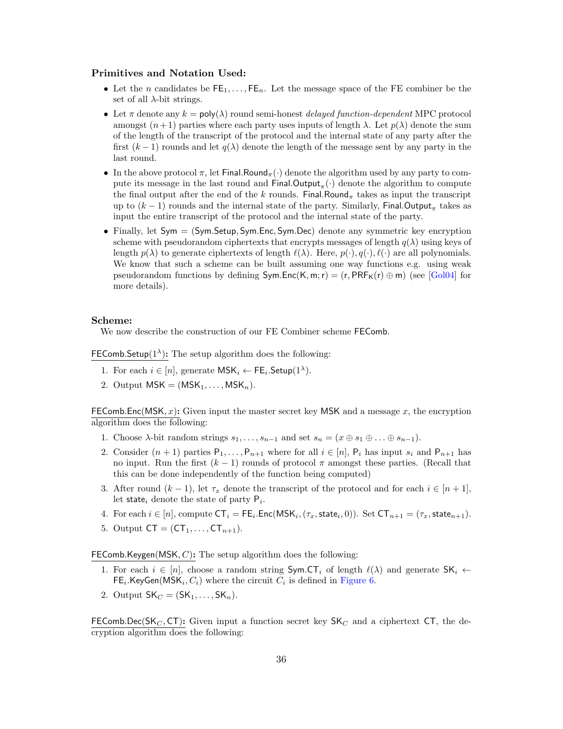### Primitives and Notation Used:

- Let the *n* candidates be  $FE_1, \ldots, FE_n$ . Let the message space of the FE combiner be the set of all  $\lambda$ -bit strings.
- Let  $\pi$  denote any  $k = \text{poly}(\lambda)$  round semi-honest *delayed function-dependent* MPC protocol amongst  $(n+1)$  parties where each party uses inputs of length  $\lambda$ . Let  $p(\lambda)$  denote the sum of the length of the transcript of the protocol and the internal state of any party after the first  $(k-1)$  rounds and let  $q(\lambda)$  denote the length of the message sent by any party in the last round.
- In the above protocol  $\pi$ , let Final.Round $\pi(\cdot)$  denote the algorithm used by any party to compute its message in the last round and  $\textsf{Final}.\textsf{Output}_{\pi}(\cdot)$  denote the algorithm to compute the final output after the end of the k rounds. Final Round<sub>π</sub> takes as input the transcript up to  $(k-1)$  rounds and the internal state of the party. Similarly, Final.Output<sub>π</sub> takes as input the entire transcript of the protocol and the internal state of the party.
- Finally, let Sym = (Sym.Setup, Sym.Enc, Sym.Dec) denote any symmetric key encryption scheme with pseudorandom ciphertexts that encrypts messages of length  $q(\lambda)$  using keys of length  $p(\lambda)$  to generate ciphertexts of length  $\ell(\lambda)$ . Here,  $p(\cdot), q(\cdot), \ell(\cdot)$  are all polynomials. We know that such a scheme can be built assuming one way functions e.g. using weak pseudorandom functions by defining  $SymEnc(K, m; r) = (r, PRF<sub>K</sub>(r) \oplus m)$  (see [\[Gol04\]](#page-45-19) for more details).

#### Scheme:

We now describe the construction of our FE Combiner scheme FEComb.

**FEComb.Setup**( $1^{\lambda}$ ): The setup algorithm does the following:

- 1. For each  $i \in [n]$ , generate  $\mathsf{MSK}_i \leftarrow \mathsf{FE}_i.\mathsf{Setup}(1^{\lambda})$ .
- 2. Output  $MSK = (MSK_1, \ldots, MSK_n)$ .

FEComb.Enc(MSK, x): Given input the master secret key MSK and a message x, the encryption algorithm does the following:

- 1. Choose  $\lambda$ -bit random strings  $s_1, \ldots, s_{n-1}$  and set  $s_n = (x \oplus s_1 \oplus \ldots \oplus s_{n-1}).$
- 2. Consider  $(n+1)$  parties  $P_1, \ldots, P_{n+1}$  where for all  $i \in [n]$ ,  $P_i$  has input  $s_i$  and  $P_{n+1}$  has no input. Run the first  $(k-1)$  rounds of protocol  $\pi$  amongst these parties. (Recall that this can be done independently of the function being computed)
- 3. After round  $(k-1)$ , let  $\tau_x$  denote the transcript of the protocol and for each  $i \in [n+1]$ , let state<sub>i</sub> denote the state of party  $P_i$ .
- 4. For each  $i \in [n]$ , compute  $\mathsf{CT}_i = \mathsf{FE}_i.\mathsf{Enc}(\mathsf{MSK}_i, (\tau_x, \mathsf{state}_i, 0)).$  Set  $\mathsf{CT}_{n+1} = (\tau_x, \mathsf{state}_{n+1}).$
- 5. Output  $CT = (CT_1, ..., CT_{n+1}).$

FEComb.Keygen(MSK,  $C$ ): The setup algorithm does the following:

- 1. For each  $i \in [n]$ , choose a random string  $\mathsf{Sym}.\mathsf{CT}_i$  of length  $\ell(\lambda)$  and generate  $\mathsf{SK}_i \leftarrow$  $FE_i.KeyGen(MSK_i, C_i)$  where the circuit  $C_i$  is defined in [Figure 6.](#page-36-0)
- 2. Output  $SK_C = (SK_1, \ldots, SK_n)$ .

FEComb.Dec(SK<sub>C</sub>, CT): Given input a function secret key  $SK_C$  and a ciphertext CT, the decryption algorithm does the following: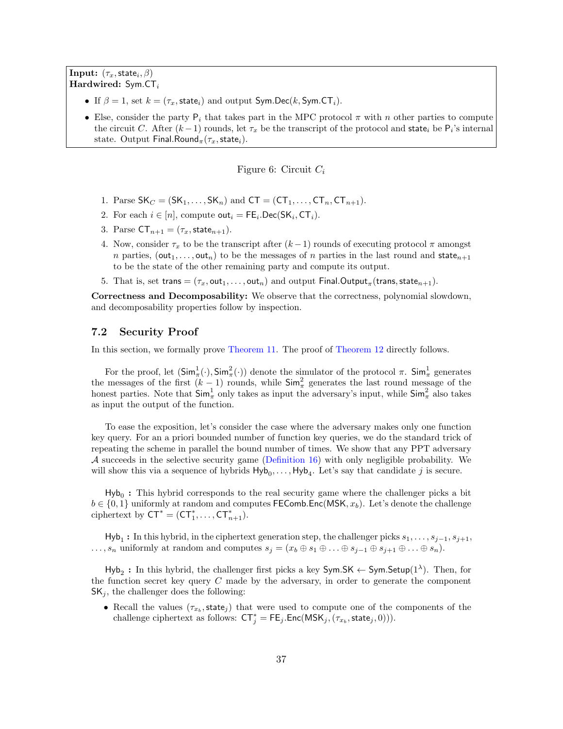$\textbf{Input:} \,\, (\tau_x, \textsf{state}_i, \beta)$ Hardwired:  $Sym.CT_i$ 

- If  $\beta = 1$ , set  $k = (\tau_x, \text{state}_i)$  and output Sym.Dec(k, Sym.CT<sub>i</sub>).
- <span id="page-36-0"></span>• Else, consider the party  $P_i$  that takes part in the MPC protocol  $\pi$  with n other parties to compute the circuit C. After  $(k-1)$  rounds, let  $\tau_x$  be the transcript of the protocol and state<sub>i</sub> be  $\mathsf{P}_i$ 's internal state. Output Final.Round $_{\pi}(\tau_x, \mathsf{state}_i)$ .

#### Figure 6: Circuit  $C_i$

- 1. Parse  $SK_C = (SK_1, ..., SK_n)$  and  $CT = (CT_1, ..., CT_n, CT_{n+1})$ .
- 2. For each  $i \in [n]$ , compute  $\mathsf{out}_i = \mathsf{FE}_i.\mathsf{Dec}(\mathsf{SK}_i, \mathsf{CT}_i).$
- 3. Parse  $CT_{n+1} = (\tau_x, state_{n+1}).$
- 4. Now, consider  $\tau_x$  to be the transcript after  $(k-1)$  rounds of executing protocol  $\pi$  amongst n parties,  $(\text{out}_1, \ldots, \text{out}_n)$  to be the messages of n parties in the last round and state $_{n+1}$ to be the state of the other remaining party and compute its output.
- 5. That is, set trans =  $(\tau_x, \text{out}_1, \ldots, \text{out}_n)$  and output Final.Output<sub> $\pi$ </sub>(trans, state<sub>n+1</sub>).

Correctness and Decomposability: We observe that the correctness, polynomial slowdown, and decomposability properties follow by inspection.

## 7.2 Security Proof

In this section, we formally prove [Theorem 11.](#page-33-1) The proof of [Theorem 12](#page-34-0) directly follows.

For the proof, let  $(\textsf{Sim}_{\pi}^{1}(\cdot), \textsf{Sim}_{\pi}^{2}(\cdot))$  denote the simulator of the protocol  $\pi$ .  $\textsf{Sim}_{\pi}^{1}$  generates the messages of the first  $(k-1)$  rounds, while  $\textsf{Sim}^2_{\pi}$  generates the last round message of the honest parties. Note that  $\sin^1_{\pi}$  only takes as input the adversary's input, while  $\sin^2_{\pi}$  also takes as input the output of the function.

To ease the exposition, let's consider the case where the adversary makes only one function key query. For an a priori bounded number of function key queries, we do the standard trick of repeating the scheme in parallel the bound number of times. We show that any PPT adversary A succeeds in the selective security game [\(Definition 16\)](#page-47-0) with only negligible probability. We will show this via a sequence of hybrids  $Hyb_0, \ldots, Hyb_4$ . Let's say that candidate j is secure.

 $\mathsf{Hyb}_0$ : This hybrid corresponds to the real security game where the challenger picks a bit  $b \in \{0,1\}$  uniformly at random and computes FEComb.Enc(MSK,  $x_b$ ). Let's denote the challenge ciphertext by  $CT^* = (CT_1^*, \ldots, CT_{n+1}^*)$ .

 $\text{Hyb}_1$ : In this hybrid, in the ciphertext generation step, the challenger picks  $s_1, \ldots, s_{j-1}, s_{j+1}$ ,  $\ldots$ ,  $s_n$  uniformly at random and computes  $s_j = (x_b \oplus s_1 \oplus \ldots \oplus s_{j-1} \oplus s_{j+1} \oplus \ldots \oplus s_n).$ 

 $Hyb_2$ : In this hybrid, the challenger first picks a key  $Sym.SK \leftarrow Sym.Setup(1^{\lambda})$ . Then, for the function secret key query  $C$  made by the adversary, in order to generate the component  $SK<sub>j</sub>$ , the challenger does the following:

• Recall the values  $(\tau_{x_b}, \text{state}_j)$  that were used to compute one of the components of the challenge ciphertext as follows:  $CT_j^* = FE_j$ . Enc(MSK<sub>j</sub>,  $(\tau_{x_b},$ state<sub>j</sub>, 0))).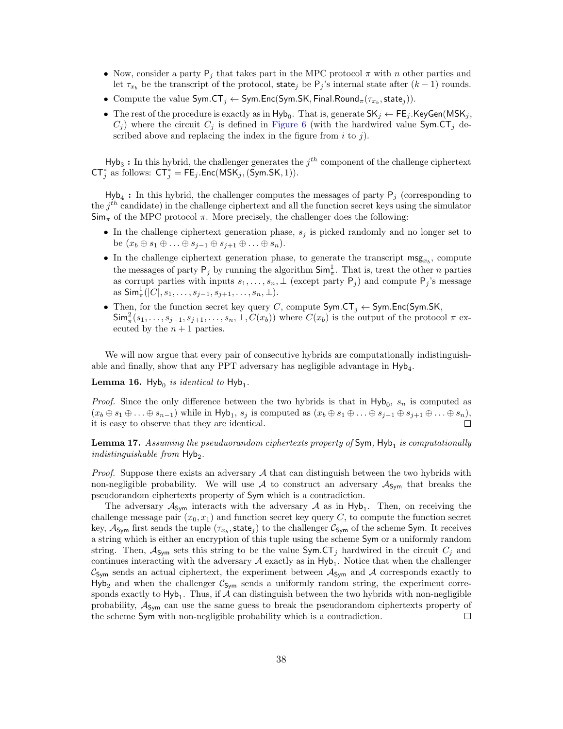- Now, consider a party  $P_j$  that takes part in the MPC protocol  $\pi$  with n other parties and let  $\tau_{x_b}$  be the transcript of the protocol, state<sub>j</sub> be P<sub>j</sub>'s internal state after  $(k - 1)$  rounds.
- Compute the value  $\mathsf{Sym}.\mathsf{CT}_j \leftarrow \mathsf{Sym}.\mathsf{Enc}(\mathsf{Sym}.\mathsf{SK},\mathsf{Final}.\mathsf{Round}_{\pi}(\tau_{x_b},\mathsf{state}_j)).$
- The rest of the procedure is exactly as in  $Hyb_0$ . That is, generate  $SK_j \leftarrow FE_j$ . KeyGen(MSK<sub>j</sub>,  $C_j$ ) where the circuit  $C_j$  is defined in [Figure 6](#page-36-0) (with the hardwired value Sym.CT<sub>j</sub> described above and replacing the index in the figure from  $i$  to  $j$ ).

 $\mathsf{Hyb}_3$ : In this hybrid, the challenger generates the  $j^{th}$  component of the challenge ciphertext  $CT_j^*$  as follows:  $CT_j^* = FE_j$ . Enc(MSK<sub>j</sub>, (Sym. SK, 1)).

 $Hyb<sub>4</sub>$ : In this hybrid, the challenger computes the messages of party  $P<sub>j</sub>$  (corresponding to the  $j<sup>th</sup>$  candidate) in the challenge ciphertext and all the function secret keys using the simulator  $\mathsf{Sim}_{\pi}$  of the MPC protocol  $\pi$ . More precisely, the challenger does the following:

- In the challenge ciphertext generation phase,  $s_j$  is picked randomly and no longer set to be  $(x_b \oplus s_1 \oplus \ldots \oplus s_{j-1} \oplus s_{j+1} \oplus \ldots \oplus s_n).$
- In the challenge ciphertext generation phase, to generate the transcript  $\text{msg}_{x_b}$ , compute the messages of party  $P_j$  by running the algorithm  $\textsf{Sim}^1_\pi$ . That is, treat the other n parties as corrupt parties with inputs  $s_1, \ldots, s_n$ ,  $\perp$  (except party  $P_j$ ) and compute  $P_j$ 's message as  $\textsf{Sim}^1_\pi(|C|, s_1, \ldots, s_{j-1}, s_{j+1}, \ldots, s_n, \bot).$
- Then, for the function secret key query C, compute  $Sym.CT_j \leftarrow Sym.Enc(Sym.SK,$  $\textsf{Sim}^2_\pi(s_1,\ldots,s_{j-1},s_{j+1},\ldots,s_n,\perp,C(x_b))$  where  $C(x_b)$  is the output of the protocol  $\pi$  executed by the  $n + 1$  parties.

We will now argue that every pair of consecutive hybrids are computationally indistinguishable and finally, show that any PPT adversary has negligible advantage in  $\mathsf{Hyb}_4$ .

**Lemma 16.** Hyb<sub>0</sub> is identical to  $Hyb_1$ .

*Proof.* Since the only difference between the two hybrids is that in  $Hyb_0$ ,  $s_n$  is computed as  $(x_b \oplus s_1 \oplus \ldots \oplus s_{n-1})$  while in  $\mathsf{Hyb}_1$ ,  $s_j$  is computed as  $(x_b \oplus s_1 \oplus \ldots \oplus s_{j-1} \oplus s_{j+1} \oplus \ldots \oplus s_n)$ , it is easy to observe that they are identical.  $\Box$ 

**Lemma 17.** Assuming the pseuduorandom ciphertexts property of  $Sym$ ,  $Hyb_1$  is computationally indistinguishable from  $Hyb<sub>2</sub>$ .

*Proof.* Suppose there exists an adversary  $A$  that can distinguish between the two hybrids with non-negligible probability. We will use  $A$  to construct an adversary  $A_{Sym}$  that breaks the pseudorandom ciphertexts property of Sym which is a contradiction.

The adversary  $A_{\mathsf{Sym}}$  interacts with the adversary A as in  $\mathsf{Hyb}_1$ . Then, on receiving the challenge message pair  $(x_0, x_1)$  and function secret key query C, to compute the function secret key,  ${\cal A}_{\sf Sym}$  first sends the tuple  $(\tau_{x_b}, {\sf state}_j)$  to the challenger  ${\cal C}_{\sf Sym}$  of the scheme  ${\sf Sym}.$  It receives a string which is either an encryption of this tuple using the scheme Sym or a uniformly random string. Then,  $A_{\text{Sym}}$  sets this string to be the value  $\text{Sym }$ . CT<sub>j</sub> hardwired in the circuit  $C_i$  and continues interacting with the adversary  $A$  exactly as in  $\mathsf{Hyb}_1$ . Notice that when the challenger  $\mathcal{C}_{Sym}$  sends an actual ciphertext, the experiment between  $\mathcal{A}_{Sym}$  and A corresponds exactly to  $Hyb<sub>2</sub>$  and when the challenger  $C<sub>Sym</sub>$  sends a uniformly random string, the experiment corresponds exactly to  $\mathsf{Hyb}_1$ . Thus, if A can distinguish between the two hybrids with non-negligible probability,  $A_{\mathsf{Sym}}$  can use the same guess to break the pseudorandom ciphertexts property of the scheme Sym with non-negligible probability which is a contradiction.  $\Box$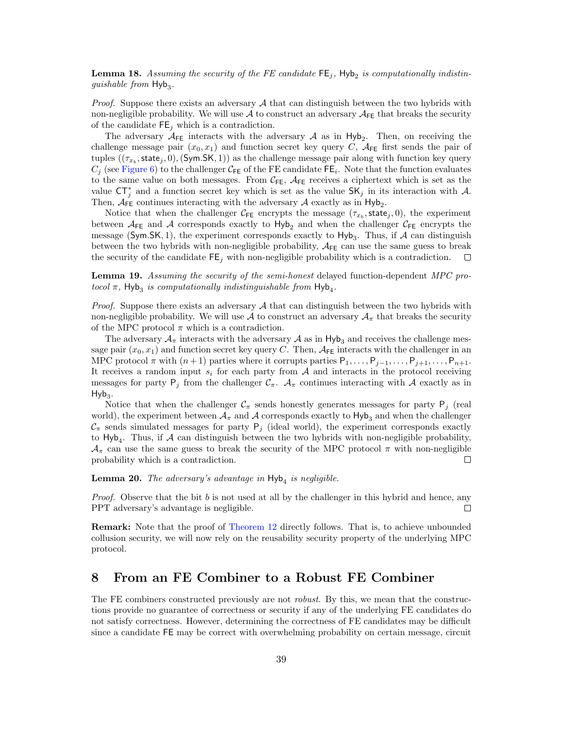**Lemma 18.** Assuming the security of the FE candidate  $\mathsf{FE}_j$ ,  $\mathsf{Hyb}_2$  is computationally indistinguishable from  $Hyb_3$ .

*Proof.* Suppose there exists an adversary  $A$  that can distinguish between the two hybrids with non-negligible probability. We will use  $A$  to construct an adversary  $A_{FE}$  that breaks the security of the candidate  $FE<sub>j</sub>$  which is a contradiction.

The adversary  $A_{FE}$  interacts with the adversary A as in  $Hyb_2$ . Then, on receiving the challenge message pair  $(x_0, x_1)$  and function secret key query C,  $A_{FE}$  first sends the pair of tuples  $((\tau_{x_b},\mathsf{state}_j, 0),(\mathsf{Sym.SK}, 1))$  as the challenge message pair along with function key query  $C_j$  (see [Figure 6\)](#page-36-0) to the challenger  $C_{\text{FE}}$  of the FE candidate FE<sub>i</sub>. Note that the function evaluates to the same value on both messages. From  $C_{FE}$ ,  $A_{FE}$  receives a ciphertext which is set as the value  $CT_j^*$  and a function secret key which is set as the value  $SK_j$  in its interaction with A. Then,  $A_{FE}$  continues interacting with the adversary A exactly as in  $Hyb_2$ .

Notice that when the challenger  $\mathcal{C}_{FE}$  encrypts the message  $(\tau_{x_b}, \text{state}_j, 0)$ , the experiment between  $A_{FE}$  and A corresponds exactly to Hyb<sub>2</sub> and when the challenger  $C_{FE}$  encrypts the message (Sym.SK, 1), the experiment corresponds exactly to  $Hyb_3$ . Thus, if A can distinguish between the two hybrids with non-negligible probability,  $A_{FE}$  can use the same guess to break the security of the candidate  $FE_j$  with non-negligible probability which is a contradiction.  $\Box$ 

Lemma 19. Assuming the security of the semi-honest delayed function-dependent MPC protocol  $\pi$ , Hyb<sub>3</sub> is computationally indistinguishable from Hyb<sub>4</sub>.

*Proof.* Suppose there exists an adversary  $A$  that can distinguish between the two hybrids with non-negligible probability. We will use A to construct an adversary  $A_{\pi}$  that breaks the security of the MPC protocol  $\pi$  which is a contradiction.

The adversary  $A_\pi$  interacts with the adversary A as in Hyb<sub>3</sub> and receives the challenge message pair  $(x_0, x_1)$  and function secret key query C. Then,  $A_{FE}$  interacts with the challenger in an MPC protocol  $\pi$  with  $(n+1)$  parties where it corrupts parties  $P_1, \ldots, P_{j-1}, \ldots, P_{j+1}, \ldots, P_{n+1}$ . It receives a random input  $s_i$  for each party from  $A$  and interacts in the protocol receiving messages for party P<sub>j</sub> from the challenger  $C_\pi$ .  $\mathcal{A}_\pi$  continues interacting with A exactly as in  $Hyb_3$ .

Notice that when the challenger  $\mathcal{C}_{\pi}$  sends honestly generates messages for party  $P_i$  (real world), the experiment between  $A_{\pi}$  and A corresponds exactly to Hyb<sub>3</sub> and when the challenger  $\mathcal{C}_{\pi}$  sends simulated messages for party  $\mathsf{P}_i$  (ideal world), the experiment corresponds exactly to  $Hyb_4$ . Thus, if A can distinguish between the two hybrids with non-negligible probability,  $A_{\pi}$  can use the same guess to break the security of the MPC protocol  $\pi$  with non-negligible probability which is a contradiction.  $\Box$ 

**Lemma 20.** The adversary's advantage in  $Hyb<sub>4</sub>$  is negligible.

*Proof.* Observe that the bit b is not used at all by the challenger in this hybrid and hence, any PPT adversary's advantage is negligible.  $\Box$ 

Remark: Note that the proof of [Theorem 12](#page-34-0) directly follows. That is, to achieve unbounded collusion security, we will now rely on the reusability security property of the underlying MPC protocol.

# <span id="page-38-0"></span>8 From an FE Combiner to a Robust FE Combiner

The FE combiners constructed previously are not *robust*. By this, we mean that the constructions provide no guarantee of correctness or security if any of the underlying FE candidates do not satisfy correctness. However, determining the correctness of FE candidates may be difficult since a candidate FE may be correct with overwhelming probability on certain message, circuit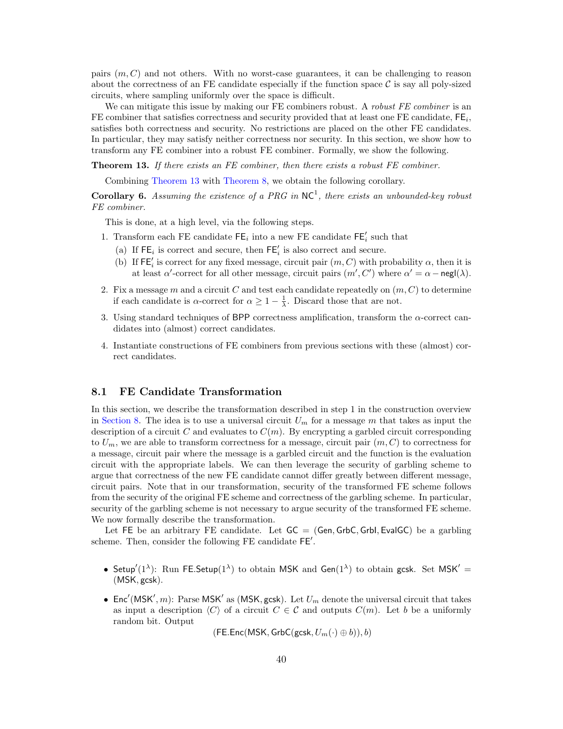pairs  $(m, C)$  and not others. With no worst-case guarantees, it can be challenging to reason about the correctness of an FE candidate especially if the function space  $\mathcal C$  is say all poly-sized circuits, where sampling uniformly over the space is difficult.

We can mitigate this issue by making our FE combiners robust. A robust FE combiner is an FE combiner that satisfies correctness and security provided that at least one FE candidate,  $FE_i$ , satisfies both correctness and security. No restrictions are placed on the other FE candidates. In particular, they may satisfy neither correctness nor security. In this section, we show how to transform any FE combiner into a robust FE combiner. Formally, we show the following.

<span id="page-39-0"></span>Theorem 13. If there exists an FE combiner, then there exists a robust FE combiner.

Combining [Theorem 13](#page-39-0) with [Theorem 8,](#page-26-1) we obtain the following corollary.

<span id="page-39-2"></span>Corollary 6. Assuming the existence of a PRG in  $NC<sup>1</sup>$ , there exists an unbounded-key robust FE combiner.

This is done, at a high level, via the following steps.

- 1. Transform each FE candidate  $\mathsf{FE}_i$  into a new FE candidate  $\mathsf{FE}_i'$  such that
	- (a) If  $\mathsf{FE}_i$  is correct and secure, then  $\mathsf{FE}'_i$  is also correct and secure.
	- (b) If  $\mathsf{FE}'_i$  is correct for any fixed message, circuit pair  $(m, C)$  with probability  $\alpha$ , then it is at least  $\alpha'$ -correct for all other message, circuit pairs  $(m', C')$  where  $\alpha' = \alpha - \text{negl}(\lambda)$ .
- 2. Fix a message m and a circuit C and test each candidate repeatedly on  $(m, C)$  to determine if each candidate is  $\alpha$ -correct for  $\alpha \geq 1 - \frac{1}{\lambda}$ . Discard those that are not.
- 3. Using standard techniques of BPP correctness amplification, transform the  $\alpha$ -correct candidates into (almost) correct candidates.
- 4. Instantiate constructions of FE combiners from previous sections with these (almost) correct candidates.

# <span id="page-39-1"></span>8.1 FE Candidate Transformation

In this section, we describe the transformation described in step 1 in the construction overview in [Section 8.](#page-38-0) The idea is to use a universal circuit  $U_m$  for a message m that takes as input the description of a circuit C and evaluates to  $C(m)$ . By encrypting a garbled circuit corresponding to  $U_m$ , we are able to transform correctness for a message, circuit pair  $(m, C)$  to correctness for a message, circuit pair where the message is a garbled circuit and the function is the evaluation circuit with the appropriate labels. We can then leverage the security of garbling scheme to argue that correctness of the new FE candidate cannot differ greatly between different message, circuit pairs. Note that in our transformation, security of the transformed FE scheme follows from the security of the original FE scheme and correctness of the garbling scheme. In particular, security of the garbling scheme is not necessary to argue security of the transformed FE scheme. We now formally describe the transformation.

Let FE be an arbitrary FE candidate. Let  $GC = (Gen, GrbC, GrbI, EvalGC)$  be a garbling scheme. Then, consider the following  $FE$  candidate  $FE'$ .

- Setup'( $1^{\lambda}$ ): Run FE.Setup( $1^{\lambda}$ ) to obtain MSK and Gen( $1^{\lambda}$ ) to obtain gcsk. Set MSK' = (MSK, gcsk).
- Enc'(MSK', m): Parse MSK' as (MSK, gcsk). Let  $U_m$  denote the universal circuit that takes as input a description  $\langle C \rangle$  of a circuit  $C \in \mathcal{C}$  and outputs  $C(m)$ . Let b be a uniformly random bit. Output

 $(FE.Enc(MSK, GrbC(gcsk, U_m(\cdot) \oplus b)), b)$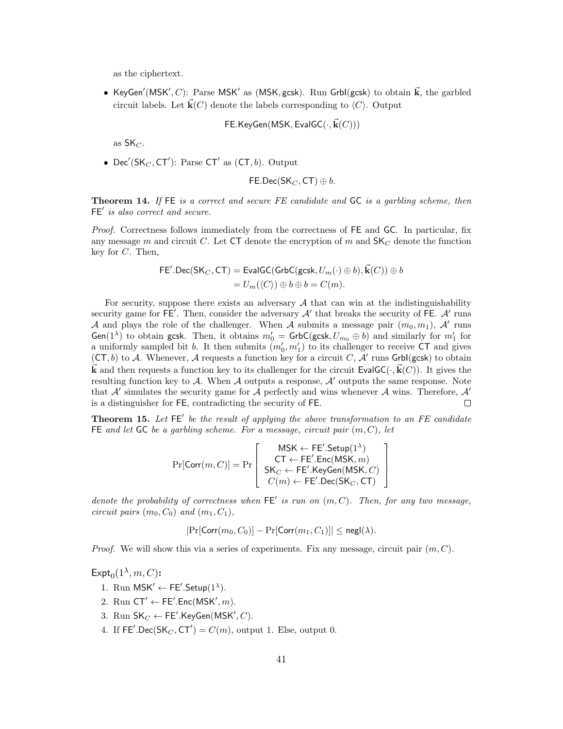as the ciphertext.

• KeyGen'(MSK', C): Parse MSK' as (MSK, gcsk). Run Grbl(gcsk) to obtain  $\vec{k}$ , the garbled circuit labels. Let  $\vec{k}(C)$  denote the labels corresponding to  $\langle C \rangle$ . Output

$$
\mathsf{FE}.\mathsf{KeyGen}(\mathsf{MSK},\mathsf{EvalGC}(\cdot,\vec{\mathbf{k}}(C)))
$$

as  $SK_C$ .

• Dec'(SK<sub>C</sub>, CT'): Parse CT' as (CT, b). Output

$$
\mathsf{FE}.\mathsf{Dec}(\mathsf{SK}_C,\mathsf{CT})\oplus b.
$$

**Theorem 14.** If  $FE$  is a correct and secure  $FE$  candidate and  $GC$  is a garbling scheme, then  $FE'$  is also correct and secure.

Proof. Correctness follows immediately from the correctness of FE and GC. In particular, fix any message m and circuit C. Let  $CT$  denote the encryption of m and  $SK_C$  denote the function key for  $C$ . Then,

$$
\begin{aligned} \mathsf{FE}'.\mathsf{Dec}(\mathsf{SK}_C,\mathsf{CT}) &= \mathsf{EvalGC}(\mathsf{GrbC}(\mathsf{gcsk},U_m(\cdot)\oplus b),\vec{\mathbf{k}}(C))\oplus b \\ &= U_m(\langle C\rangle)\oplus b\oplus b = C(m). \end{aligned}
$$

For security, suppose there exists an adversary  $A$  that can win at the indistinguishability security game for  $FE'$ . Then, consider the adversary  $A'$  that breaks the security of  $FE$ .  $A'$  runs A and plays the role of the challenger. When A submits a message pair  $(m_0, m_1)$ , A' runs Gen(1<sup> $\lambda$ </sup>) to obtain gcsk. Then, it obtains  $m'_0 = \text{GrbC}(\text{gcsk}, U_{m_0} \oplus b)$  and similarly for  $m'_1$  for a uniformly sampled bit b. It then submits  $(m'_0, m'_1)$  to its challenger to receive CT and gives  $(CT, b)$  to A. Whenever, A requests a function key for a circuit C, A' runs Grbl(gcsk) to obtain  $\vec{k}$  and then requests a function key to its challenger for the circuit  $\mathsf{EvalGC}(\cdot, \vec{k}(C))$ . It gives the resulting function key to  $\mathcal{A}$ . When  $\mathcal{A}$  outputs a response,  $\mathcal{A}'$  outputs the same response. Note that  $A'$  simulates the security game for  $A$  perfectly and wins whenever  $A$  wins. Therefore,  $A'$ is a distinguisher for FE, contradicting the security of FE.  $\Box$ 

**Theorem 15.** Let  $FE'$  be the result of applying the above transformation to an  $FE$  candidate FE and let GC be a garbling scheme. For a message, circuit pair  $(m, C)$ , let

$$
\Pr[\mathsf{Corr}(m, C)] = \Pr\left[\begin{array}{c}\mathsf{MSK} \leftarrow \mathsf{FE}'.\mathsf{Setup}(1^\lambda)\\ \mathsf{CT} \leftarrow \mathsf{FE}'.\mathsf{Enc}(\mathsf{MSK}, m)\\ \mathsf{SK}_C \leftarrow \mathsf{FE}'.\mathsf{KeyGen}(\mathsf{MSK}, C)\\ C(m) \leftarrow \mathsf{FE}'.\mathsf{Dec}(\mathsf{SK}_C, \mathsf{CT})\end{array}\right]\right.\right]
$$

denote the probability of correctness when  $FE'$  is run on  $(m, C)$ . Then, for any two message, circuit pairs  $(m_0, C_0)$  and  $(m_1, C_1)$ ,

$$
|\Pr[\text{Corr}(m_0, C_0)] - \Pr[\text{Corr}(m_1, C_1)]| \le \text{negl}(\lambda).
$$

*Proof.* We will show this via a series of experiments. Fix any message, circuit pair  $(m, C)$ .

 $\mathsf{Expt}_0(1^\lambda, m, C)$ :

- 1. Run  $\mathsf{MSK}' \leftarrow \mathsf{FE}'.\mathsf{Setup}(1^{\lambda}).$
- 2. Run  $CT' \leftarrow FE'.Enc(MSK', m)$ .
- 3. Run  $\mathsf{SK}_C \leftarrow \mathsf{FE}'.\mathsf{KeyGen}(\mathsf{MSK}', C).$
- 4. If  $FE'.Dec(SK_C, CT') = C(m)$ , output 1. Else, output 0.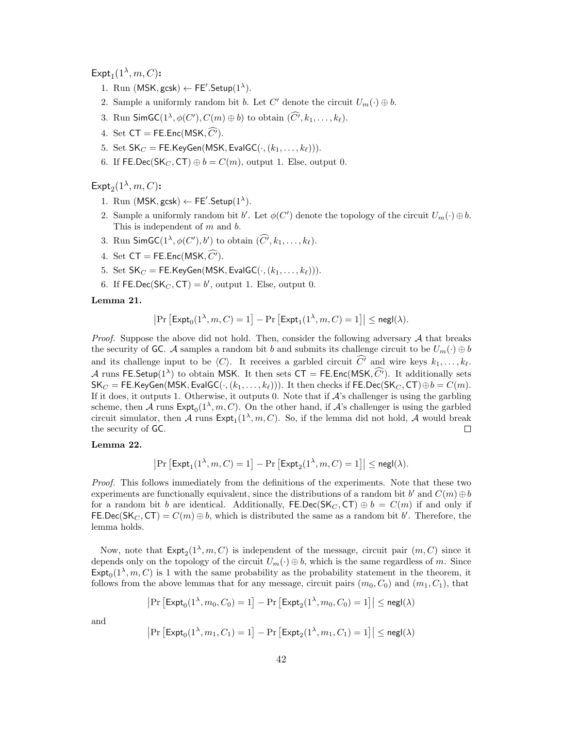$\mathsf{Expt}_1(1^\lambda, m, C)$ :

- 1. Run (MSK, gcsk)  $\leftarrow$  FE'. Setup(1<sup> $\lambda$ </sup>).
- 2. Sample a uniformly random bit b. Let C' denote the circuit  $U_m(\cdot) \oplus b$ .
- 3. Run  $\mathsf{SimGC}(1^\lambda, \phi(C'), C(m) \oplus b)$  to obtain  $(\widehat{C'}, k_1, \ldots, k_\ell)$ .
- 4. Set  $CT = FE.Enc(MSK, \widehat{C'})$ .
- 5. Set  $SK_C = FE.KeyGen(MSK,EvalGC(\cdot, (k_1, ..., k_\ell))).$
- 6. If FE.Dec(SK<sub>C</sub>, CT)  $\oplus b = C(m)$ , output 1. Else, output 0.

 $\mathsf{Expt}_2(1^\lambda, m, C)$ :

- 1. Run (MSK, gcsk)  $\leftarrow$  FE'. Setup( $1^{\lambda}$ ).
- 2. Sample a uniformly random bit b'. Let  $\phi(C')$  denote the topology of the circuit  $U_m(\cdot) \oplus b$ . This is independent of m and b.
- 3. Run  $\mathsf{SimGC}(1^{\lambda}, \phi(C'), b')$  to obtain  $(\widehat{C'}, k_1, \ldots, k_\ell)$ .
- 4. Set  $CT = FE.Enc(MSK, \widehat{C'})$ .
- 5. Set  $SK_C = FE.KeyGen(MSK,EvalGC(\cdot, (k_1, \ldots, k_\ell))).$
- 6. If  $\mathsf{FE}.\mathsf{Dec}(\mathsf{SK}_C, \mathsf{CT}) = b'$ , output 1. Else, output 0.

### Lemma 21.

$$
\left|\Pr\left[\mathsf{Expt}_0(1^{\lambda}, m, C) = 1\right] - \Pr\left[\mathsf{Expt}_1(1^{\lambda}, m, C) = 1\right]\right| \le \mathsf{negl}(\lambda).
$$

*Proof.* Suppose the above did not hold. Then, consider the following adversary  $A$  that breaks the security of GC. A samples a random bit b and submits its challenge circuit to be  $U_m(\cdot) \oplus b$ and its challenge input to be  $\langle C \rangle$ . It receives a garbled circuit  $\widehat{C'}$  and wire keys  $k_1, \ldots, k_\ell$ . A runs FE.Setup(1<sup> $\lambda$ </sup>) to obtain MSK. It then sets  $CT = FE$ . Enc(MSK,  $\widehat{C'}$ ). It additionally sets  $SK_C = FE.KeyGen(MSK,EvalGC(\cdot, (k_1, \ldots, k_\ell)))$ . It then checks if FE.Dec(SK<sub>C</sub>, CT) $\oplus b = C(m)$ . If it does, it outputs 1. Otherwise, it outputs 0. Note that if  $\mathcal{A}$ 's challenger is using the garbling scheme, then A runs  $\textsf{Expt}_0(1^\lambda, m, C)$ . On the other hand, if A's challenger is using the garbled circuit simulator, then A runs  $\text{Expt}_1(1^{\lambda}, m, C)$ . So, if the lemma did not hold, A would break the security of GC.  $\Box$ 

#### Lemma 22.

$$
\left|\Pr\left[\mathsf{Expt}_1(1^{\lambda}, m, C) = 1\right] - \Pr\left[\mathsf{Expt}_2(1^{\lambda}, m, C) = 1\right]\right| \le \mathsf{negl}(\lambda).
$$

*Proof.* This follows immediately from the definitions of the experiments. Note that these two experiments are functionally equivalent, since the distributions of a random bit b' and  $C(m) \oplus b$ for a random bit b are identical. Additionally, FE.Dec(SK<sub>C</sub>, CT)  $\oplus b = C(m)$  if and only if FE.Dec(SK<sub>C</sub>, CT) =  $C(m) \oplus b$ , which is distributed the same as a random bit b'. Therefore, the lemma holds.

Now, note that  $\textsf{Expt}_2(1^{\lambda}, m, C)$  is independent of the message, circuit pair  $(m, C)$  since it depends only on the topology of the circuit  $U_m(\cdot) \oplus b$ , which is the same regardless of m. Since  $\text{Expt}_0(1^{\lambda}, m, C)$  is 1 with the same probability as the probability statement in the theorem, it follows from the above lemmas that for any message, circuit pairs  $(m_0, C_0)$  and  $(m_1, C_1)$ , that

$$
\left|\Pr\left[\mathsf{Expt}_0(1^\lambda, m_0, C_0) = 1\right] - \Pr\left[\mathsf{Expt}_2(1^\lambda, m_0, C_0) = 1\right]\right| \le \mathsf{negl}(\lambda)
$$

and

$$
\left|\Pr\left[\mathsf{Expt}_0(1^\lambda,m_1,C_1)=1\right]-\Pr\left[\mathsf{Expt}_2(1^\lambda,m_1,C_1)=1\right]\right|\le {\mathsf{negl}}(\lambda)
$$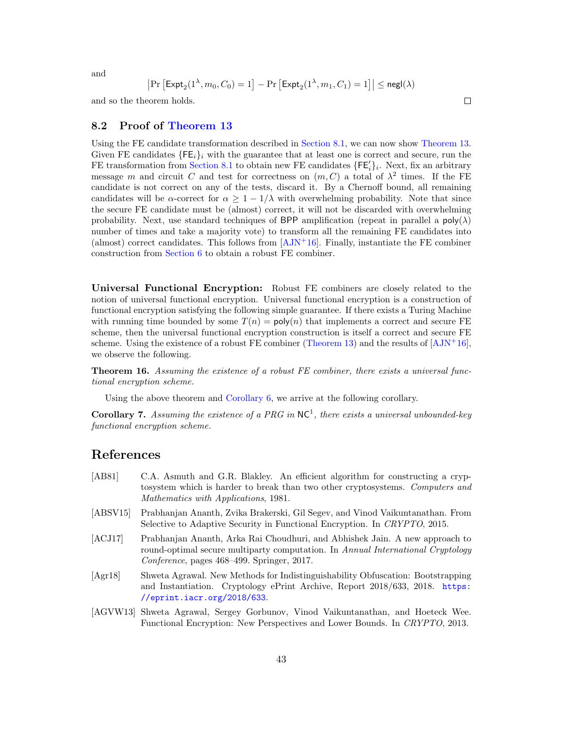and

$$
\left|\Pr\left[\mathsf{Expt}_2(1^\lambda,m_0,C_0)=1\right]-\Pr\left[\mathsf{Expt}_2(1^\lambda,m_1,C_1)=1\right]\right|\le {\mathsf{negl}}(\lambda)
$$

and so the theorem holds.

# 8.2 Proof of [Theorem 13](#page-39-0)

Using the FE candidate transformation described in [Section 8.1,](#page-39-1) we can now show [Theorem 13.](#page-39-0) Given FE candidates  $\{FE_i\}_i$  with the guarantee that at least one is correct and secure, run the FE transformation from [Section 8.1](#page-39-1) to obtain new FE candidates  $\{\mathsf{FE}_i'\}_i$ . Next, fix an arbitrary message m and circuit C and test for correctness on  $(m, C)$  a total of  $\lambda^2$  times. If the FE candidate is not correct on any of the tests, discard it. By a Chernoff bound, all remaining candidates will be  $\alpha$ -correct for  $\alpha > 1 - 1/\lambda$  with overwhelming probability. Note that since the secure FE candidate must be (almost) correct, it will not be discarded with overwhelming probability. Next, use standard techniques of BPP amplification (repeat in parallel a  $\text{poly}(\lambda)$ ) number of times and take a majority vote) to transform all the remaining FE candidates into (almost) correct candidates. This follows from  $[AJN+16]$  $[AJN+16]$ . Finally, instantiate the FE combiner construction from [Section 6](#page-25-0) to obtain a robust FE combiner.

Universal Functional Encryption: Robust FE combiners are closely related to the notion of universal functional encryption. Universal functional encryption is a construction of functional encryption satisfying the following simple guarantee. If there exists a Turing Machine with running time bounded by some  $T(n) = \text{poly}(n)$  that implements a correct and secure FE scheme, then the universal functional encryption construction is itself a correct and secure FE scheme. Using the existence of a robust FE combiner [\(Theorem 13\)](#page-39-0) and the results of  $[AJN+16]$  $[AJN+16]$ , we observe the following.

Theorem 16. Assuming the existence of a robust FE combiner, there exists a universal functional encryption scheme.

Using the above theorem and [Corollary 6,](#page-39-2) we arrive at the following corollary.

**Corollary 7.** Assuming the existence of a PRG in  $NC^1$ , there exists a universal unbounded-key functional encryption scheme.

# References

- <span id="page-42-2"></span>[AB81] C.A. Asmuth and G.R. Blakley. An efficient algorithm for constructing a cryptosystem which is harder to break than two other cryptosystems. Computers and Mathematics with Applications, 1981.
- <span id="page-42-4"></span>[ABSV15] Prabhanjan Ananth, Zvika Brakerski, Gil Segev, and Vinod Vaikuntanathan. From Selective to Adaptive Security in Functional Encryption. In CRYPTO, 2015.
- <span id="page-42-1"></span>[ACJ17] Prabhanjan Ananth, Arka Rai Choudhuri, and Abhishek Jain. A new approach to round-optimal secure multiparty computation. In Annual International Cryptology Conference, pages 468–499. Springer, 2017.
- <span id="page-42-0"></span>[Agr18] Shweta Agrawal. New Methods for Indistinguishability Obfuscation: Bootstrapping and Instantiation. Cryptology ePrint Archive, Report 2018/633, 2018. [https:](https://eprint.iacr.org/2018/633) [//eprint.iacr.org/2018/633](https://eprint.iacr.org/2018/633).
- <span id="page-42-3"></span>[AGVW13] Shweta Agrawal, Sergey Gorbunov, Vinod Vaikuntanathan, and Hoeteck Wee. Functional Encryption: New Perspectives and Lower Bounds. In CRYPTO, 2013.

 $\Box$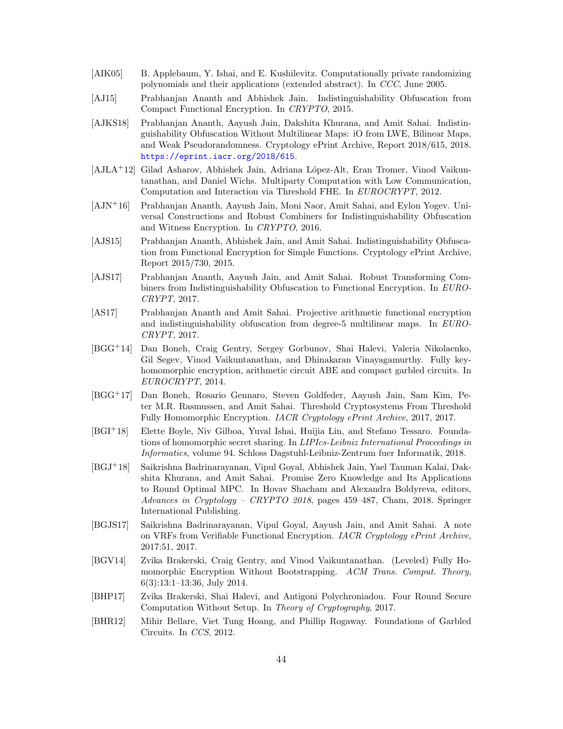- <span id="page-43-0"></span>[AIK05] B. Applebaum, Y. Ishai, and E. Kushilevitz. Computationally private randomizing polynomials and their applications (extended abstract). In CCC, June 2005.
- <span id="page-43-2"></span>[AJ15] Prabhanjan Ananth and Abhishek Jain. Indistinguishability Obfuscation from Compact Functional Encryption. In CRYPTO, 2015.
- <span id="page-43-6"></span>[AJKS18] Prabhanjan Ananth, Aayush Jain, Dakshita Khurana, and Amit Sahai. Indistinguishability Obfuscation Without Multilinear Maps: iO from LWE, Bilinear Maps, and Weak Pseudorandomness. Cryptology ePrint Archive, Report 2018/615, 2018. <https://eprint.iacr.org/2018/615>.
- <span id="page-43-13"></span>[AJLA+12] Gilad Asharov, Abhishek Jain, Adriana L´opez-Alt, Eran Tromer, Vinod Vaikuntanathan, and Daniel Wichs. Multiparty Computation with Low Communication, Computation and Interaction via Threshold FHE. In EUROCRYPT, 2012.
- <span id="page-43-10"></span>[AJN+16] Prabhanjan Ananth, Aayush Jain, Moni Naor, Amit Sahai, and Eylon Yogev. Universal Constructions and Robust Combiners for Indistinguishability Obfuscation and Witness Encryption. In CRYPTO, 2016.
- <span id="page-43-3"></span>[AJS15] Prabhanjan Ananth, Abhishek Jain, and Amit Sahai. Indistinguishability Obfuscation from Functional Encryption for Simple Functions. Cryptology ePrint Archive, Report 2015/730, 2015.
- <span id="page-43-1"></span>[AJS17] Prabhanjan Ananth, Aayush Jain, and Amit Sahai. Robust Transforming Combiners from Indistinguishability Obfuscation to Functional Encryption. In EURO-CRYPT, 2017.
- <span id="page-43-5"></span>[AS17] Prabhanjan Ananth and Amit Sahai. Projective arithmetic functional encryption and indistinguishability obfuscation from degree-5 multilinear maps. In EURO-CRYPT, 2017.
- <span id="page-43-11"></span>[BGG+14] Dan Boneh, Craig Gentry, Sergey Gorbunov, Shai Halevi, Valeria Nikolaenko, Gil Segev, Vinod Vaikuntanathan, and Dhinakaran Vinayagamurthy. Fully keyhomomorphic encryption, arithmetic circuit ABE and compact garbled circuits. In EUROCRYPT, 2014.
- <span id="page-43-14"></span>[BGG+17] Dan Boneh, Rosario Gennaro, Steven Goldfeder, Aayush Jain, Sam Kim, Peter M.R. Rasmussen, and Amit Sahai. Threshold Cryptosystems From Threshold Fully Homomorphic Encryption. IACR Cryptology ePrint Archive, 2017, 2017.
- <span id="page-43-7"></span>[BGI+18] Elette Boyle, Niv Gilboa, Yuval Ishai, Huijia Lin, and Stefano Tessaro. Foundations of homomorphic secret sharing. In LIPIcs-Leibniz International Proceedings in Informatics, volume 94. Schloss Dagstuhl-Leibniz-Zentrum fuer Informatik, 2018.
- <span id="page-43-9"></span>[BGJ+18] Saikrishna Badrinarayanan, Vipul Goyal, Abhishek Jain, Yael Tauman Kalai, Dakshita Khurana, and Amit Sahai. Promise Zero Knowledge and Its Applications to Round Optimal MPC. In Hovav Shacham and Alexandra Boldyreva, editors, Advances in Cryptology – CRYPTO 2018, pages 459–487, Cham, 2018. Springer International Publishing.
- <span id="page-43-4"></span>[BGJS17] Saikrishna Badrinarayanan, Vipul Goyal, Aayush Jain, and Amit Sahai. A note on VRFs from Verifiable Functional Encryption. IACR Cryptology ePrint Archive, 2017:51, 2017.
- <span id="page-43-12"></span>[BGV14] Zvika Brakerski, Craig Gentry, and Vinod Vaikuntanathan. (Leveled) Fully Homomorphic Encryption Without Bootstrapping. ACM Trans. Comput. Theory, 6(3):13:1–13:36, July 2014.
- <span id="page-43-8"></span>[BHP17] Zvika Brakerski, Shai Halevi, and Antigoni Polychroniadou. Four Round Secure Computation Without Setup. In Theory of Cryptography, 2017.
- <span id="page-43-15"></span>[BHR12] Mihir Bellare, Viet Tung Hoang, and Phillip Rogaway. Foundations of Garbled Circuits. In CCS, 2012.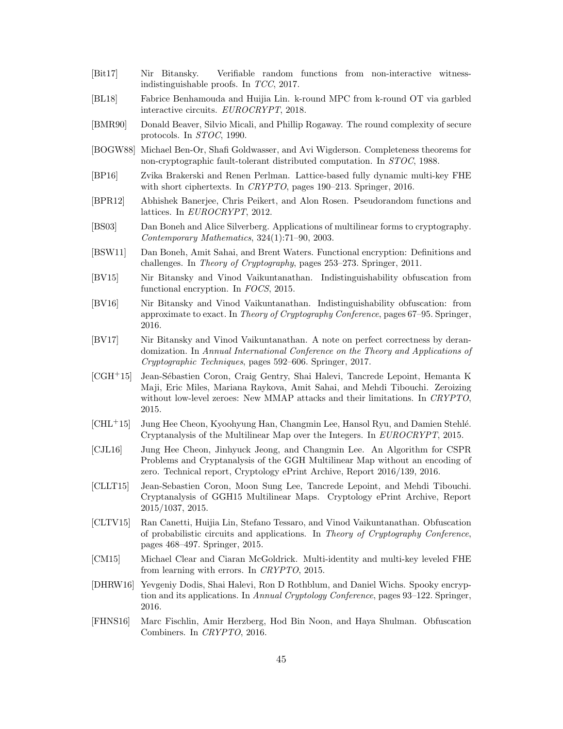- <span id="page-44-3"></span>[Bit17] Nir Bitansky. Verifiable random functions from non-interactive witnessindistinguishable proofs. In TCC, 2017.
- <span id="page-44-9"></span>[BL18] Fabrice Benhamouda and Huijia Lin. k-round MPC from k-round OT via garbled interactive circuits. EUROCRYPT, 2018.
- <span id="page-44-14"></span>[BMR90] Donald Beaver, Silvio Micali, and Phillip Rogaway. The round complexity of secure protocols. In STOC, 1990.
- <span id="page-44-0"></span>[BOGW88] Michael Ben-Or, Shafi Goldwasser, and Avi Wigderson. Completeness theorems for non-cryptographic fault-tolerant distributed computation. In STOC, 1988.
- <span id="page-44-12"></span>[BP16] Zvika Brakerski and Renen Perlman. Lattice-based fully dynamic multi-key FHE with short ciphertexts. In CRYPTO, pages 190–213. Springer, 2016.
- <span id="page-44-15"></span>[BPR12] Abhishek Banerjee, Chris Peikert, and Alon Rosen. Pseudorandom functions and lattices. In EUROCRYPT, 2012.
- <span id="page-44-4"></span>[BS03] Dan Boneh and Alice Silverberg. Applications of multilinear forms to cryptography. Contemporary Mathematics, 324(1):71–90, 2003.
- <span id="page-44-1"></span>[BSW11] Dan Boneh, Amit Sahai, and Brent Waters. Functional encryption: Definitions and challenges. In Theory of Cryptography, pages 253–273. Springer, 2011.
- <span id="page-44-2"></span>[BV15] Nir Bitansky and Vinod Vaikuntanathan. Indistinguishability obfuscation from functional encryption. In FOCS, 2015.
- <span id="page-44-16"></span>[BV16] Nir Bitansky and Vinod Vaikuntanathan. Indistinguishability obfuscation: from approximate to exact. In Theory of Cryptography Conference, pages 67–95. Springer, 2016.
- <span id="page-44-17"></span>[BV17] Nir Bitansky and Vinod Vaikuntanathan. A note on perfect correctness by derandomization. In Annual International Conference on the Theory and Applications of Cryptographic Techniques, pages 592–606. Springer, 2017.
- <span id="page-44-8"></span>[CGH<sup>+</sup>15] Jean-Sébastien Coron, Craig Gentry, Shai Halevi, Tancrede Lepoint, Hemanta K Maji, Eric Miles, Mariana Raykova, Amit Sahai, and Mehdi Tibouchi. Zeroizing without low-level zeroes: New MMAP attacks and their limitations. In CRYPTO, 2015.
- <span id="page-44-5"></span>[CHL+15] Jung Hee Cheon, Kyoohyung Han, Changmin Lee, Hansol Ryu, and Damien Stehl´e. Cryptanalysis of the Multilinear Map over the Integers. In EUROCRYPT, 2015.
- <span id="page-44-7"></span>[CJL16] Jung Hee Cheon, Jinhyuck Jeong, and Changmin Lee. An Algorithm for CSPR Problems and Cryptanalysis of the GGH Multilinear Map without an encoding of zero. Technical report, Cryptology ePrint Archive, Report 2016/139, 2016.
- <span id="page-44-6"></span>[CLLT15] Jean-Sebastien Coron, Moon Sung Lee, Tancrede Lepoint, and Mehdi Tibouchi. Cryptanalysis of GGH15 Multilinear Maps. Cryptology ePrint Archive, Report 2015/1037, 2015.
- <span id="page-44-13"></span>[CLTV15] Ran Canetti, Huijia Lin, Stefano Tessaro, and Vinod Vaikuntanathan. Obfuscation of probabilistic circuits and applications. In Theory of Cryptography Conference, pages 468–497. Springer, 2015.
- <span id="page-44-11"></span>[CM15] Michael Clear and Ciaran McGoldrick. Multi-identity and multi-key leveled FHE from learning with errors. In CRYPTO, 2015.
- <span id="page-44-10"></span>[DHRW16] Yevgeniy Dodis, Shai Halevi, Ron D Rothblum, and Daniel Wichs. Spooky encryption and its applications. In Annual Cryptology Conference, pages 93–122. Springer, 2016.
- <span id="page-44-18"></span>[FHNS16] Marc Fischlin, Amir Herzberg, Hod Bin Noon, and Haya Shulman. Obfuscation Combiners. In CRYPTO, 2016.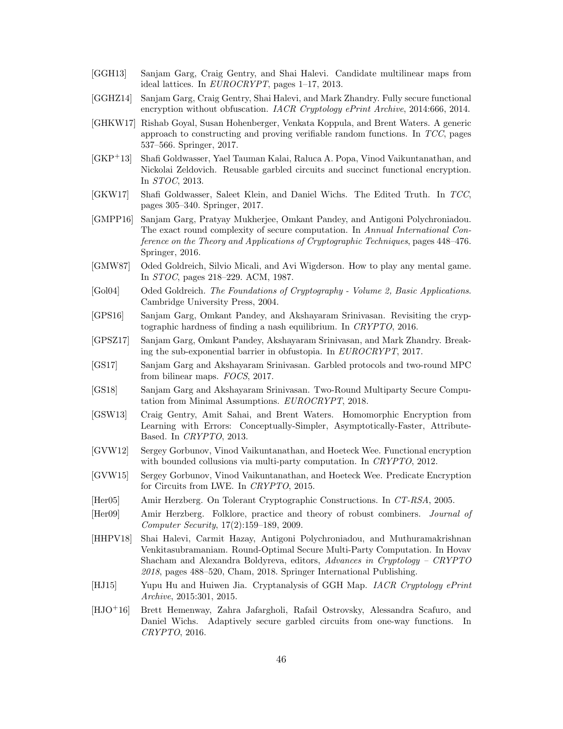- <span id="page-45-9"></span>[GGH13] Sanjam Garg, Craig Gentry, and Shai Halevi. Candidate multilinear maps from ideal lattices. In EUROCRYPT, pages 1–17, 2013.
- <span id="page-45-8"></span>[GGHZ14] Sanjam Garg, Craig Gentry, Shai Halevi, and Mark Zhandry. Fully secure functional encryption without obfuscation. IACR Cryptology ePrint Archive, 2014:666, 2014.
- <span id="page-45-3"></span>[GHKW17] Rishab Goyal, Susan Hohenberger, Venkata Koppula, and Brent Waters. A generic approach to constructing and proving verifiable random functions. In TCC, pages 537–566. Springer, 2017.
- <span id="page-45-1"></span>[GKP+13] Shafi Goldwasser, Yael Tauman Kalai, Raluca A. Popa, Vinod Vaikuntanathan, and Nickolai Zeldovich. Reusable garbled circuits and succinct functional encryption. In STOC, 2013.
- <span id="page-45-4"></span>[GKW17] Shafi Goldwasser, Saleet Klein, and Daniel Wichs. The Edited Truth. In TCC, pages 305–340. Springer, 2017.
- <span id="page-45-13"></span>[GMPP16] Sanjam Garg, Pratyay Mukherjee, Omkant Pandey, and Antigoni Polychroniadou. The exact round complexity of secure computation. In Annual International Conference on the Theory and Applications of Cryptographic Techniques, pages 448–476. Springer, 2016.
- <span id="page-45-0"></span>[GMW87] Oded Goldreich, Silvio Micali, and Avi Wigderson. How to play any mental game. In STOC, pages 218–229. ACM, 1987.
- <span id="page-45-19"></span>[Gol04] Oded Goldreich. The Foundations of Cryptography - Volume 2, Basic Applications. Cambridge University Press, 2004.
- <span id="page-45-5"></span>[GPS16] Sanjam Garg, Omkant Pandey, and Akshayaram Srinivasan. Revisiting the cryptographic hardness of finding a nash equilibrium. In CRYPTO, 2016.
- <span id="page-45-6"></span>[GPSZ17] Sanjam Garg, Omkant Pandey, Akshayaram Srinivasan, and Mark Zhandry. Breaking the sub-exponential barrier in obfustopia. In EUROCRYPT, 2017.
- <span id="page-45-11"></span>[GS17] Sanjam Garg and Akshayaram Srinivasan. Garbled protocols and two-round MPC from bilinear maps. FOCS, 2017.
- <span id="page-45-12"></span>[GS18] Sanjam Garg and Akshayaram Srinivasan. Two-Round Multiparty Secure Computation from Minimal Assumptions. EUROCRYPT, 2018.
- <span id="page-45-17"></span>[GSW13] Craig Gentry, Amit Sahai, and Brent Waters. Homomorphic Encryption from Learning with Errors: Conceptually-Simpler, Asymptotically-Faster, Attribute-Based. In CRYPTO, 2013.
- <span id="page-45-7"></span>[GVW12] Sergey Gorbunov, Vinod Vaikuntanathan, and Hoeteck Wee. Functional encryption with bounded collusions via multi-party computation. In *CRYPTO*, 2012.
- <span id="page-45-18"></span>[GVW15] Sergey Gorbunov, Vinod Vaikuntanathan, and Hoeteck Wee. Predicate Encryption for Circuits from LWE. In CRYPTO, 2015.
- <span id="page-45-15"></span>[Her05] Amir Herzberg. On Tolerant Cryptographic Constructions. In CT-RSA, 2005.
- <span id="page-45-16"></span>[Her09] Amir Herzberg. Folklore, practice and theory of robust combiners. Journal of Computer Security, 17(2):159–189, 2009.
- <span id="page-45-14"></span>[HHPV18] Shai Halevi, Carmit Hazay, Antigoni Polychroniadou, and Muthuramakrishnan Venkitasubramaniam. Round-Optimal Secure Multi-Party Computation. In Hovav Shacham and Alexandra Boldyreva, editors, Advances in Cryptology – CRYPTO 2018, pages 488–520, Cham, 2018. Springer International Publishing.
- <span id="page-45-10"></span>[HJ15] Yupu Hu and Huiwen Jia. Cryptanalysis of GGH Map. IACR Cryptology ePrint Archive, 2015:301, 2015.
- <span id="page-45-2"></span>[HJO<sup>+</sup>16] Brett Hemenway, Zahra Jafargholi, Rafail Ostrovsky, Alessandra Scafuro, and Daniel Wichs. Adaptively secure garbled circuits from one-way functions. In CRYPTO, 2016.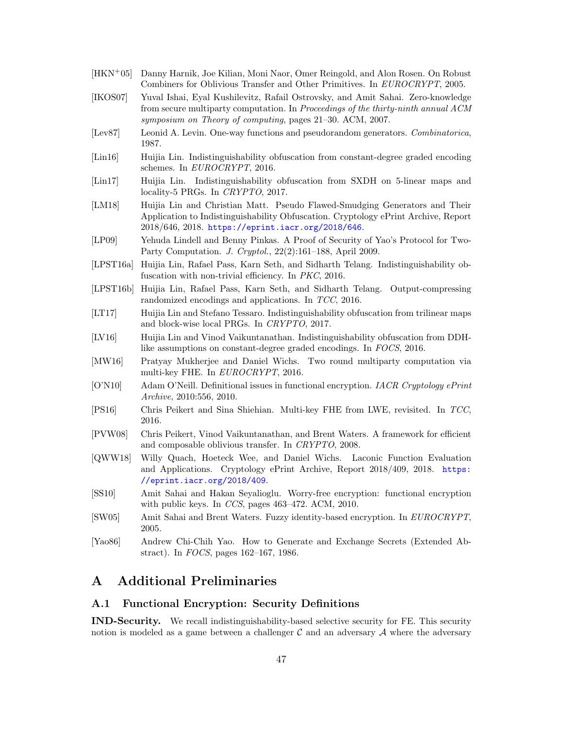- <span id="page-46-15"></span>[HKN+05] Danny Harnik, Joe Kilian, Moni Naor, Omer Reingold, and Alon Rosen. On Robust Combiners for Oblivious Transfer and Other Primitives. In EUROCRYPT, 2005.
- <span id="page-46-16"></span>[IKOS07] Yuval Ishai, Eyal Kushilevitz, Rafail Ostrovsky, and Amit Sahai. Zero-knowledge from secure multiparty computation. In Proceedings of the thirty-ninth annual ACM symposium on Theory of computing, pages 21–30. ACM, 2007.
- <span id="page-46-17"></span>[Lev87] Leonid A. Levin. One-way functions and pseudorandom generators. Combinatorica, 1987.
- <span id="page-46-6"></span>[Lin16] Huijia Lin. Indistinguishability obfuscation from constant-degree graded encoding schemes. In EUROCRYPT, 2016.
- <span id="page-46-8"></span>[Lin17] Huijia Lin. Indistinguishability obfuscation from SXDH on 5-linear maps and locality-5 PRGs. In CRYPTO, 2017.
- <span id="page-46-10"></span>[LM18] Huijia Lin and Christian Matt. Pseudo Flawed-Smudging Generators and Their Application to Indistinguishability Obfuscation. Cryptology ePrint Archive, Report 2018/646, 2018. <https://eprint.iacr.org/2018/646>.
- <span id="page-46-20"></span>[LP09] Yehuda Lindell and Benny Pinkas. A Proof of Security of Yao's Protocol for Two-Party Computation. J. Cryptol., 22(2):161–188, April 2009.
- <span id="page-46-4"></span>[LPST16a] Huijia Lin, Rafael Pass, Karn Seth, and Sidharth Telang. Indistinguishability obfuscation with non-trivial efficiency. In PKC, 2016.
- <span id="page-46-3"></span>[LPST16b] Huijia Lin, Rafael Pass, Karn Seth, and Sidharth Telang. Output-compressing randomized encodings and applications. In TCC, 2016.
- <span id="page-46-9"></span>[LT17] Huijia Lin and Stefano Tessaro. Indistinguishability obfuscation from trilinear maps and block-wise local PRGs. In CRYPTO, 2017.
- <span id="page-46-7"></span>[LV16] Huijia Lin and Vinod Vaikuntanathan. Indistinguishability obfuscation from DDHlike assumptions on constant-degree graded encodings. In FOCS, 2016.
- <span id="page-46-11"></span>[MW16] Pratyay Mukherjee and Daniel Wichs. Two round multiparty computation via multi-key FHE. In EUROCRYPT, 2016.
- <span id="page-46-2"></span>[O'N10] Adam O'Neill. Definitional issues in functional encryption. IACR Cryptology ePrint Archive, 2010:556, 2010.
- <span id="page-46-12"></span>[PS16] Chris Peikert and Sina Shiehian. Multi-key FHE from LWE, revisited. In TCC, 2016.
- <span id="page-46-14"></span>[PVW08] Chris Peikert, Vinod Vaikuntanathan, and Brent Waters. A framework for efficient and composable oblivious transfer. In CRYPTO, 2008.
- <span id="page-46-13"></span>[QWW18] Willy Quach, Hoeteck Wee, and Daniel Wichs. Laconic Function Evaluation and Applications. Cryptology ePrint Archive, Report 2018/409, 2018. [https:](https://eprint.iacr.org/2018/409) [//eprint.iacr.org/2018/409](https://eprint.iacr.org/2018/409).
- <span id="page-46-5"></span>[SS10] Amit Sahai and Hakan Seyalioglu. Worry-free encryption: functional encryption with public keys. In CCS, pages 463–472. ACM, 2010.
- <span id="page-46-1"></span>[SW05] Amit Sahai and Brent Waters. Fuzzy identity-based encryption. In EUROCRYPT, 2005.
- <span id="page-46-0"></span>[Yao86] Andrew Chi-Chih Yao. How to Generate and Exchange Secrets (Extended Abstract). In FOCS, pages 162–167, 1986.

# <span id="page-46-19"></span>A Additional Preliminaries

# <span id="page-46-18"></span>A.1 Functional Encryption: Security Definitions

IND-Security. We recall indistinguishability-based selective security for FE. This security notion is modeled as a game between a challenger  $\mathcal C$  and an adversary  $\mathcal A$  where the adversary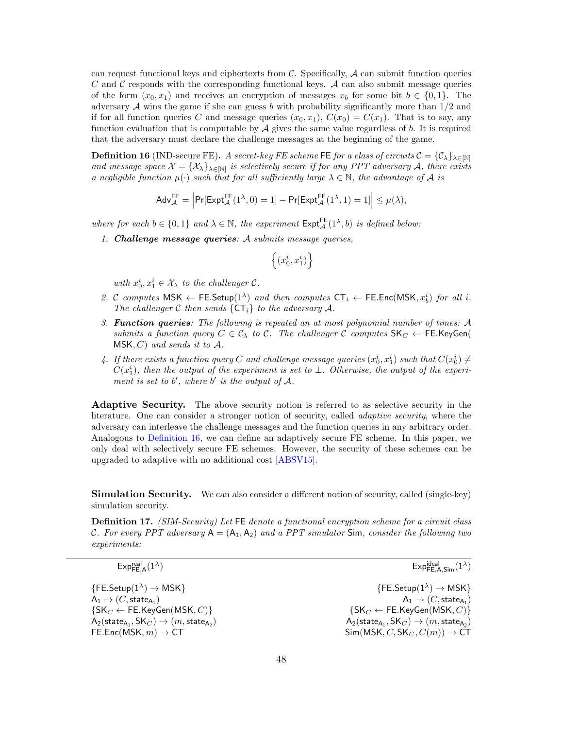can request functional keys and ciphertexts from  $\mathcal{C}$ . Specifically,  $\mathcal{A}$  can submit function queries C and C responds with the corresponding functional keys.  $A$  can also submit message queries of the form  $(x_0, x_1)$  and receives an encryption of messages  $x_b$  for some bit  $b \in \{0, 1\}$ . The adversary  $A$  wins the game if she can guess b with probability significantly more than  $1/2$  and if for all function queries C and message queries  $(x_0, x_1)$ ,  $C(x_0) = C(x_1)$ . That is to say, any function evaluation that is computable by  $\mathcal A$  gives the same value regardless of b. It is required that the adversary must declare the challenge messages at the beginning of the game.

<span id="page-47-0"></span>**Definition 16** (IND-secure FE). A secret-key FE scheme FE for a class of circuits  $C = \{C_{\lambda}\}_{{\lambda \in [\mathbb{N}]}}$ and message space  $\mathcal{X} = \{X_{\lambda}\}_{\lambda \in [N]}$  is selectively secure if for any PPT adversary A, there exists a negligible function  $\mu(\cdot)$  such that for all sufficiently large  $\lambda \in \mathbb{N}$ , the advantage of A is

$$
\mathsf{Adv}_{\mathcal{A}}^{\mathsf{FE}} = \left|\mathsf{Pr}[\mathsf{Expt}_{\mathcal{A}}^{\mathsf{FE}}(1^{\lambda},0) = 1] - \mathsf{Pr}[\mathsf{Expt}_{\mathcal{A}}^{\mathsf{FE}}(1^{\lambda},1) = 1] \right| \leq \mu(\lambda),
$$

where for each  $b \in \{0,1\}$  and  $\lambda \in \mathbb{N}$ , the experiment  $\text{Expt}_{\mathcal{A}}^{\text{FE}}(1^{\lambda}, b)$  is defined below:

1. Challenge message queries: A submits message queries,

$$
\left\{(x_0^i,x_1^i)\right\}
$$

with  $x_0^i, x_1^i \in \mathcal{X}_\lambda$  to the challenger C.

- 2. C computes  $\mathsf{MSK} \leftarrow \mathsf{FE}.\mathsf{Setup}(1^{\lambda})$  and then computes  $\mathsf{CT}_i \leftarrow \mathsf{FE}.\mathsf{Enc}(\mathsf{MSK}, x_b^i)$  for all i. The challenger C then sends  $\{CT_i\}$  to the adversary A.
- 3. Function queries: The following is repeated an at most polynomial number of times: A submits a function query  $C \in \mathcal{C}_{\lambda}$  to  $\mathcal{C}$ . The challenger  $\mathcal{C}$  computes  $\mathsf{SK}_C \leftarrow \mathsf{FE}.\mathsf{KeyGen}(n)$  $MSK, C)$  and sends it to A.
- 4. If there exists a function query C and challenge message queries  $(x_0^i, x_1^i)$  such that  $C(x_0^i) \neq$  $C(x_1^i)$ , then the output of the experiment is set to  $\perp$ . Otherwise, the output of the experiment is set to b', where b' is the output of  $A$ .

Adaptive Security. The above security notion is referred to as selective security in the literature. One can consider a stronger notion of security, called *adaptive security*, where the adversary can interleave the challenge messages and the function queries in any arbitrary order. Analogous to [Definition 16,](#page-47-0) we can define an adaptively secure FE scheme. In this paper, we only deal with selectively secure FE schemes. However, the security of these schemes can be upgraded to adaptive with no additional cost [\[ABSV15\]](#page-42-4).

Simulation Security. We can also consider a different notion of security, called (single-key) simulation security.

<span id="page-47-1"></span>Definition 17. (SIM-Security) Let FE denote a functional encryption scheme for a circuit class C. For every PPT adversary  $A = (A_1, A_2)$  and a PPT simulator Sim, consider the following two experiments:

 $\mathsf{Exp}_{\mathsf{FE},\mathsf{A}}^{\mathsf{real}}(1^\lambda$  $\mathsf{Exp}_{\mathsf{FE},\mathsf{A},\mathsf{Sim}}^{\mathsf{ideal}}(1^\lambda)$  ${F}E.Setup(1^{\lambda}$  $\Theta$   $\Theta$   $\{FE \mathsf{Setup}(1^{\lambda}) \rightarrow \mathsf{MSK}\}$  $A_1 \rightarrow (C, state_{A_1})$ <br>{SK<sub>C</sub>  $\leftarrow$  FE.KeyGen(MSK, *C*)}  $A_1 \rightarrow (C, \text{state}_{A_1})$  $\{SK_C \leftarrow \mathsf{FE}.\mathsf{KeyGen}(\mathsf{MSK}, C)\}$  $\mathsf{A}_2(\mathsf{state}_{\mathsf{A}_1},\mathsf{SK}_C)\rightarrow (m,\mathsf{state}_{\mathsf{A}_2}$ )  $A_2(\mathsf{state}_{A_1}, \mathsf{SK}_C) \to (m, \mathsf{state}_{A_2})$ FE.Enc(MSK,  $m$ )  $\rightarrow$  CT Sim(MSK, C, SK<sub>C</sub>, C(m))  $\rightarrow$  CT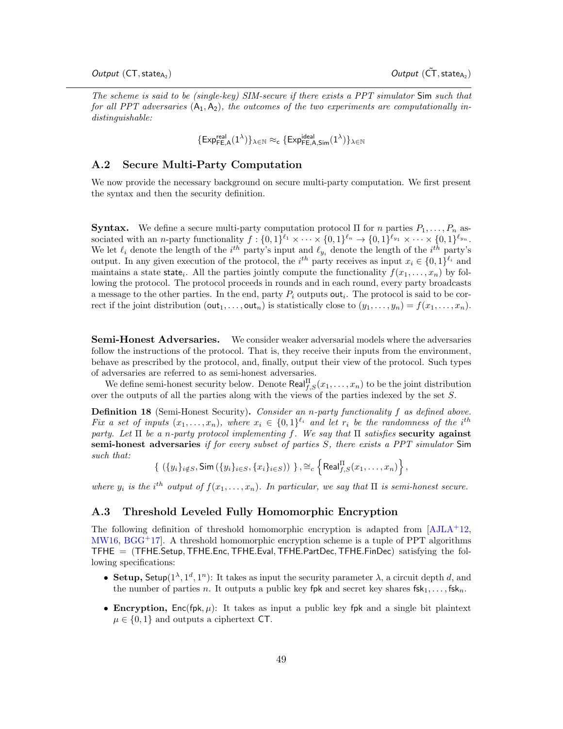Output  $(CT, state_{A_2})$ 

The scheme is said to be (single-key) SIM-secure if there exists a PPT simulator Sim such that for all PPT adversaries  $(A_1, A_2)$ , the outcomes of the two experiments are computationally indistinguishable:

$$
\{{\sf Exp}^{\mathsf{real}}_{{\sf FE}, {\sf A}}(1^\lambda)\}_{\lambda \in \mathbb{N}} \approx_{\sf c} \{{\sf Exp}^{\mathsf{ideal}}_{{\sf FE}, {\sf A}, {\sf Sim}}(1^\lambda)\}_{\lambda \in \mathbb{N}}
$$

### A.2 Secure Multi-Party Computation

We now provide the necessary background on secure multi-party computation. We first present the syntax and then the security definition.

**Syntax.** We define a secure multi-party computation protocol  $\Pi$  for n parties  $P_1, \ldots, P_n$  associated with an *n*-party functionality  $f: \{0,1\}^{\ell_1} \times \cdots \times \{0,1\}^{\ell_n} \to \{0,1\}^{\ell_{y_1}} \times \cdots \times \{0,1\}^{\ell_{y_n}}$ . We let  $\ell_i$  denote the length of the i<sup>th</sup> party's input and  $\ell_{y_i}$  denote the length of the i<sup>th</sup> party's output. In any given execution of the protocol, the *i*<sup>th</sup> party receives as input  $x_i \in \{0,1\}^{\ell_i}$  and maintains a state state<sub>i</sub>. All the parties jointly compute the functionality  $f(x_1, \ldots, x_n)$  by following the protocol. The protocol proceeds in rounds and in each round, every party broadcasts a message to the other parties. In the end, party  $P_i$  outputs out<sub>i</sub>. The protocol is said to be correct if the joint distribution  $(\text{out}_1, \ldots, \text{out}_n)$  is statistically close to  $(y_1, \ldots, y_n) = f(x_1, \ldots, x_n)$ .

Semi-Honest Adversaries. We consider weaker adversarial models where the adversaries follow the instructions of the protocol. That is, they receive their inputs from the environment, behave as prescribed by the protocol, and, finally, output their view of the protocol. Such types of adversaries are referred to as semi-honest adversaries.

We define semi-honest security below. Denote  $\text{Real}_{f,S}^{\Pi}(x_1,\ldots,x_n)$  to be the joint distribution over the outputs of all the parties along with the views of the parties indexed by the set S.

Definition 18 (Semi-Honest Security). Consider an n-party functionality f as defined above. Fix a set of inputs  $(x_1, \ldots, x_n)$ , where  $x_i \in \{0,1\}^{\ell_i}$  and let  $r_i$  be the randomness of the i<sup>th</sup> party. Let  $\Pi$  be a n-party protocol implementing f. We say that  $\Pi$  satisfies security against semi-honest adversaries if for every subset of parties S, there exists a PPT simulator Sim such that:

 $\Set{(\{y_i\}_{i \notin S}, \mathsf{Sim}\left(\{y_i\}_{i \in S}, \{x_i\}_{i \in S})\right)}, \cong_c \left\{\mathsf{Real}_{f,S}^{\Pi}(x_1,\ldots,x_n)\right\},$ 

where  $y_i$  is the i<sup>th</sup> output of  $f(x_1, \ldots, x_n)$ . In particular, we say that  $\Pi$  is semi-honest secure.

## A.3 Threshold Leveled Fully Homomorphic Encryption

The following definition of threshold homomorphic encryption is adapted from  $[AJLA+12,$  $[AJLA+12,$ [MW16,](#page-46-11)  $BGG+17$  $BGG+17$ . A threshold homomorphic encryption scheme is a tuple of PPT algorithms TFHE  $=$  (TFHE.Setup, TFHE.Enc, TFHE.Eval, TFHE.PartDec, TFHE.FinDec) satisfying the following specifications:

- Setup, Setup( $1^{\lambda}, 1^d, 1^n$ ): It takes as input the security parameter  $\lambda$ , a circuit depth d, and the number of parties n. It outputs a public key fpk and secret key shares  $fsk_1, \ldots, fsk_n$ .
- Encryption,  $Enc(fpk, \mu)$ : It takes as input a public key fpk and a single bit plaintext  $\mu \in \{0, 1\}$  and outputs a ciphertext CT.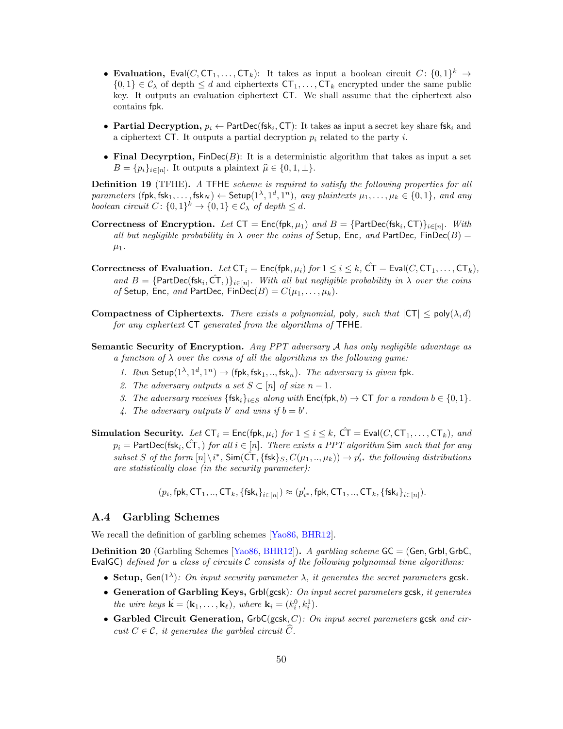- Evaluation, Eval(C, CT<sub>1</sub>, ..., CT<sub>k</sub>): It takes as input a boolean circuit  $C: \{0,1\}^k \to$  $\{0,1\} \in C_{\lambda}$  of depth  $\leq d$  and ciphertexts  $CT_1, \ldots, CT_k$  encrypted under the same public key. It outputs an evaluation ciphertext CT. We shall assume that the ciphertext also contains fpk.
- Partial Decryption,  $p_i \leftarrow$  PartDec(fsk<sub>i</sub>, CT): It takes as input a secret key share fsk<sub>i</sub> and a ciphertext CT. It outputs a partial decryption  $p_i$  related to the party i.
- Final Decyrption,  $FinDec(B)$ : It is a deterministic algorithm that takes as input a set  $B = \{p_i\}_{i \in [n]}$ . It outputs a plaintext  $\widehat{\mu} \in \{0, 1, \perp\}.$

Definition 19 (TFHE). A TFHE scheme is required to satisfy the following properties for all parameters (fpk, fsk<sub>1</sub>,..., fsk<sub>N</sub>)  $\leftarrow$  Setup( $1^{\lambda}, 1^d, 1^n$ ), any plaintexts  $\mu_1, \ldots, \mu_k \in \{0, 1\}$ , and any boolean circuit  $C: \{0,1\}^k \to \{0,1\} \in \mathcal{C}_\lambda$  of depth  $\leq d$ .

Correctness of Encryption. Let  $CT = Enc(\text{fpk}, \mu_1)$  and  $B = \{PartDec(\text{fsk}_i, CT)\}_{i \in [n]}$ . With all but negligible probability in  $\lambda$  over the coins of Setup, Enc, and PartDec, FinDec(B) =  $\mu_1$ .

- Correctness of Evaluation. Let  $CT_i = \text{Enc}(\text{fpk}, \mu_i)$  for  $1 \leq i \leq k$ ,  $CT = \text{Eval}(C, CT_1, \ldots, CT_k)$ , and  $B = \{PartDec(fsk_i, \hat{CT},)\}_{i \in [n]}$ . With all but negligible probability in  $\lambda$  over the coins of Setup, Enc, and PartDec,  $\text{FinDec}(B) = C(\mu_1, \ldots, \mu_k)$ .
- **Compactness of Ciphertexts.** There exists a polynomial, poly, such that  $|CT| \leq poly(\lambda, d)$ for any ciphertext CT generated from the algorithms of TFHE.
- Semantic Security of Encryption. Any PPT adversary A has only negligible advantage as a function of  $\lambda$  over the coins of all the algorithms in the following game:
	- 1. Run Setup $(1^{\lambda}, 1^d, 1^n) \rightarrow (\text{fpk}, \text{fsk}_1, ..., \text{fsk}_n)$ . The adversary is given fpk.
	- 2. The adversary outputs a set  $S \subset [n]$  of size  $n-1$ .
	- 3. The adversary receives  $\{\mathsf{fsk}_i\}_{i\in S}$  along with  $\mathsf{Enc}(\mathsf{fpk}, b) \to \mathsf{CT}$  for a random  $b \in \{0,1\}$ .
	- 4. The adversary outputs b' and wins if  $b = b'$ .

**Simulation Security.** Let  $CT_i = \text{Enc}(\text{fpk}, \mu_i)$  for  $1 \leq i \leq k$ ,  $CT = \text{Eval}(C, CT_1, \ldots, CT_k)$ , and  $p_i = \mathsf{PartDec}(\mathsf{fsk}_i, \hat{\mathsf{CT}}, \hat{})$  for all  $i \in [n]$ . There exists a PPT algorithm  $\mathsf{Sim}$  such that for any subset S of the form  $[n]\setminus i^*$ ,  $\textsf{Sim}(\hat{\textsf{CT}}, \{\textsf{fsk}\}_S, C(\mu_1, ..., \mu_k)) \to p'_{i^*}$  the following distributions are statistically close (in the security parameter):

 $(p_i, \textsf{fpk}, \textsf{CT}_1, .., \textsf{CT}_k, \{\textsf{fsk}_i\}_{i \in [n]}) \approx (p'_i, \textsf{fpk}, \textsf{CT}_1, .., \textsf{CT}_k, \{\textsf{fsk}_i\}_{i \in [n]}).$ 

# A.4 Garbling Schemes

We recall the definition of garbling schemes [\[Yao86,](#page-46-0) [BHR12\]](#page-43-15).

**Definition 20** (Garbling Schemes [\[Yao86,](#page-46-0) [BHR12\]](#page-43-15)). A garbling scheme  $\mathsf{GC} = (\mathsf{Gen}, \mathsf{Grbl}, \mathsf{GrbC}, \mathsf{Grb0}, \mathsf{Grb0}, \mathsf{Grb0}, \mathsf{Grb0}, \mathsf{Grb0}, \mathsf{Grb0}, \mathsf{Grb0}, \mathsf{Grb0}, \mathsf{Grb0}, \mathsf{Grb0}, \mathsf{Grb0}, \mathsf{Grb0}, \mathsf{Grb0}, \mathsf{Grb0}, \mathsf{Grb0}, \math$ EvalGC) defined for a class of circuits  $C$  consists of the following polynomial time algorithms:

- Setup, Gen( $1^{\lambda}$ ): On input security parameter  $\lambda$ , it generates the secret parameters gcsk.
- Generation of Garbling Keys, GrbI(gcsk): On input secret parameters gcsk, it generates the wire keys  $\vec{\mathbf{k}} = (\mathbf{k}_1, \dots, \mathbf{k}_\ell)$ , where  $\mathbf{k}_i = (k_i^0, k_i^1)$ .
- Garbled Circuit Generation,  $\text{GrbC}(\text{gcsk}, C)$ : On input secret parameters gcsk and circuit  $C \in \mathcal{C}$ , it generates the garbled circuit  $\widehat{C}$ .